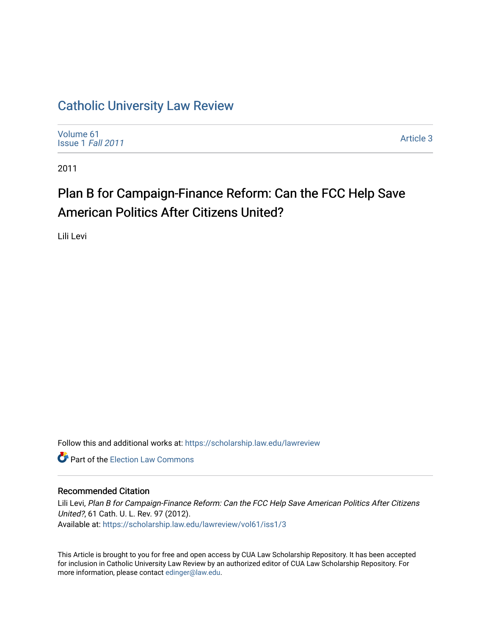# [Catholic University Law Review](https://scholarship.law.edu/lawreview)

[Volume 61](https://scholarship.law.edu/lawreview/vol61) [Issue 1](https://scholarship.law.edu/lawreview/vol61/iss1) Fall 2011

[Article 3](https://scholarship.law.edu/lawreview/vol61/iss1/3) 

2011

# Plan B for Campaign-Finance Reform: Can the FCC Help Save American Politics After Citizens United?

Lili Levi

Follow this and additional works at: [https://scholarship.law.edu/lawreview](https://scholarship.law.edu/lawreview?utm_source=scholarship.law.edu%2Flawreview%2Fvol61%2Fiss1%2F3&utm_medium=PDF&utm_campaign=PDFCoverPages)

**C** Part of the [Election Law Commons](http://network.bepress.com/hgg/discipline/1121?utm_source=scholarship.law.edu%2Flawreview%2Fvol61%2Fiss1%2F3&utm_medium=PDF&utm_campaign=PDFCoverPages)

# Recommended Citation

Lili Levi, Plan B for Campaign-Finance Reform: Can the FCC Help Save American Politics After Citizens United?, 61 Cath. U. L. Rev. 97 (2012). Available at: [https://scholarship.law.edu/lawreview/vol61/iss1/3](https://scholarship.law.edu/lawreview/vol61/iss1/3?utm_source=scholarship.law.edu%2Flawreview%2Fvol61%2Fiss1%2F3&utm_medium=PDF&utm_campaign=PDFCoverPages)

This Article is brought to you for free and open access by CUA Law Scholarship Repository. It has been accepted for inclusion in Catholic University Law Review by an authorized editor of CUA Law Scholarship Repository. For more information, please contact [edinger@law.edu.](mailto:edinger@law.edu)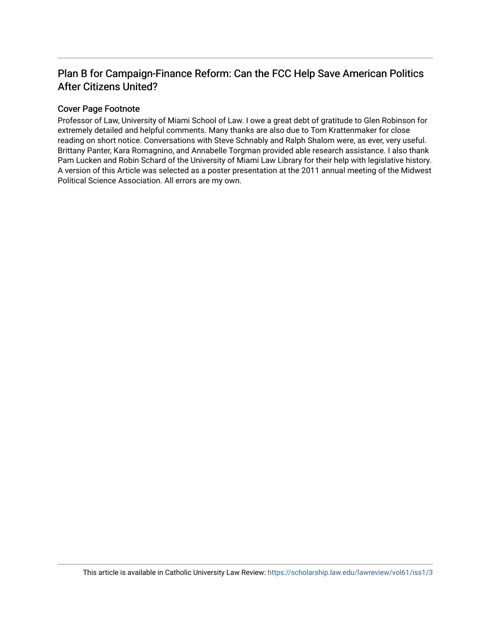# Plan B for Campaign-Finance Reform: Can the FCC Help Save American Politics After Citizens United?

# Cover Page Footnote

Professor of Law, University of Miami School of Law. I owe a great debt of gratitude to Glen Robinson for extremely detailed and helpful comments. Many thanks are also due to Tom Krattenmaker for close reading on short notice. Conversations with Steve Schnably and Ralph Shalom were, as ever, very useful. Brittany Panter, Kara Romagnino, and Annabelle Torgman provided able research assistance. I also thank Pam Lucken and Robin Schard of the University of Miami Law Library for their help with legislative history. A version of this Article was selected as a poster presentation at the 2011 annual meeting of the Midwest Political Science Association. All errors are my own.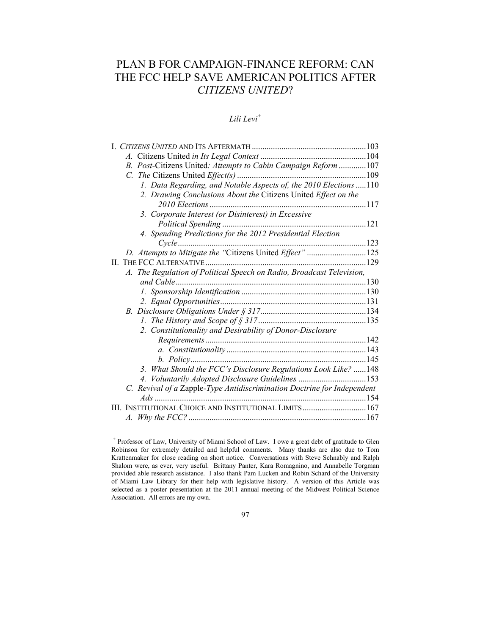# PLAN B FOR CAMPAIGN-FINANCE REFORM: CAN THE FCC HELP SAVE AMERICAN POLITICS AFTER *CITIZENS UNITED*?

# *Lili Levi<sup>+</sup>*

| B. Post-Citizens United: Attempts to Cabin Campaign Reform 107          |      |
|-------------------------------------------------------------------------|------|
|                                                                         |      |
| 1. Data Regarding, and Notable Aspects of, the 2010 Elections  110      |      |
| 2. Drawing Conclusions About the Citizens United Effect on the          |      |
|                                                                         |      |
| 3. Corporate Interest (or Disinterest) in Excessive                     |      |
|                                                                         |      |
| 4. Spending Predictions for the 2012 Presidential Election              |      |
|                                                                         |      |
| D. Attempts to Mitigate the "Citizens United Effect" 125                |      |
|                                                                         | .129 |
| A. The Regulation of Political Speech on Radio, Broadcast Television,   |      |
|                                                                         |      |
|                                                                         |      |
|                                                                         |      |
|                                                                         |      |
|                                                                         |      |
| 2. Constitutionality and Desirability of Donor-Disclosure               |      |
|                                                                         |      |
|                                                                         |      |
|                                                                         | .145 |
| 3. What Should the FCC's Disclosure Regulations Look Like? 148          |      |
| 4. Voluntarily Adopted Disclosure Guidelines 153                        |      |
| C. Revival of a Zapple-Type Antidiscrimination Doctrine for Independent |      |
| Ads                                                                     |      |
| INSTITUTIONAL CHOICE AND INSTITUTIONAL LIMITS167                        |      |
|                                                                         |      |

1

<sup>+</sup> Professor of Law, University of Miami School of Law. I owe a great debt of gratitude to Glen Robinson for extremely detailed and helpful comments. Many thanks are also due to Tom Krattenmaker for close reading on short notice. Conversations with Steve Schnably and Ralph Shalom were, as ever, very useful. Brittany Panter, Kara Romagnino, and Annabelle Torgman provided able research assistance. I also thank Pam Lucken and Robin Schard of the University of Miami Law Library for their help with legislative history. A version of this Article was selected as a poster presentation at the 2011 annual meeting of the Midwest Political Science Association. All errors are my own.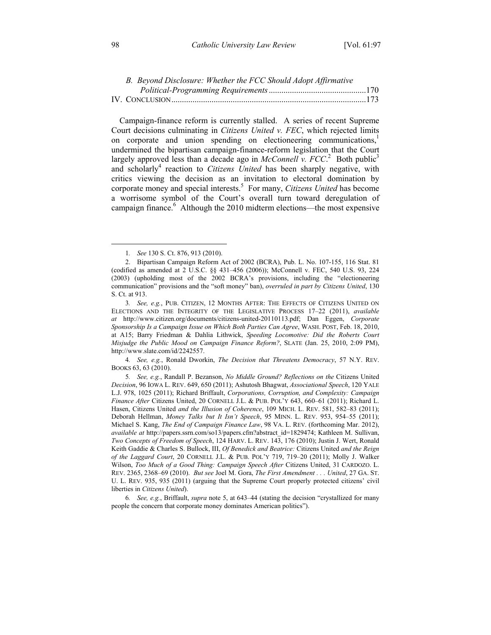| B. Beyond Disclosure: Whether the FCC Should Adopt Affirmative |  |
|----------------------------------------------------------------|--|
|                                                                |  |
|                                                                |  |

Campaign-finance reform is currently stalled. A series of recent Supreme Court decisions culminating in *Citizens United v. FEC*, which rejected limits on corporate and union spending on electioneering communications,<sup>1</sup> undermined the bipartisan campaign-finance-reform legislation that the Court largely approved less than a decade ago in *McConnell v. FCC*.<sup>2</sup> Both public<sup>3</sup> and scholarly<sup>4</sup> reaction to *Citizens United* has been sharply negative, with critics viewing the decision as an invitation to electoral domination by corporate money and special interests.5 For many, *Citizens United* has become a worrisome symbol of the Court's overall turn toward deregulation of campaign finance.<sup>6</sup> Although the 2010 midterm elections—the most expensive

4*. See, e.g.*, Ronald Dworkin, *The Decision that Threatens Democracy*, 57 N.Y. REV. BOOKS 63, 63 (2010).

 <sup>1</sup>*. See* 130 S. Ct. 876, 913 (2010).

 <sup>2.</sup> Bipartisan Campaign Reform Act of 2002 (BCRA), Pub. L. No. 107-155, 116 Stat. 81 (codified as amended at 2 U.S.C. §§ 431–456 (2006)); McConnell v. FEC, 540 U.S. 93, 224 (2003) (upholding most of the 2002 BCRA's provisions, including the "electioneering communication" provisions and the "soft money" ban), *overruled in part by Citizens United*, 130 S. Ct. at 913.

<sup>3</sup>*. See, e.g.*, PUB. CITIZEN, 12 MONTHS AFTER: THE EFFECTS OF CITIZENS UNITED ON ELECTIONS AND THE INTEGRITY OF THE LEGISLATIVE PROCESS 17–22 (2011), *available at* http://www.citizen.org/documents/citizens-united-20110113.pdf; Dan Eggen, *Corporate Sponsorship Is a Campaign Issue on Which Both Parties Can Agree*, WASH. POST, Feb. 18, 2010, at A15; Barry Friedman & Dahlia Lithwick, *Speeding Locomotive: Did the Roberts Court Misjudge the Public Mood on Campaign Finance Reform?*, SLATE (Jan. 25, 2010, 2:09 PM), http://www.slate.com/id/2242557.

<sup>5</sup>*. See, e.g.*, Randall P. Bezanson, *No Middle Ground? Reflections on the* Citizens United *Decision*, 96 IOWA L. REV. 649, 650 (2011); Ashutosh Bhagwat, *Associational Speech*, 120 YALE L.J. 978, 1025 (2011); Richard Briffault, *Corporations, Corruption, and Complexity: Campaign Finance After* Citizens United, 20 CORNELL J.L. & PUB. POL'Y 643, 660–61 (2011); Richard L. Hasen, Citizens United *and the Illusion of Coherence*, 109 MICH. L. REV. 581, 582–83 (2011); Deborah Hellman, *Money Talks but It Isn't Speech*, 95 MINN. L. REV. 953, 954–55 (2011); Michael S. Kang, *The End of Campaign Finance Law*, 98 VA. L. REV. (forthcoming Mar. 2012), *available at* http://papers.ssrn.com/so13/papers.cfm?abstract\_id=1829474; Kathleen M. Sullivan, *Two Concepts of Freedom of Speech*, 124 HARV. L. REV. 143, 176 (2010); Justin J. Wert, Ronald Keith Gaddie & Charles S. Bullock, III, *Of Benedick and Beatrice:* Citizens United *and the Reign of the Laggard Court*, 20 CORNELL J.L. & PUB. POL'Y 719, 719–20 (2011); Molly J. Walker Wilson, *Too Much of a Good Thing: Campaign Speech After* Citizens United, 31 CARDOZO. L. REV. 2365, 2368–69 (2010). *But see* Joel M. Gora, *The First Amendment . . . United*, 27 GA. ST. U. L. REV. 935, 935 (2011) (arguing that the Supreme Court properly protected citizens' civil liberties in *Citizens United*).

<sup>6</sup>*. See, e.g.*, Briffault, *supra* note 5, at 643–44 (stating the decision "crystallized for many people the concern that corporate money dominates American politics").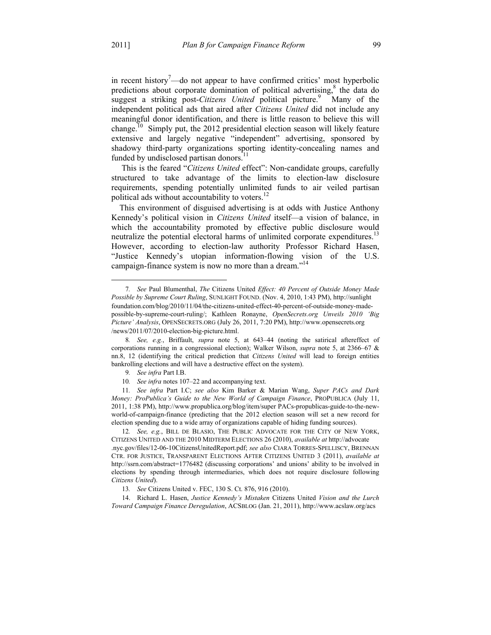in recent history $^7$ —do not appear to have confirmed critics' most hyperbolic predictions about corporate domination of political advertising, $\delta$  the data do suggest a striking post-*Citizens United* political picture.<sup>9</sup> Many of the independent political ads that aired after *Citizens United* did not include any meaningful donor identification, and there is little reason to believe this will change.<sup>10</sup> Simply put, the 2012 presidential election season will likely feature extensive and largely negative "independent" advertising, sponsored by shadowy third-party organizations sporting identity-concealing names and funded by undisclosed partisan donors.<sup>1</sup>

 This is the feared "*Citizens United* effect": Non-candidate groups, carefully structured to take advantage of the limits to election-law disclosure requirements, spending potentially unlimited funds to air veiled partisan political ads without accountability to voters.<sup>12</sup>

This environment of disguised advertising is at odds with Justice Anthony Kennedy's political vision in *Citizens United* itself—a vision of balance, in which the accountability promoted by effective public disclosure would neutralize the potential electoral harms of unlimited corporate expenditures.<sup>13</sup> However, according to election-law authority Professor Richard Hasen, "Justice Kennedy's utopian information-flowing vision of the U.S. campaign-finance system is now no more than a dream."<sup>14</sup>

 <sup>7</sup>*. See* Paul Blumenthal, *The* Citizens United *Effect: 40 Percent of Outside Money Made Possible by Supreme Court Ruling*, SUNLIGHT FOUND. (Nov. 4, 2010, 1:43 PM), http://sunlight foundation.com/blog/2010/11/04/the-citizens-united-effect-40-percent-of-outside-money-madepossible-by-supreme-court-ruling/; Kathleen Ronayne, *OpenSecrets.org Unveils 2010 'Big Picture' Analysis*, OPENSECRETS.ORG (July 26, 2011, 7:20 PM), http://www.opensecrets.org /news/2011/07/2010-election-big-picture.html.

<sup>8</sup>*. See, e.g.*, Briffault, *supra* note 5, at 643–44 (noting the satirical aftereffect of corporations running in a congressional election); Walker Wilson, *supra* note 5, at 2366–67 & nn.8, 12 (identifying the critical prediction that *Citizens United* will lead to foreign entities bankrolling elections and will have a destructive effect on the system).

<sup>9</sup>*. See infra* Part I.B.

<sup>10</sup>*. See infra* notes 107–22 and accompanying text.

<sup>11</sup>*. See infra* Part I.C; *see also* Kim Barker & Marian Wang, *Super PACs and Dark Money: ProPublica's Guide to the New World of Campaign Finance*, PROPUBLICA (July 11, 2011, 1:38 PM), http://www.propublica.org/blog/item/super PACs-propublicas-guide-to-the-newworld-of-campaign-finance (predicting that the 2012 election season will set a new record for election spending due to a wide array of organizations capable of hiding funding sources).

<sup>12</sup>*. See, e.g.*, BILL DE BLASIO, THE PUBLIC ADVOCATE FOR THE CITY OF NEW YORK, CITIZENS UNITED AND THE 2010 MIDTERM ELECTIONS 26 (2010), *available at* http://advocate .nyc.gov/files/12-06-10CitizensUnitedReport.pdf; *see also* CIARA TORRES-SPELLISCY, BRENNAN CTR. FOR JUSTICE, TRANSPARENT ELECTIONS AFTER CITIZENS UNITED 3 (2011), *available at* http://ssrn.com/abstract=1776482 (discussing corporations' and unions' ability to be involved in elections by spending through intermediaries, which does not require disclosure following *Citizens United*).

<sup>13</sup>*. See* Citizens United v. FEC, 130 S. Ct. 876, 916 (2010).

 <sup>14.</sup> Richard L. Hasen, *Justice Kennedy's Mistaken* Citizens United *Vision and the Lurch Toward Campaign Finance Deregulation*, ACSBLOG (Jan. 21, 2011), http://www.acslaw.org/acs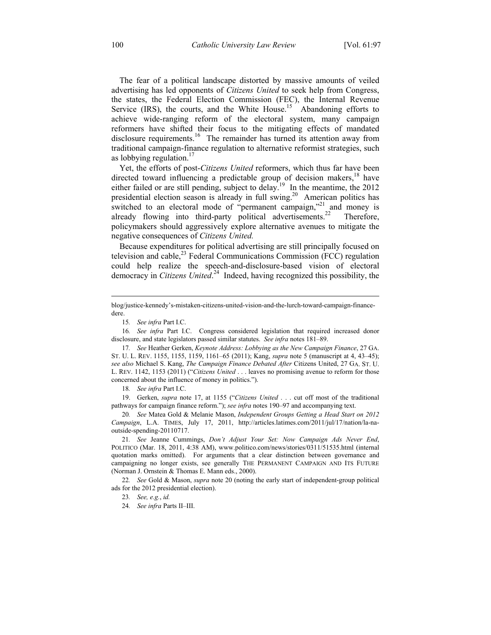The fear of a political landscape distorted by massive amounts of veiled advertising has led opponents of *Citizens United* to seek help from Congress, the states, the Federal Election Commission (FEC), the Internal Revenue Service  $(IRS)$ , the courts, and the White House.<sup>15</sup> Abandoning efforts to achieve wide-ranging reform of the electoral system, many campaign reformers have shifted their focus to the mitigating effects of mandated disclosure requirements.<sup>16</sup> The remainder has turned its attention away from traditional campaign-finance regulation to alternative reformist strategies, such as lobbying regulation.<sup>17</sup>

Yet, the efforts of post-*Citizens United* reformers, which thus far have been directed toward influencing a predictable group of decision makers, $^{18}$  have either failed or are still pending, subject to delay.<sup>19</sup> In the meantime, the 2012 presidential election season is already in full swing.<sup>20</sup> American politics has switched to an electoral mode of "permanent campaign,"<sup>21</sup> and money is already flowing into third-party political advertisements.<sup>22</sup> Therefore, policymakers should aggressively explore alternative avenues to mitigate the negative consequences of *Citizens United.* 

Because expenditures for political advertising are still principally focused on television and cable, $^{23}$  Federal Communications Commission (FCC) regulation could help realize the speech-and-disclosure-based vision of electoral democracy in *Citizens United*. 24 Indeed, having recognized this possibility, the

 $\overline{a}$ 

16*. See infra* Part I.C. Congress considered legislation that required increased donor disclosure, and state legislators passed similar statutes. *See infra* notes 181–89.

17*. See* Heather Gerken, *Keynote Address: Lobbying as the New Campaign Finance*, 27 GA. ST. U. L. REV. 1155, 1155, 1159, 1161–65 (2011); Kang, *supra* note 5 (manuscript at 4, 43–45); *see also* Michael S. Kang, *The Campaign Finance Debated After* Citizens United, 27 GA. ST. U. L. REV. 1142, 1153 (2011) ("*Citizens United* . . . leaves no promising avenue to reform for those concerned about the influence of money in politics.").

18*. See infra* Part I.C.

 19. Gerken, *supra* note 17, at 1155 ("*Citizens United* . . . cut off most of the traditional pathways for campaign finance reform."); *see infra* notes 190–97 and accompanying text.

20*. See* Matea Gold & Melanie Mason, *Independent Groups Getting a Head Start on 2012 Campaign*, L.A. TIMES, July 17, 2011, http://articles.latimes.com/2011/jul/17/nation/la-naoutside-spending-20110717.

21*. See* Jeanne Cummings, *Don't Adjust Your Set: Now Campaign Ads Never End*, POLITICO (Mar. 18, 2011, 4:38 AM), www.politico.com/news/stories/0311/51535.html (internal quotation marks omitted). For arguments that a clear distinction between governance and campaigning no longer exists, see generally THE PERMANENT CAMPAIGN AND ITS FUTURE (Norman J. Ornstein & Thomas E. Mann eds., 2000).

22*. See* Gold & Mason, *supra* note 20 (noting the early start of independent-group political ads for the 2012 presidential election).

23*. See, e.g.*, *id.*

24*. See infra* Parts II–III.

blog/justice-kennedy's-mistaken-citizens-united-vision-and-the-lurch-toward-campaign-financedere.

<sup>15</sup>*. See infra* Part I.C.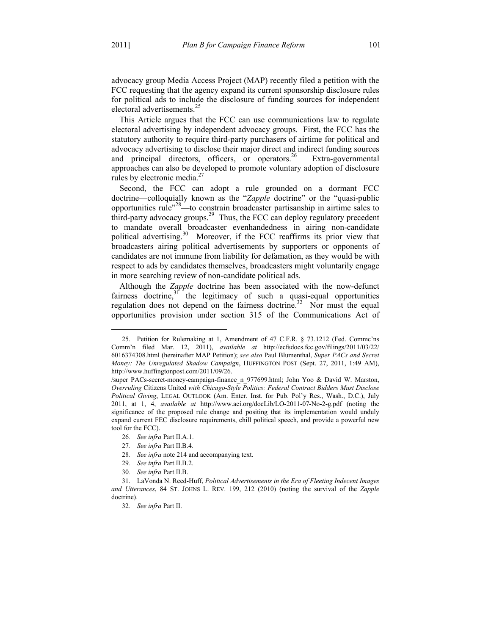<u>.</u>

advocacy group Media Access Project (MAP) recently filed a petition with the FCC requesting that the agency expand its current sponsorship disclosure rules for political ads to include the disclosure of funding sources for independent electoral advertisements.<sup>25</sup>

This Article argues that the FCC can use communications law to regulate electoral advertising by independent advocacy groups. First, the FCC has the statutory authority to require third-party purchasers of airtime for political and advocacy advertising to disclose their major direct and indirect funding sources and principal directors, officers, or operators.<sup>26</sup> Extra-governmental approaches can also be developed to promote voluntary adoption of disclosure rules by electronic media. $27$ 

Second, the FCC can adopt a rule grounded on a dormant FCC doctrine—colloquially known as the "*Zapple* doctrine" or the "quasi-public opportunities rule"28—to constrain broadcaster partisanship in airtime sales to third-party advocacy groups.<sup>29</sup> Thus, the FCC can deploy regulatory precedent to mandate overall broadcaster evenhandedness in airing non-candidate political advertising.<sup>30</sup> Moreover, if the FCC reaffirms its prior view that broadcasters airing political advertisements by supporters or opponents of candidates are not immune from liability for defamation, as they would be with respect to ads by candidates themselves, broadcasters might voluntarily engage in more searching review of non-candidate political ads.

Although the *Zapple* doctrine has been associated with the now-defunct fairness doctrine, $31$  the legitimacy of such a quasi-equal opportunities regulation does not depend on the fairness doctrine.<sup>32</sup> Nor must the equal opportunities provision under section 315 of the Communications Act of

 <sup>25.</sup> Petition for Rulemaking at 1, Amendment of 47 C.F.R. § 73.1212 (Fed. Commc'ns Comm'n filed Mar. 12, 2011), *available at* http://ecfsdocs.fcc.gov/filings/2011/03/22/ 6016374308.html (hereinafter MAP Petition); *see also* Paul Blumenthal, *Super PACs and Secret Money: The Unregulated Shadow Campaign*, HUFFINGTON POST (Sept. 27, 2011, 1:49 AM), http://www.huffingtonpost.com/2011/09/26.

<sup>/</sup>super PACs-secret-money-campaign-finance\_n\_977699.html; John Yoo & David W. Marston, *Overruling* Citizens United *with Chicago-Style Politics: Federal Contract Bidders Must Disclose Political Giving*, LEGAL OUTLOOK (Am. Enter. Inst. for Pub. Pol'y Res., Wash., D.C.), July 2011, at 1, 4, *available at* http://www.aei.org/docLib/LO-2011-07-No-2-g.pdf (noting the significance of the proposed rule change and positing that its implementation would unduly expand current FEC disclosure requirements, chill political speech, and provide a powerful new tool for the FCC).

<sup>26</sup>*. See infra* Part II.A.1.

<sup>27</sup>*. See infra* Part II.B.4.

<sup>28</sup>*. See infra* note 214 and accompanying text.

<sup>29</sup>*. See infra* Part II.B.2.

<sup>30</sup>*. See infra* Part II.B.

 <sup>31.</sup> LaVonda N. Reed-Huff, *Political Advertisements in the Era of Fleeting Indecent Images and Utterances*, 84 ST. JOHNS L. REV. 199, 212 (2010) (noting the survival of the *Zapple* doctrine).

<sup>32</sup>*. See infra* Part II.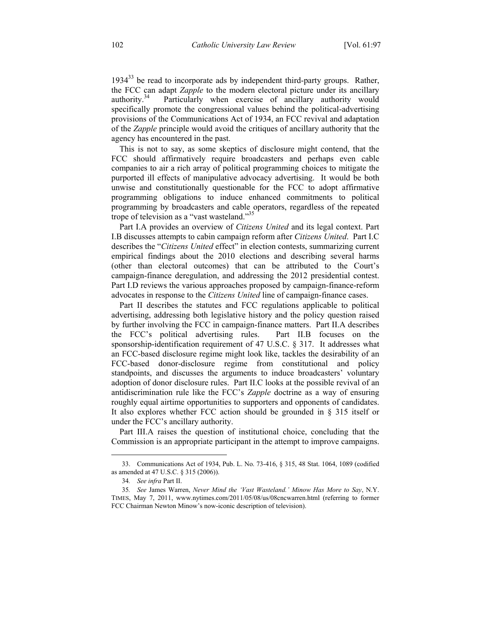$1934^{33}$  be read to incorporate ads by independent third-party groups. Rather, the FCC can adapt *Zapple* to the modern electoral picture under its ancillary authority.<sup>34</sup> Particularly when exercise of ancillary authority would specifically promote the congressional values behind the political-advertising provisions of the Communications Act of 1934, an FCC revival and adaptation of the *Zapple* principle would avoid the critiques of ancillary authority that the agency has encountered in the past.

This is not to say, as some skeptics of disclosure might contend, that the FCC should affirmatively require broadcasters and perhaps even cable companies to air a rich array of political programming choices to mitigate the purported ill effects of manipulative advocacy advertising. It would be both unwise and constitutionally questionable for the FCC to adopt affirmative programming obligations to induce enhanced commitments to political programming by broadcasters and cable operators, regardless of the repeated trope of television as a "vast wasteland."35

Part I.A provides an overview of *Citizens United* and its legal context. Part I.B discusses attempts to cabin campaign reform after *Citizens United*. Part I.C describes the "*Citizens United* effect" in election contests, summarizing current empirical findings about the 2010 elections and describing several harms (other than electoral outcomes) that can be attributed to the Court's campaign-finance deregulation, and addressing the 2012 presidential contest. Part I.D reviews the various approaches proposed by campaign-finance-reform advocates in response to the *Citizens United* line of campaign-finance cases.

Part II describes the statutes and FCC regulations applicable to political advertising, addressing both legislative history and the policy question raised by further involving the FCC in campaign-finance matters. Part II.A describes the FCC's political advertising rules. Part II.B focuses on the sponsorship-identification requirement of 47 U.S.C. § 317. It addresses what an FCC-based disclosure regime might look like, tackles the desirability of an FCC-based donor-disclosure regime from constitutional and policy standpoints, and discusses the arguments to induce broadcasters' voluntary adoption of donor disclosure rules. Part II.C looks at the possible revival of an antidiscrimination rule like the FCC's *Zapple* doctrine as a way of ensuring roughly equal airtime opportunities to supporters and opponents of candidates. It also explores whether FCC action should be grounded in § 315 itself or under the FCC's ancillary authority.

Part III.A raises the question of institutional choice, concluding that the Commission is an appropriate participant in the attempt to improve campaigns.

<u>.</u>

 <sup>33.</sup> Communications Act of 1934, Pub. L. No. 73-416, § 315, 48 Stat. 1064, 1089 (codified as amended at 47 U.S.C. § 315 (2006)).

<sup>34</sup>*. See infra* Part II.

<sup>35</sup>*. See* James Warren, *Never Mind the 'Vast Wasteland.' Minow Has More to Say*, N.Y. TIMES, May 7, 2011, www.nytimes.com/2011/05/08/us/08cncwarren.html (referring to former FCC Chairman Newton Minow's now-iconic description of television).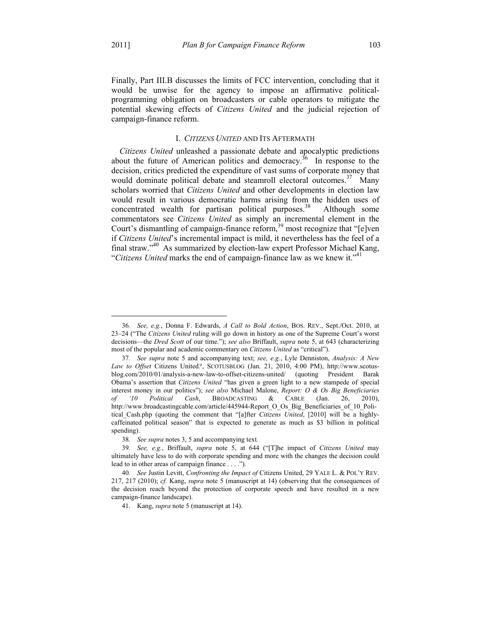Finally, Part III.B discusses the limits of FCC intervention, concluding that it would be unwise for the agency to impose an affirmative politicalprogramming obligation on broadcasters or cable operators to mitigate the potential skewing effects of *Citizens United* and the judicial rejection of campaign-finance reform.

#### I. *CITIZENS UNITED* AND ITS AFTERMATH

*Citizens United* unleashed a passionate debate and apocalyptic predictions about the future of American politics and democracy.<sup>36</sup> In response to the decision, critics predicted the expenditure of vast sums of corporate money that would dominate political debate and steamroll electoral outcomes.<sup>37</sup> Many scholars worried that *Citizens United* and other developments in election law would result in various democratic harms arising from the hidden uses of concentrated wealth for partisan political purposes.<sup>38</sup> Although some commentators see *Citizens United* as simply an incremental element in the Court's dismantling of campaign-finance reform,<sup>39</sup> most recognize that "[e]ven if *Citizens United*'s incremental impact is mild, it nevertheless has the feel of a final straw."40 As summarized by election-law expert Professor Michael Kang, "*Citizens United* marks the end of campaign-finance law as we knew it."41

 <sup>36</sup>*. See, e.g.*, Donna F. Edwards, *A Call to Bold Action*, BOS. REV., Sept./Oct. 2010, at 23–24 ("The *Citizens United* ruling will go down in history as one of the Supreme Court's worst decisions—the *Dred Scott* of our time."); *see also* Briffault, *supra* note 5, at 643 (characterizing most of the popular and academic commentary on *Citizens United* as "critical").

<sup>37</sup>*. See supra* note 5 and accompanying text; *see, e.g.*, Lyle Denniston, *Analysis: A New Law to Offset* Citizens United*?*, SCOTUSBLOG (Jan. 21, 2010, 4:00 PM), http://www.scotusblog.com/2010/01/analysis-a-new-law-to-offset-citizens-united/ (quoting President Barak Obama's assertion that *Citizens United* "has given a green light to a new stampede of special interest money in our politics"); *see also* Michael Malone, *Report: O & Os Big Beneficiaries of '10 Political Cash*, BROADCASTING & CABLE (Jan. 26, 2010), http://www.broadcastingcable.com/article/445944-Report\_O\_Os\_Big\_Beneficiaries\_of\_10\_Political\_Cash.php (quoting the comment that "[a]fter *Citizens United*, [2010] will be a highlycaffeinated political season" that is expected to generate as much as \$3 billion in political spending).

<sup>38</sup>*. See supra* notes 3, 5 and accompanying text.

<sup>39</sup>*. See, e.g.*, Briffault, *supra* note 5, at 644 ("[T]he impact of *Citizens United* may ultimately have less to do with corporate spending and more with the changes the decision could lead to in other areas of campaign finance . . . .").

<sup>40</sup>*. See* Justin Levitt, *Confronting the Impact of* Citizens United, 29 YALE L. & POL'Y REV. 217, 217 (2010); *cf.* Kang, *supra* note 5 (manuscript at 14) (observing that the consequences of the decision reach beyond the protection of corporate speech and have resulted in a new campaign-finance landscape).

 <sup>41.</sup> Kang, *supra* note 5 (manuscript at 14).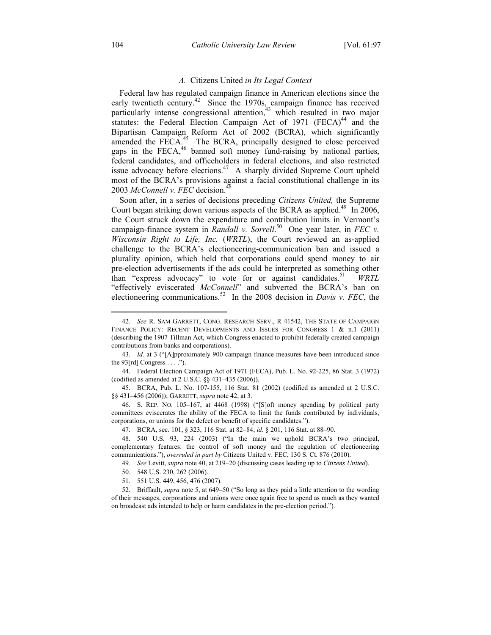#### *A.* Citizens United *in Its Legal Context*

Federal law has regulated campaign finance in American elections since the early twentieth century.<sup>42</sup> Since the 1970s, campaign finance has received particularly intense congressional attention, $43$  which resulted in two major statutes: the Federal Election Campaign Act of 1971 (FECA)<sup>44</sup> and the Bipartisan Campaign Reform Act of 2002 (BCRA), which significantly amended the  $\overrightarrow{FECA}$ .<sup>45</sup> The BCRA, principally designed to close perceived gaps in the FECA, $46$  banned soft money fund-raising by national parties, federal candidates, and officeholders in federal elections, and also restricted issue advocacy before elections.<sup>47</sup> A sharply divided Supreme Court upheld most of the BCRA's provisions against a facial constitutional challenge in its 2003 McConnell v. FEC decision.<sup>48</sup>

Soon after, in a series of decisions preceding *Citizens United,* the Supreme Court began striking down various aspects of the BCRA as applied.<sup>49</sup> In 2006, the Court struck down the expenditure and contribution limits in Vermont's campaign-finance system in *Randall v. Sorrell.*<sup>50</sup> One year later, in *FEC v. Wisconsin Right to Life, Inc.* (*WRTL*), the Court reviewed an as-applied challenge to the BCRA's electioneering-communication ban and issued a plurality opinion, which held that corporations could spend money to air pre-election advertisements if the ads could be interpreted as something other than "express advocacy" to vote for or against candidates.<sup>51</sup> *WRTL* "effectively eviscerated *McConnell*" and subverted the BCRA's ban on electioneering communications.52 In the 2008 decision in *Davis v. FEC*, the

 45. BCRA, Pub. L. No. 107-155, 116 Stat. 81 (2002) (codified as amended at 2 U.S.C. §§ 431–456 (2006)); GARRETT, *supra* note 42, at 3.

 46. S. REP. NO. 105–167, at 4468 (1998) ("[S]oft money spending by political party committees eviscerates the ability of the FECA to limit the funds contributed by individuals, corporations, or unions for the defect or benefit of specific candidates.").

 <sup>42</sup>*. See* R. SAM GARRETT, CONG. RESEARCH SERV., <sup>R</sup> 41542, THE STATE OF CAMPAIGN FINANCE POLICY: RECENT DEVELOPMENTS AND ISSUES FOR CONGRESS 1 & n.1 (2011) (describing the 1907 Tillman Act, which Congress enacted to prohibit federally created campaign contributions from banks and corporations).

<sup>43</sup>*. Id.* at 3 ("[A]pproximately 900 campaign finance measures have been introduced since the  $93[rd]$  Congress . . . .").

 <sup>44.</sup> Federal Election Campaign Act of 1971 (FECA), Pub. L. No. 92-225, 86 Stat. 3 (1972) (codified as amended at 2 U.S.C. §§ 431–435 (2006)).

 <sup>47.</sup> BCRA, sec. 101, § 323, 116 Stat. at 82–84; *id.* § 201, 116 Stat. at 88–90.

 <sup>48. 540</sup> U.S. 93, 224 (2003) ("In the main we uphold BCRA's two principal, complementary features: the control of soft money and the regulation of electioneering communications."), *overruled in part by* Citizens United v. FEC, 130 S. Ct. 876 (2010).

<sup>49</sup>*. See* Levitt, *supra* note 40, at 219–20 (discussing cases leading up to *Citizens United*).

 <sup>50. 548</sup> U.S. 230, 262 (2006).

 <sup>51. 551</sup> U.S. 449, 456, 476 (2007).

 <sup>52.</sup> Briffault, *supra* note 5, at 649–50 ("So long as they paid a little attention to the wording of their messages, corporations and unions were once again free to spend as much as they wanted on broadcast ads intended to help or harm candidates in the pre-election period.").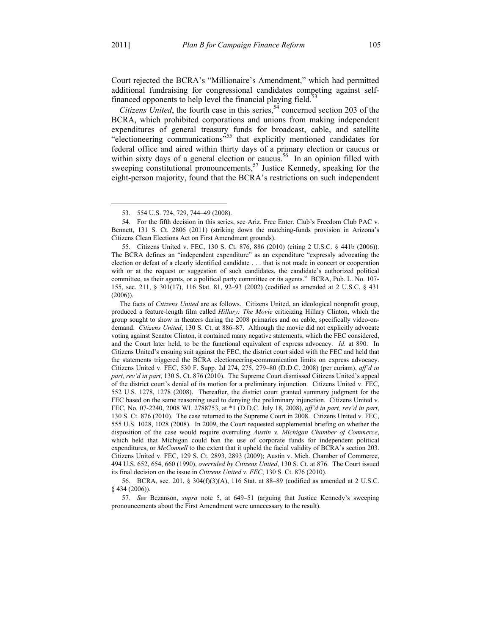1

Court rejected the BCRA's "Millionaire's Amendment," which had permitted additional fundraising for congressional candidates competing against selffinanced opponents to help level the financial playing field.<sup>53</sup>

*Citizens United*, the fourth case in this series,  $5\frac{3}{4}$  concerned section 203 of the BCRA, which prohibited corporations and unions from making independent expenditures of general treasury funds for broadcast, cable, and satellite "electioneering communications"55 that explicitly mentioned candidates for federal office and aired within thirty days of a primary election or caucus or within sixty days of a general election or caucus.<sup>56</sup> In an opinion filled with sweeping constitutional pronouncements,<sup>57</sup> Justice Kennedy, speaking for the eight-person majority, found that the BCRA's restrictions on such independent

 56. BCRA, sec. 201, § 304(f)(3)(A), 116 Stat. at 88–89 (codified as amended at 2 U.S.C. § 434 (2006)).

57*. See* Bezanson, *supra* note 5, at 649–51 (arguing that Justice Kennedy's sweeping pronouncements about the First Amendment were unnecessary to the result).

 <sup>53. 554</sup> U.S. 724, 729, 744–49 (2008).

 <sup>54.</sup> For the fifth decision in this series, see Ariz. Free Enter. Club's Freedom Club PAC v. Bennett, 131 S. Ct. 2806 (2011) (striking down the matching-funds provision in Arizona's Citizens Clean Elections Act on First Amendment grounds).

 <sup>55.</sup> Citizens United v. FEC, 130 S. Ct. 876, 886 (2010) (citing 2 U.S.C. § 441b (2006)). The BCRA defines an "independent expenditure" as an expenditure "expressly advocating the election or defeat of a clearly identified candidate . . . that is not made in concert or cooperation with or at the request or suggestion of such candidates, the candidate's authorized political committee, as their agents, or a political party committee or its agents." BCRA, Pub. L. No. 107- 155, sec. 211, § 301(17), 116 Stat. 81, 92–93 (2002) (codified as amended at 2 U.S.C. § 431  $(2006)$ ).

The facts of *Citizens United* are as follows. Citizens United, an ideological nonprofit group, produced a feature-length film called *Hillary: The Movie* criticizing Hillary Clinton, which the group sought to show in theaters during the 2008 primaries and on cable, specifically video-ondemand. *Citizens United*, 130 S. Ct. at 886–87. Although the movie did not explicitly advocate voting against Senator Clinton, it contained many negative statements, which the FEC considered, and the Court later held, to be the functional equivalent of express advocacy. *Id.* at 890. In Citizens United's ensuing suit against the FEC, the district court sided with the FEC and held that the statements triggered the BCRA electioneering-communication limits on express advocacy. Citizens United v. FEC, 530 F. Supp. 2d 274, 275, 279–80 (D.D.C. 2008) (per curiam), *aff'd in part, rev'd in part*, 130 S. Ct. 876 (2010). The Supreme Court dismissed Citizens United's appeal of the district court's denial of its motion for a preliminary injunction. Citizens United v. FEC, 552 U.S. 1278, 1278 (2008). Thereafter, the district court granted summary judgment for the FEC based on the same reasoning used to denying the preliminary injunction. Citizens United v. FEC, No. 07-2240, 2008 WL 2788753, at \*1 (D.D.C. July 18, 2008), *aff'd in part, rev'd in part*, 130 S. Ct. 876 (2010). The case returned to the Supreme Court in 2008. Citizens United v. FEC, 555 U.S. 1028, 1028 (2008). In 2009, the Court requested supplemental briefing on whether the disposition of the case would require overruling *Austin v. Michigan Chamber of Commerce*, which held that Michigan could ban the use of corporate funds for independent political expenditures, or *McConnell* to the extent that it upheld the facial validity of BCRA's section 203. Citizens United v. FEC, 129 S. Ct. 2893, 2893 (2009); Austin v. Mich. Chamber of Commerce, 494 U.S. 652, 654, 660 (1990), *overruled by Citizens United*, 130 S. Ct. at 876. The Court issued its final decision on the issue in *Citizens United v. FEC*, 130 S. Ct. 876 (2010).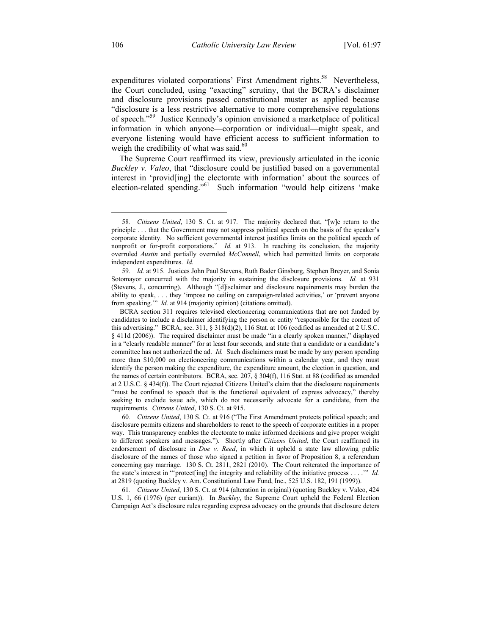expenditures violated corporations' First Amendment rights.<sup>58</sup> Nevertheless, the Court concluded, using "exacting" scrutiny, that the BCRA's disclaimer and disclosure provisions passed constitutional muster as applied because "disclosure is a less restrictive alternative to more comprehensive regulations of speech."59 Justice Kennedy's opinion envisioned a marketplace of political information in which anyone—corporation or individual—might speak, and everyone listening would have efficient access to sufficient information to weigh the credibility of what was said. $60$ 

The Supreme Court reaffirmed its view, previously articulated in the iconic *Buckley v. Valeo*, that "disclosure could be justified based on a governmental interest in 'provid[ing] the electorate with information' about the sources of election-related spending."61 Such information "would help citizens 'make

 <sup>58</sup>*. Citizens United*, 130 S. Ct. at 917. The majority declared that, "[w]e return to the principle . . . that the Government may not suppress political speech on the basis of the speaker's corporate identity. No sufficient governmental interest justifies limits on the political speech of nonprofit or for-profit corporations." *Id.* at 913. In reaching its conclusion, the majority overruled *Austin* and partially overruled *McConnell*, which had permitted limits on corporate independent expenditures. *Id.*

<sup>59</sup>*. Id.* at 915. Justices John Paul Stevens, Ruth Bader Ginsburg, Stephen Breyer, and Sonia Sotomayor concurred with the majority in sustaining the disclosure provisions. *Id.* at 931 (Stevens, J., concurring). Although "[d]isclaimer and disclosure requirements may burden the ability to speak, . . . they 'impose no ceiling on campaign-related activities,' or 'prevent anyone from speaking." *Id.* at 914 (majority opinion) (citations omitted).

BCRA section 311 requires televised electioneering communications that are not funded by candidates to include a disclaimer identifying the person or entity "responsible for the content of this advertising." BCRA, sec.  $311$ ,  $\S$   $318(d)(2)$ ,  $116$  Stat. at  $106$  (codified as amended at  $2$  U.S.C. § 411d (2006)). The required disclaimer must be made "in a clearly spoken manner," displayed in a "clearly readable manner" for at least four seconds, and state that a candidate or a candidate's committee has not authorized the ad. *Id.* Such disclaimers must be made by any person spending more than \$10,000 on electioneering communications within a calendar year, and they must identify the person making the expenditure, the expenditure amount, the election in question, and the names of certain contributors. BCRA, sec. 207, § 304(f), 116 Stat. at 88 (codified as amended at 2 U.S.C. § 434(f)). The Court rejected Citizens United's claim that the disclosure requirements "must be confined to speech that is the functional equivalent of express advocacy," thereby seeking to exclude issue ads, which do not necessarily advocate for a candidate, from the requirements. *Citizens United*, 130 S. Ct. at 915.

<sup>60</sup>*. Citizens United*, 130 S. Ct. at 916 ("The First Amendment protects political speech; and disclosure permits citizens and shareholders to react to the speech of corporate entities in a proper way. This transparency enables the electorate to make informed decisions and give proper weight to different speakers and messages."). Shortly after *Citizens United*, the Court reaffirmed its endorsement of disclosure in *Doe v. Reed*, in which it upheld a state law allowing public disclosure of the names of those who signed a petition in favor of Proposition 8, a referendum concerning gay marriage. 130 S. Ct. 2811, 2821 (2010). The Court reiterated the importance of the state's interest in "'protect[ing] the integrity and reliability of the initiative process . . . .'" *Id.*  at 2819 (quoting Buckley v. Am. Constitutional Law Fund, Inc., 525 U.S. 182, 191 (1999)).

<sup>61</sup>*. Citizens United*, 130 S. Ct. at 914 (alteration in original) (quoting Buckley v. Valeo, 424 U.S. 1, 66 (1976) (per curiam)). In *Buckley*, the Supreme Court upheld the Federal Election Campaign Act's disclosure rules regarding express advocacy on the grounds that disclosure deters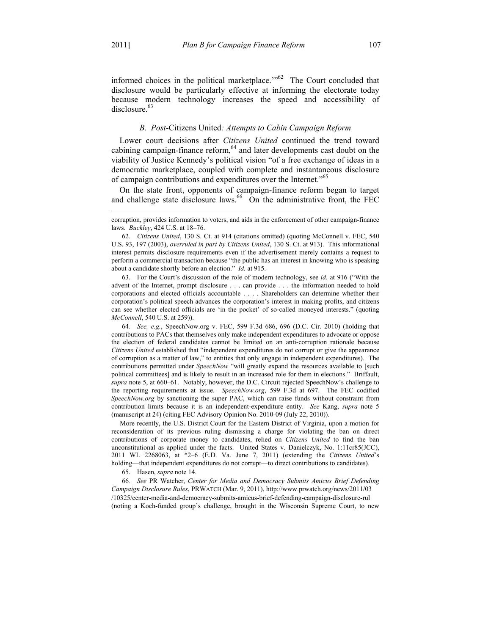$\overline{a}$ 

informed choices in the political marketplace. $\frac{1.062}{1.062}$  The Court concluded that disclosure would be particularly effective at informing the electorate today because modern technology increases the speed and accessibility of disclosure.<sup>63</sup>

### *B. Post-*Citizens United*: Attempts to Cabin Campaign Reform*

Lower court decisions after *Citizens United* continued the trend toward cabining campaign-finance reform, $64$  and later developments cast doubt on the viability of Justice Kennedy's political vision "of a free exchange of ideas in a democratic marketplace, coupled with complete and instantaneous disclosure of campaign contributions and expenditures over the Internet."<sup>65</sup>

On the state front, opponents of campaign-finance reform began to target and challenge state disclosure laws.<sup>66</sup> On the administrative front, the FEC

62*. Citizens United*, 130 S. Ct. at 914 (citations omitted) (quoting McConnell v. FEC, 540 U.S. 93, 197 (2003), *overruled in part by Citizens United*, 130 S. Ct. at 913). This informational interest permits disclosure requirements even if the advertisement merely contains a request to perform a commercial transaction because "the public has an interest in knowing who is speaking about a candidate shortly before an election." *Id.* at 915.

 63. For the Court's discussion of the role of modern technology, see *id.* at 916 ("With the advent of the Internet, prompt disclosure . . . can provide . . . the information needed to hold corporations and elected officials accountable . . . . Shareholders can determine whether their corporation's political speech advances the corporation's interest in making profits, and citizens can see whether elected officials are 'in the pocket' of so-called moneyed interests." (quoting *McConnell*, 540 U.S. at 259)).

64*. See, e.g.*, SpeechNow.org v. FEC, 599 F.3d 686, 696 (D.C. Cir. 2010) (holding that contributions to PACs that themselves only make independent expenditures to advocate or oppose the election of federal candidates cannot be limited on an anti-corruption rationale because *Citizens United* established that "independent expenditures do not corrupt or give the appearance of corruption as a matter of law," to entities that only engage in independent expenditures). The contributions permitted under *SpeechNow* "will greatly expand the resources available to [such political committees] and is likely to result in an increased role for them in elections." Briffault, *supra* note 5, at 660–61. Notably, however, the D.C. Circuit rejected SpeechNow's challenge to the reporting requirements at issue. *SpeechNow.org*, 599 F.3d at 697. The FEC codified *SpeechNow.org* by sanctioning the super PAC, which can raise funds without constraint from contribution limits because it is an independent-expenditure entity. *See* Kang, *supra* note 5 (manuscript at 24) (citing FEC Advisory Opinion No. 2010-09 (July 22, 2010)).

 More recently, the U.S. District Court for the Eastern District of Virginia, upon a motion for reconsideration of its previous ruling dismissing a charge for violating the ban on direct contributions of corporate money to candidates, relied on *Citizens United* to find the ban unconstitutional as applied under the facts. United States v. Danielczyk, No. 1:11cr85(JCC), 2011 WL 2268063, at \*2–6 (E.D. Va. June 7, 2011) (extending the *Citizens United*'s holding—that independent expenditures do not corrupt—to direct contributions to candidates).

65. Hasen, *supra* note 14.

66*. See* PR Watcher, *Center for Media and Democracy Submits Amicus Brief Defending Campaign Disclosure Rules*, PRWATCH (Mar. 9, 2011), http://www.prwatch.org/news/2011/03 /10325/center-media-and-democracy-submits-amicus-brief-defending-campaign-disclosure-rul (noting a Koch-funded group's challenge, brought in the Wisconsin Supreme Court, to new

corruption, provides information to voters, and aids in the enforcement of other campaign-finance laws. *Buckley*, 424 U.S. at 18–76.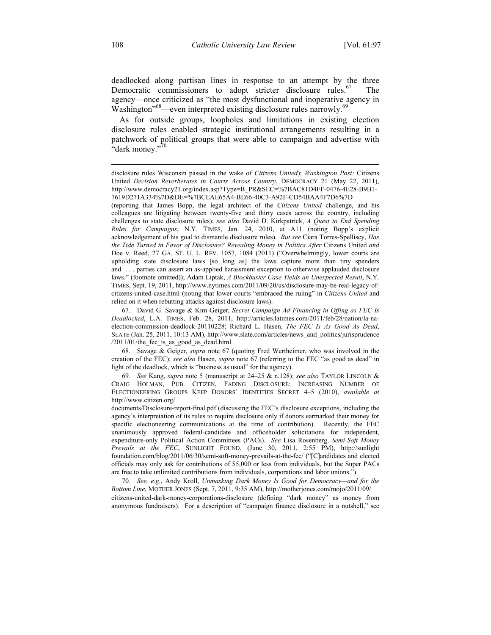deadlocked along partisan lines in response to an attempt by the three Democratic commissioners to adopt stricter disclosure rules.<sup>67</sup> The agency—once criticized as "the most dysfunctional and inoperative agency in Washington<sup>568</sup>—even interpreted existing disclosure rules narrowly.<sup>69</sup>

As for outside groups, loopholes and limitations in existing election disclosure rules enabled strategic institutional arrangements resulting in a patchwork of political groups that were able to campaign and advertise with "dark money."<sup>70</sup>

(reporting that James Bopp, the legal architect of the *Citizens United* challenge, and his colleagues are litigating between twenty-five and thirty cases across the country, including challenges to state disclosure rules); *see also* David D. Kirkpatrick, *A Quest to End Spending Rules for Campaigns*, N.Y. TIMES, Jan. 24, 2010, at A11 (noting Bopp's explicit acknowledgement of his goal to dismantle disclosure rules). *But see* Ciara Torres-Spelliscy, *Has the Tide Turned in Favor of Disclosure? Revealing Money in Politics After* Citizens United *and*  Doe v. Reed, 27 GA. ST. U. L. REV. 1057, 1084 (2011) ("Overwhelmingly, lower courts are upholding state disclosure laws [so long as] the laws capture more than tiny spenders and . . . parties can assert an as-applied harassment exception to otherwise applauded disclosure laws." (footnote omitted)); Adam Liptak, *A Blockbuster Case Yields an Unexpected Result*, N.Y. TIMES, Sept. 19, 2011, http://www.nytimes.com/2011/09/20/us/disclosure-may-be-real-legacy-ofcitizens-united-case.html (noting that lower courts "embraced the ruling" in *Citizens United* and relied on it when rebutting attacks against disclosure laws).

 67. David G. Savage & Kim Geiger, *Secret Campaign Ad Financing in Offing as FEC Is Deadlocked*, L.A. TIMES, Feb. 28, 2011, http://articles.latimes.com/2011/feb/28/nation/la-naelection-commission-deadlock-20110228; Richard L. Hasen, *The FEC Is As Good As Dead*, SLATE (Jan. 25, 2011, 10:13 AM), http://www.slate.com/articles/news\_and\_politics/jurisprudence  $/2011/01$ /the fec is as good as dead.html.

 68. Savage & Geiger, *supra* note 67 (quoting Fred Wertheimer, who was involved in the creation of the FEC); *see also* Hasen, *supra* note 67 (referring to the FEC "as good as dead" in light of the deadlock, which is "business as usual" for the agency).

69*. See* Kang, *supra* note 5 (manuscript at 24–25 & n.128); *see also* TAYLOR LINCOLN & CRAIG HOLMAN, PUB. CITIZEN, FADING DISCLOSURE: INCREASING NUMBER OF ELECTIONEERING GROUPS KEEP DONORS' IDENTITIES SECRET 4–5 (2010), *available at* http://www.citizen.org/

documents/Disclosure-report-final.pdf (discussing the FEC's disclosure exceptions, including the agency's interpretation of its rules to require disclosure only if donors earmarked their money for specific electioneering communications at the time of contribution). Recently, the FEC unanimously approved federal-candidate and officeholder solicitations for independent, expenditure-only Political Action Committees (PACs). *See* Lisa Rosenberg, *Semi-Soft Money Prevails at the FEC*, SUNLIGHT FOUND. (June 30, 2011, 2:55 PM), http://sunlight foundation.com/blog/2011/06/30/semi-soft-money-prevails-at-the-fec/ ("[C]andidates and elected officials may only ask for contributions of \$5,000 or less from individuals, but the Super PACs are free to take unlimited contributions from individuals, corporations and labor unions.").

70*. See, e.g.*, Andy Kroll, *Unmasking Dark Money Is Good for Democracy—and for the Bottom Line*, MOTHER JONES (Sept. 7, 2011, 9:35 AM), http://motherjones.com/mojo/2011/09/ citizens-united-dark-money-corporations-disclosure (defining "dark money" as money from anonymous fundraisers). For a description of "campaign finance disclosure in a nutshell," see

 $\overline{a}$ 

disclosure rules Wisconsin passed in the wake of *Citizens United*); *Washington Post:* Citizens United *Decision Reverberates in Courts Across Country*, DEMOCRACY 21 (May 22, 2011), http://www.democracy21.org/index.asp?Type=B\_PR&SEC=%7BAC81D4FF-0476-4E28-B9B1- 7619D271A334%7D&DE=%7BCEAE65A4-BE66-40C3-A92F-CD54BAA4F7D6%7D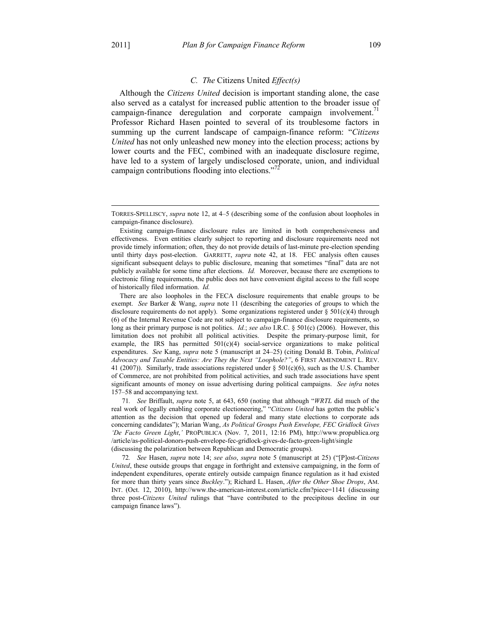$\overline{a}$ 

#### *C. The* Citizens United *Effect(s)*

Although the *Citizens United* decision is important standing alone, the case also served as a catalyst for increased public attention to the broader issue of campaign-finance deregulation and corporate campaign involvement.<sup> $1$ </sup> Professor Richard Hasen pointed to several of its troublesome factors in summing up the current landscape of campaign-finance reform: "*Citizens United* has not only unleashed new money into the election process; actions by lower courts and the FEC, combined with an inadequate disclosure regime, have led to a system of largely undisclosed corporate, union, and individual campaign contributions flooding into elections."<sup>72</sup>

 There are also loopholes in the FECA disclosure requirements that enable groups to be exempt. *See* Barker & Wang, *supra* note 11 (describing the categories of groups to which the disclosure requirements do not apply). Some organizations registered under  $\S 501(c)(4)$  through (6) of the Internal Revenue Code are not subject to campaign-finance disclosure requirements, so long as their primary purpose is not politics. *Id.*; *see also* I.R.C. § 501(c) (2006). However, this limitation does not prohibit all political activities. Despite the primary-purpose limit, for example, the IRS has permitted  $501(c)(4)$  social-service organizations to make political expenditures. *See* Kang, *supra* note 5 (manuscript at 24–25) (citing Donald B. Tobin, *Political Advocacy and Taxable Entities: Are They the Next "Loophole?"*, 6 FIRST AMENDMENT L. REV. 41 (2007)). Similarly, trade associations registered under  $\S 501(c)(6)$ , such as the U.S. Chamber of Commerce, are not prohibited from political activities, and such trade associations have spent significant amounts of money on issue advertising during political campaigns. *See infra* notes 157–58 and accompanying text.

71*. See* Briffault, *supra* note 5, at 643, 650 (noting that although "*WRTL* did much of the real work of legally enabling corporate electioneering," "*Citizens United* has gotten the public's attention as the decision that opened up federal and many state elections to corporate ads concerning candidates"); Marian Wang, *As Political Groups Push Envelope, FEC Gridlock Gives 'De Facto Green Light*,*'* PROPUBLICA (Nov. 7, 2011, 12:16 PM), http://www.propublica.org /article/as-political-donors-push-envelope-fec-gridlock-gives-de-facto-green-light/single (discussing the polarization between Republican and Democratic groups).

72*. See* Hasen, *supra* note 14; *see also*, *supra* note 5 (manuscript at 25) ("[P]ost-*Citizens United*, these outside groups that engage in forthright and extensive campaigning, in the form of independent expenditures, operate entirely outside campaign finance regulation as it had existed for more than thirty years since *Buckley*."); Richard L. Hasen, *After the Other Shoe Drops*, AM. INT. (Oct. 12, 2010), http://www.the-american-interest.com/article.cfm?piece=1141 (discussing three post-*Citizens United* rulings that "have contributed to the precipitous decline in our campaign finance laws").

TORRES-SPELLISCY, *supra* note 12, at 4–5 (describing some of the confusion about loopholes in campaign-finance disclosure).

Existing campaign-finance disclosure rules are limited in both comprehensiveness and effectiveness. Even entities clearly subject to reporting and disclosure requirements need not provide timely information; often, they do not provide details of last-minute pre-election spending until thirty days post-election. GARRETT, *supra* note 42, at 18. FEC analysis often causes significant subsequent delays to public disclosure, meaning that sometimes "final" data are not publicly available for some time after elections. *Id.* Moreover, because there are exemptions to electronic filing requirements, the public does not have convenient digital access to the full scope of historically filed information. *Id.*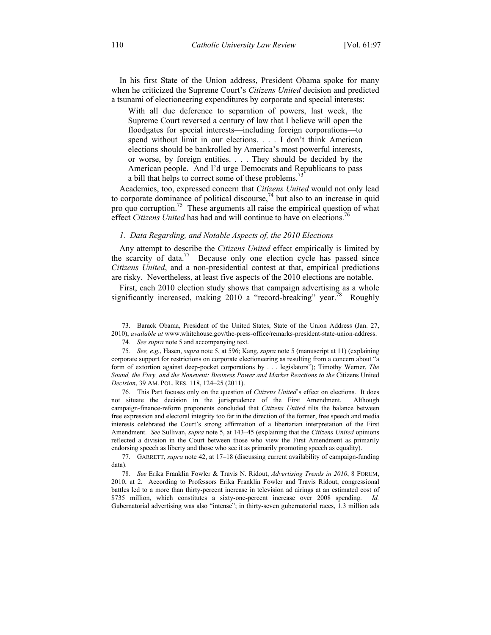In his first State of the Union address, President Obama spoke for many when he criticized the Supreme Court's *Citizens United* decision and predicted a tsunami of electioneering expenditures by corporate and special interests:

With all due deference to separation of powers, last week, the Supreme Court reversed a century of law that I believe will open the floodgates for special interests—including foreign corporations—to spend without limit in our elections. . . . I don't think American elections should be bankrolled by America's most powerful interests, or worse, by foreign entities. . . . They should be decided by the American people. And I'd urge Democrats and Republicans to pass a bill that helps to correct some of these problems.<sup>7</sup>

Academics, too, expressed concern that *Citizens United* would not only lead to corporate dominance of political discourse,<sup>74</sup> but also to an increase in quid pro quo corruption.<sup>75</sup> These arguments all raise the empirical question of what effect *Citizens United* has had and will continue to have on elections.<sup>76</sup>

#### *1. Data Regarding, and Notable Aspects of, the 2010 Elections*

Any attempt to describe the *Citizens United* effect empirically is limited by the scarcity of data.<sup>77</sup> Because only one election cycle has passed since *Citizens United*, and a non-presidential contest at that, empirical predictions are risky. Nevertheless, at least five aspects of the 2010 elections are notable.

First, each 2010 election study shows that campaign advertising as a whole significantly increased, making 2010 a "record-breaking" year.<sup>78</sup> Roughly

1

 <sup>73.</sup> Barack Obama, President of the United States, State of the Union Address (Jan. 27, 2010), *available at* www.whitehouse.gov/the-press-office/remarks-president-state-union-address.

<sup>74</sup>*. See supra* note 5 and accompanying text.

<sup>75</sup>*. See, e.g.*, Hasen, *supra* note 5, at 596; Kang, *supra* note 5 (manuscript at 11) (explaining corporate support for restrictions on corporate electioneering as resulting from a concern about "a form of extortion against deep-pocket corporations by . . . legislators"); Timothy Werner, *The Sound, the Fury, and the Nonevent: Business Power and Market Reactions to the* Citizens United *Decision*, 39 AM. POL. RES. 118, 124–25 (2011).

 <sup>76.</sup> This Part focuses only on the question of *Citizens United*'s effect on elections. It does not situate the decision in the jurisprudence of the First Amendment. Although campaign-finance-reform proponents concluded that *Citizens United* tilts the balance between free expression and electoral integrity too far in the direction of the former, free speech and media interests celebrated the Court's strong affirmation of a libertarian interpretation of the First Amendment. *See* Sullivan, *supra* note 5, at 143–45 (explaining that the *Citizens United* opinions reflected a division in the Court between those who view the First Amendment as primarily endorsing speech as liberty and those who see it as primarily promoting speech as equality).

 <sup>77.</sup> GARRETT, *supra* note 42, at 17–18 (discussing current availability of campaign-funding data).

<sup>78</sup>*. See* Erika Franklin Fowler & Travis N. Ridout, *Advertising Trends in 2010*, 8 FORUM, 2010, at 2. According to Professors Erika Franklin Fowler and Travis Ridout, congressional battles led to a more than thirty-percent increase in television ad airings at an estimated cost of \$735 million, which constitutes a sixty-one-percent increase over 2008 spending. *Id.* Gubernatorial advertising was also "intense"; in thirty-seven gubernatorial races, 1.3 million ads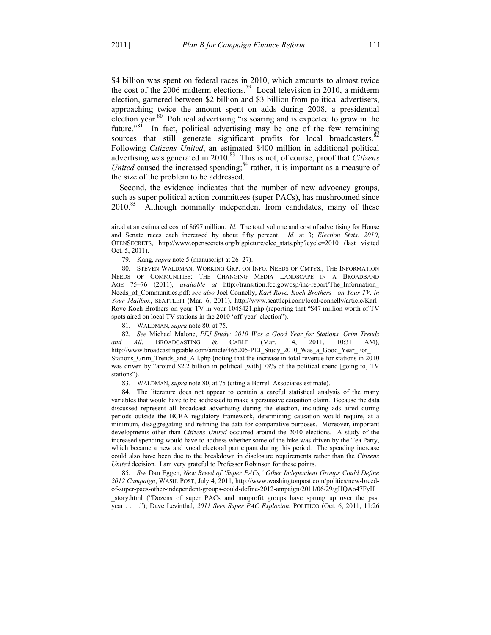\$4 billion was spent on federal races in 2010, which amounts to almost twice the cost of the 2006 midterm elections.<sup>79</sup> Local television in 2010, a midterm election, garnered between \$2 billion and \$3 billion from political advertisers, approaching twice the amount spent on adds during 2008, a presidential election year.80 Political advertising "is soaring and is expected to grow in the future."<sup>81</sup> In fact, political advertising may be one of the few remaining sources that still generate significant profits for local broadcasters.<sup>82</sup> Following *Citizens United*, an estimated \$400 million in additional political advertising was generated in 2010.<sup>83</sup> This is not, of course, proof that *Citizens United* caused the increased spending; $84$  rather, it is important as a measure of the size of the problem to be addressed.

Second, the evidence indicates that the number of new advocacy groups, such as super political action committees (super PACs), has mushroomed since 2010.<sup>85</sup> Although nominally independent from candidates, many of these

79. Kang, *supra* note 5 (manuscript at 26–27).

 80. STEVEN WALDMAN, WORKING GRP. ON INFO. NEEDS OF CMTYS., THE INFORMATION NEEDS OF COMMUNITIES: THE CHANGING MEDIA LANDSCAPE IN A BROADBAND AGE 75–76 (2011), *available at* http://transition.fcc.gov/osp/inc-report/The\_Information\_ Needs\_of\_Communities.pdf; *see also* Joel Connelly, *Karl Rove, Koch Brothers—on Your TV, in Your Mailbox*, SEATTLEPI (Mar. 6, 2011), http://www.seattlepi.com/local/connelly/article/Karl-Rove-Koch-Brothers-on-your-TV-in-your-1045421.php (reporting that "\$47 million worth of TV spots aired on local TV stations in the 2010 'off-year' election").

81. WALDMAN, *supra* note 80, at 75.

82*. See* Michael Malone, *PEJ Study: 2010 Was a Good Year for Stations, Grim Trends and All*, BROADCASTING & CABLE (Mar. 14, 2011, 10:31 AM), http://www.broadcastingcable.com/article/465205-PEJ\_Study\_2010\_Was\_a\_Good\_Year\_For Stations Grim Trends and All.php (noting that the increase in total revenue for stations in 2010 was driven by "around \$2.2 billion in political [with] 73% of the political spend [going to] TV stations").

83. WALDMAN, *supra* note 80, at 75 (citing a Borrell Associates estimate).

 84. The literature does not appear to contain a careful statistical analysis of the many variables that would have to be addressed to make a persuasive causation claim. Because the data discussed represent all broadcast advertising during the election, including ads aired during periods outside the BCRA regulatory framework, determining causation would require, at a minimum, disaggregating and refining the data for comparative purposes. Moreover, important developments other than *Citizens United* occurred around the 2010 elections. A study of the increased spending would have to address whether some of the hike was driven by the Tea Party, which became a new and vocal electoral participant during this period. The spending increase could also have been due to the breakdown in disclosure requirements rather than the *Citizens United* decision. I am very grateful to Professor Robinson for these points.

85*. See* Dan Eggen, *New Breed of 'Super PACs,' Other Independent Groups Could Define 2012 Campaign*, WASH. POST, July 4, 2011, http://www.washingtonpost.com/politics/new-breedof-super-pacs-other-independent-groups-could-define-2012-ampaign/2011/06/29/gHQAo47FyH \_story.html ("Dozens of super PACs and nonprofit groups have sprung up over the past year . . . ."); Dave Levinthal, *2011 Sees Super PAC Explosion*, POLITICO (Oct. 6, 2011, 11:26

 $\overline{a}$ 

aired at an estimated cost of \$697 million. *Id.* The total volume and cost of advertising for House and Senate races each increased by about fifty percent. *Id.* at 3; *Election Stats: 2010*, OPENSECRETS, http://www.opensecrets.org/bigpicture/elec\_stats.php?cycle=2010 (last visited Oct. 5, 2011).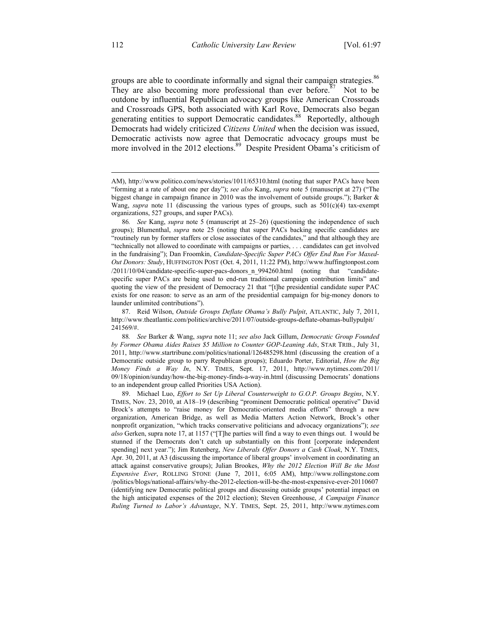groups are able to coordinate informally and signal their campaign strategies.<sup>86</sup> They are also becoming more professional than ever before.<sup>87</sup> Not to be outdone by influential Republican advocacy groups like American Crossroads and Crossroads GPS, both associated with Karl Rove, Democrats also began generating entities to support Democratic candidates.<sup>88</sup> Reportedly, although Democrats had widely criticized *Citizens United* when the decision was issued, Democratic activists now agree that Democratic advocacy groups must be more involved in the 2012 elections.<sup>89</sup> Despite President Obama's criticism of

 $\overline{a}$ 

AM), http://www.politico.com/news/stories/1011/65310.html (noting that super PACs have been "forming at a rate of about one per day"); *see also* Kang, *supra* note 5 (manuscript at 27) ("The biggest change in campaign finance in 2010 was the involvement of outside groups."); Barker & Wang, *supra* note 11 (discussing the various types of groups, such as  $501(c)(4)$  tax-exempt organizations, 527 groups, and super PACs).

<sup>86</sup>*. See* Kang, *supra* note 5 (manuscript at 25–26) (questioning the independence of such groups); Blumenthal, *supra* note 25 (noting that super PACs backing specific candidates are "routinely run by former staffers or close associates of the candidates," and that although they are "technically not allowed to coordinate with campaigns or parties, . . . candidates can get involved in the fundraising"); Dan Froomkin, *Candidate-Specific Super PACs Offer End Run For Maxed-Out Donors: Study*, HUFFINGTON POST (Oct. 4, 2011, 11:22 PM), http://www.huffingtonpost.com /2011/10/04/candidate-specific-super-pacs-donors\_n\_994260.html (noting that "candidatespecific super PACs are being used to end-run traditional campaign contribution limits" and quoting the view of the president of Democracy 21 that "[t]he presidential candidate super PAC exists for one reason: to serve as an arm of the presidential campaign for big-money donors to launder unlimited contributions").

 <sup>87.</sup> Reid Wilson, *Outside Groups Deflate Obama's Bully Pulpit*, ATLANTIC, July 7, 2011, http://www.theatlantic.com/politics/archive/2011/07/outside-groups-deflate-obamas-bullypulpit/ 241569/#.

<sup>88</sup>*. See* Barker & Wang, *supra* note 11; *see also* Jack Gillum, *Democratic Group Founded by Former Obama Aides Raises \$5 Million to Counter GOP-Leaning Ads*, STAR TRIB., July 31, 2011, http://www.startribune.com/politics/national/126485298.html (discussing the creation of a Democratic outside group to parry Republican groups); Eduardo Porter, Editorial, *How the Big Money Finds a Way In*, N.Y. TIMES, Sept. 17, 2011, http://www.nytimes.com/2011/ 09/18/opinion/sunday/how-the-big-money-finds-a-way-in.html (discussing Democrats' donations to an independent group called Priorities USA Action).

 <sup>89.</sup> Michael Luo, *Effort to Set Up Liberal Counterweight to G.O.P. Groups Begins*, N.Y. TIMES, Nov. 23, 2010, at A18–19 (describing "prominent Democratic political operative" David Brock's attempts to "raise money for Democratic-oriented media efforts" through a new organization, American Bridge, as well as Media Matters Action Network, Brock's other nonprofit organization, "which tracks conservative politicians and advocacy organizations"); *see also* Gerken, supra note 17, at 1157 ("[T]he parties will find a way to even things out. I would be stunned if the Democrats don't catch up substantially on this front [corporate independent spending] next year."); Jim Rutenberg, *New Liberals Offer Donors a Cash Cloak*, N.Y. TIMES, Apr. 30, 2011, at A3 (discussing the importance of liberal groups' involvement in coordinating an attack against conservative groups); Julian Brookes, *Why the 2012 Election Will Be the Most Expensive Ever*, ROLLING STONE (June 7, 2011, 6:05 AM), http://www.rollingstone.com /politics/blogs/national-affairs/why-the-2012-election-will-be-the-most-expensive-ever-20110607 (identifying new Democratic political groups and discussing outside groups' potential impact on the high anticipated expenses of the 2012 election); Steven Greenhouse, *A Campaign Finance Ruling Turned to Labor's Advantage*, N.Y. TIMES, Sept. 25, 2011, http://www.nytimes.com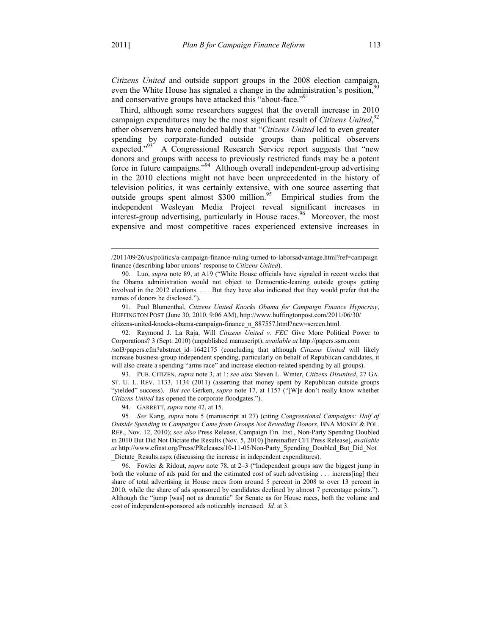$\overline{a}$ 

*Citizens United* and outside support groups in the 2008 election campaign, even the White House has signaled a change in the administration's position,<sup>9</sup> and conservative groups have attacked this "about-face."<sup>91</sup>

Third, although some researchers suggest that the overall increase in 2010 campaign expenditures may be the most significant result of *Citizens United*,<sup>92</sup> other observers have concluded baldly that "*Citizens United* led to even greater spending by corporate-funded outside groups than political observers expected."<sup>93</sup> A Congressional Research Service report suggests that "new donors and groups with access to previously restricted funds may be a potent force in future campaigns."94 Although overall independent-group advertising in the 2010 elections might not have been unprecedented in the history of television politics, it was certainly extensive, with one source asserting that outside groups spent almost  $$300$  million.<sup>95</sup> Empirical studies from the independent Wesleyan Media Project reveal significant increases in interest-group advertising, particularly in House races.<sup>96</sup> Moreover, the most expensive and most competitive races experienced extensive increases in

 91. Paul Blumenthal, *Citizens United Knocks Obama for Campaign Finance Hypocrisy*, HUFFINGTON POST (June 30, 2010, 9:06 AM), http://www.huffingtonpost.com/2011/06/30/ citizens-united-knocks-obama-campaign-finance\_n\_887557.html?new=screen.html.

 92. Raymond J. La Raja, Will *Citizens United v. FEC* Give More Political Power to Corporations? 3 (Sept. 2010) (unpublished manuscript), *available at* http://papers.ssrn.com /sol3/papers.cfm?abstract\_id=1642175 (concluding that although *Citizens United* will likely increase business-group independent spending, particularly on behalf of Republican candidates, it will also create a spending "arms race" and increase election-related spending by all groups).

 93. PUB. CITIZEN, *supra* note 3, at 1; *see also* Steven L. Winter, *Citizens Disunited*, 27 GA. ST. U. L. REV. 1133, 1134 (2011) (asserting that money spent by Republican outside groups "yielded" success). *But see* Gerken, *supra* note 17, at 1157 ("[W]e don't really know whether *Citizens United* has opened the corporate floodgates.").

94. GARRETT, *supra* note 42, at 15.

95*. See* Kang, *supra* note 5 (manuscript at 27) (citing *Congressional Campaigns: Half of Outside Spending in Campaigns Came from Groups Not Revealing Donors*, BNA MONEY & POL. REP., Nov. 12, 2010); *see also* Press Release, Campaign Fin. Inst., Non-Party Spending Doubled in 2010 But Did Not Dictate the Results (Nov. 5, 2010) [hereinafter CFI Press Release], *available at* http://www.cfinst.org/Press/PReleases/10-11-05/Non-Party\_Spending\_Doubled\_But\_Did\_Not Dictate Results.aspx (discussing the increase in independent expenditures).

 96. Fowler & Ridout, *supra* note 78, at 2–3 ("Independent groups saw the biggest jump in both the volume of ads paid for and the estimated cost of such advertising . . . increas[ing] their share of total advertising in House races from around 5 percent in 2008 to over 13 percent in 2010, while the share of ads sponsored by candidates declined by almost 7 percentage points."). Although the "jump [was] not as dramatic" for Senate as for House races, both the volume and cost of independent-sponsored ads noticeably increased. *Id.* at 3.

<sup>/2011/09/26/</sup>us/politics/a-campaign-finance-ruling-turned-to-laborsadvantage.html?ref=campaign finance (describing labor unions' response to *Citizens United*).

 <sup>90.</sup> Luo, *supra* note 89, at A19 ("White House officials have signaled in recent weeks that the Obama administration would not object to Democratic-leaning outside groups getting involved in the 2012 elections. . . . But they have also indicated that they would prefer that the names of donors be disclosed.").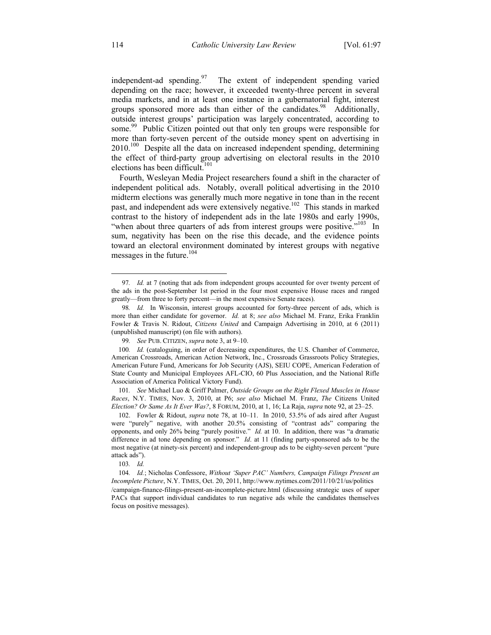independent-ad spending. <sup>97</sup> The extent of independent spending varied depending on the race; however, it exceeded twenty-three percent in several media markets, and in at least one instance in a gubernatorial fight, interest groups sponsored more ads than either of the candidates.<sup>98</sup> Additionally, outside interest groups' participation was largely concentrated, according to some.<sup>99</sup> Public Citizen pointed out that only ten groups were responsible for more than forty-seven percent of the outside money spent on advertising in  $2010$ <sup>100</sup> Despite all the data on increased independent spending, determining the effect of third-party group advertising on electoral results in the 2010 elections has been difficult.<sup>101</sup>

Fourth, Wesleyan Media Project researchers found a shift in the character of independent political ads. Notably, overall political advertising in the 2010 midterm elections was generally much more negative in tone than in the recent past, and independent ads were extensively negative.<sup>102</sup> This stands in marked contrast to the history of independent ads in the late 1980s and early 1990s, "when about three quarters of ads from interest groups were positive."<sup>103</sup> In sum, negativity has been on the rise this decade, and the evidence points toward an electoral environment dominated by interest groups with negative messages in the future.<sup>104</sup>

101*. See* Michael Luo & Griff Palmer, *Outside Groups on the Right Flexed Muscles in House Races*, N.Y. TIMES, Nov. 3, 2010, at P6; *see also* Michael M. Franz, *The* Citizens United *Election? Or Same As It Ever Was?*, 8 FORUM, 2010, at 1, 16; La Raja, *supra* note 92, at 23–25.

 102. Fowler & Ridout, *supra* note 78, at 10–11. In 2010, 53.5% of ads aired after August were "purely" negative, with another 20.5% consisting of "contrast ads" comparing the opponents, and only 26% being "purely positive." *Id.* at 10. In addition, there was "a dramatic difference in ad tone depending on sponsor." *Id*. at 11 (finding party-sponsored ads to be the most negative (at ninety-six percent) and independent-group ads to be eighty-seven percent "pure attack ads").

103*. Id.*

 <sup>97</sup>*. Id.* at 7 (noting that ads from independent groups accounted for over twenty percent of the ads in the post-September 1st period in the four most expensive House races and ranged greatly—from three to forty percent—in the most expensive Senate races).

<sup>98</sup>*. Id.* In Wisconsin, interest groups accounted for forty-three percent of ads, which is more than either candidate for governor. *Id.* at 8; *see also* Michael M. Franz, Erika Franklin Fowler & Travis N. Ridout, *Citizens United* and Campaign Advertising in 2010, at 6 (2011) (unpublished manuscript) (on file with authors).

<sup>99</sup>*. See* PUB. CITIZEN, *supra* note 3, at 9–10.

<sup>100</sup>*. Id.* (cataloguing, in order of decreasing expenditures, the U.S. Chamber of Commerce, American Crossroads, American Action Network, Inc., Crossroads Grassroots Policy Strategies, American Future Fund, Americans for Job Security (AJS), SEIU COPE, American Federation of State County and Municipal Employees AFL-CIO, 60 Plus Association, and the National Rifle Association of America Political Victory Fund).

<sup>104</sup>*. Id.*; Nicholas Confessore, *Without 'Super PAC' Numbers, Campaign Filings Present an Incomplete Picture*, N.Y. TIMES, Oct. 20, 2011, http://www.nytimes.com/2011/10/21/us/politics /campaign-finance-filings-present-an-incomplete-picture.html (discussing strategic uses of super PACs that support individual candidates to run negative ads while the candidates themselves focus on positive messages).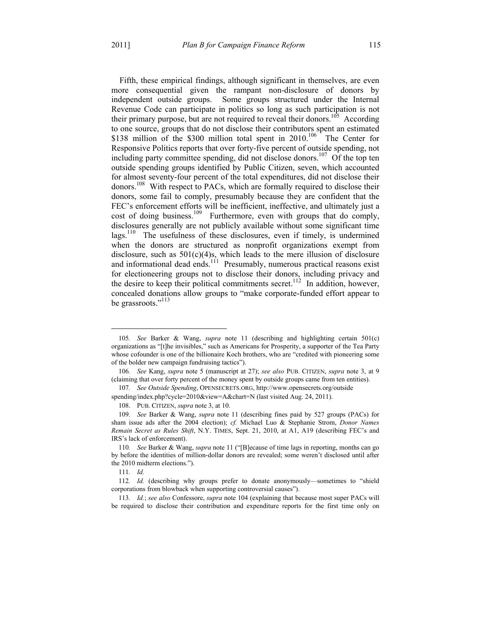Fifth, these empirical findings, although significant in themselves, are even more consequential given the rampant non-disclosure of donors by independent outside groups. Some groups structured under the Internal Revenue Code can participate in politics so long as such participation is not their primary purpose, but are not required to reveal their donors.<sup>105</sup> According to one source, groups that do not disclose their contributors spent an estimated \$138 million of the \$300 million total spent in 2010.<sup>106</sup> The Center for Responsive Politics reports that over forty-five percent of outside spending, not including party committee spending, did not disclose donors.<sup>107</sup> Of the top ten outside spending groups identified by Public Citizen, seven, which accounted for almost seventy-four percent of the total expenditures, did not disclose their donors.<sup>108</sup> With respect to PACs, which are formally required to disclose their donors, some fail to comply, presumably because they are confident that the FEC's enforcement efforts will be inefficient, ineffective, and ultimately just a cost of doing business.<sup>109</sup> Furthermore, even with groups that do comply, disclosures generally are not publicly available without some significant time lags.<sup>110</sup> The usefulness of these disclosures, even if timely, is undermined when the donors are structured as nonprofit organizations exempt from disclosure, such as  $501(c)(4)$ s, which leads to the mere illusion of disclosure and informational dead ends.<sup>111</sup> Presumably, numerous practical reasons exist for electioneering groups not to disclose their donors, including privacy and the desire to keep their political commitments secret.<sup>112</sup> In addition, however, concealed donations allow groups to "make corporate-funded effort appear to be grassroots."<sup>113</sup>

1

<sup>105</sup>*. See* Barker & Wang, *supra* note 11 (describing and highlighting certain 501(c) organizations as "[t]he invisibles," such as Americans for Prosperity, a supporter of the Tea Party whose cofounder is one of the billionaire Koch brothers, who are "credited with pioneering some of the bolder new campaign fundraising tactics").

<sup>106</sup>*. See* Kang, *supra* note 5 (manuscript at 27); *see also* PUB. CITIZEN, *supra* note 3, at 9 (claiming that over forty percent of the money spent by outside groups came from ten entities).

<sup>107</sup>*. See Outside Spending*, OPENSECRETS.ORG, http://www.opensecrets.org/outside spending/index.php?cycle=2010&view=A&chart=N (last visited Aug. 24, 2011).

 <sup>108.</sup> PUB. CITIZEN, *supra* note 3, at 10.

<sup>109</sup>*. See* Barker & Wang, *supra* note 11 (describing fines paid by 527 groups (PACs) for sham issue ads after the 2004 election); *cf.* Michael Luo & Stephanie Strom, *Donor Names Remain Secret as Rules Shift*, N.Y. TIMES, Sept. 21, 2010, at A1, A19 (describing FEC's and IRS's lack of enforcement).

<sup>110</sup>*. See* Barker & Wang, *supra* note 11 ("[B]ecause of time lags in reporting, months can go by before the identities of million-dollar donors are revealed; some weren't disclosed until after the 2010 midterm elections.").

<sup>111</sup>*. Id.*

<sup>112</sup>*. Id.* (describing why groups prefer to donate anonymously—sometimes to "shield corporations from blowback when supporting controversial causes").

<sup>113</sup>*. Id.*; *see also* Confessore, *supra* note 104 (explaining that because most super PACs will be required to disclose their contribution and expenditure reports for the first time only on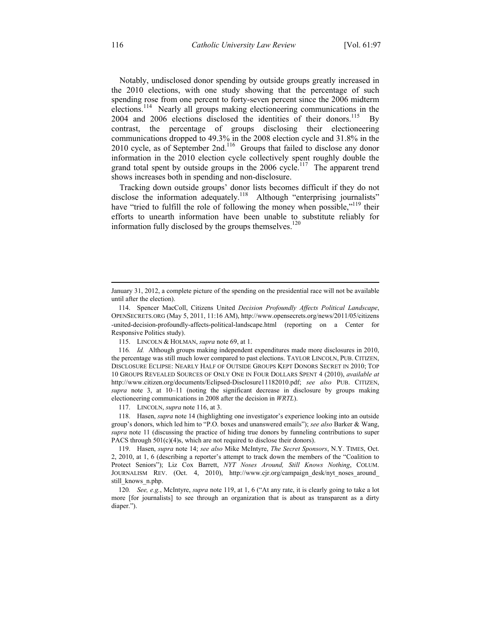Notably, undisclosed donor spending by outside groups greatly increased in the 2010 elections, with one study showing that the percentage of such spending rose from one percent to forty-seven percent since the 2006 midterm elections.<sup>114</sup> Nearly all groups making electioneering communications in the 2004 and 2006 elections disclosed the identities of their donors.<sup>115</sup> By contrast, the percentage of groups disclosing their electioneering communications dropped to 49.3% in the 2008 election cycle and 31.8% in the 2010 cycle, as of September 2nd.<sup>116</sup> Groups that failed to disclose any donor information in the 2010 election cycle collectively spent roughly double the grand total spent by outside groups in the 2006 cycle.<sup>117</sup> The apparent trend shows increases both in spending and non-disclosure.

Tracking down outside groups' donor lists becomes difficult if they do not disclose the information adequately.<sup>118</sup> Although "enterprising journalists" have "tried to fulfill the role of following the money when possible,"<sup>119</sup> their efforts to unearth information have been unable to substitute reliably for information fully disclosed by the groups themselves. $120$ 

117. LINCOLN, *supra* note 116, at 3.

 118. Hasen, *supra* note 14 (highlighting one investigator's experience looking into an outside group's donors, which led him to "P.O. boxes and unanswered emails"); *see also* Barker & Wang, *supra* note 11 (discussing the practice of hiding true donors by funneling contributions to super PACS through 501(c)(4)s, which are not required to disclose their donors).

 119. Hasen, *supra* note 14; *see also* Mike McIntyre, *The Secret Sponsors*, N.Y. TIMES, Oct. 2, 2010, at 1, 6 (describing a reporter's attempt to track down the members of the "Coalition to Protect Seniors"); Liz Cox Barrett, *NYT Noses Around, Still Knows Nothing*, COLUM. JOURNALISM REV. (Oct. 4, 2010), http://www.cjr.org/campaign\_desk/nyt\_noses\_around still\_knows\_n.php.

120*. See, e.g.*, McIntyre, *supra* note 119, at 1, 6 ("At any rate, it is clearly going to take a lot more [for journalists] to see through an organization that is about as transparent as a dirty diaper.").

 $\overline{a}$ 

January 31, 2012, a complete picture of the spending on the presidential race will not be available until after the election).

 <sup>114.</sup> Spencer MacColl, Citizens United *Decision Profoundly Affects Political Landscape*, OPENSECRETS.ORG (May 5, 2011, 11:16 AM), http://www.opensecrets.org/news/2011/05/citizens -united-decision-profoundly-affects-political-landscape.html (reporting on a Center for Responsive Politics study).

 <sup>115.</sup> LINCOLN & HOLMAN, *supra* note 69, at 1.

<sup>116</sup>*. Id.* Although groups making independent expenditures made more disclosures in 2010, the percentage was still much lower compared to past elections. TAYLOR LINCOLN, PUB. CITIZEN, DISCLOSURE ECLIPSE: NEARLY HALF OF OUTSIDE GROUPS KEPT DONORS SECRET IN 2010; TOP 10 GROUPS REVEALED SOURCES OF ONLY ONE IN FOUR DOLLARS SPENT 4 (2010), *available at* http://www.citizen.org/documents/Eclipsed-Disclosure11182010.pdf; *see also* PUB. CITIZEN, *supra* note 3, at 10–11 (noting the significant decrease in disclosure by groups making electioneering communications in 2008 after the decision in *WRTL*).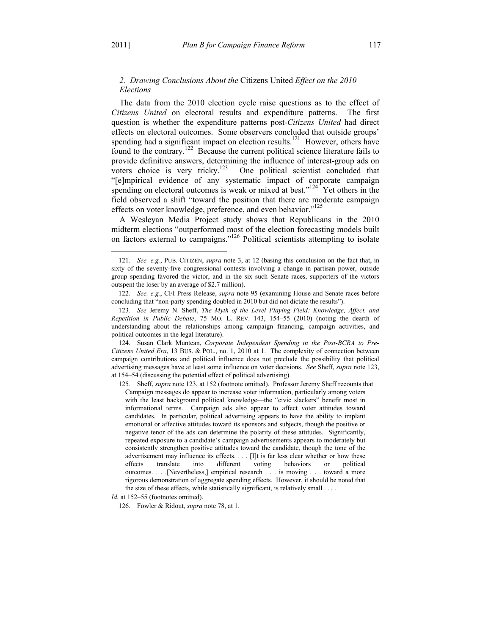## *2. Drawing Conclusions About the* Citizens United *Effect on the 2010 Elections*

The data from the 2010 election cycle raise questions as to the effect of *Citizens United* on electoral results and expenditure patterns. The first question is whether the expenditure patterns post-*Citizens United* had direct effects on electoral outcomes. Some observers concluded that outside groups' spending had a significant impact on election results.<sup>121</sup> However, others have found to the contrary.122 Because the current political science literature fails to provide definitive answers, determining the influence of interest-group ads on voters choice is very tricky.<sup>123</sup> One political scientist concluded that "[e]mpirical evidence of any systematic impact of corporate campaign spending on electoral outcomes is weak or mixed at best." $124$  Yet others in the field observed a shift "toward the position that there are moderate campaign effects on voter knowledge, preference, and even behavior."<sup>125</sup>

A Wesleyan Media Project study shows that Republicans in the 2010 midterm elections "outperformed most of the election forecasting models built on factors external to campaigns."126 Political scientists attempting to isolate

 124. Susan Clark Muntean, *Corporate Independent Spending in the Post-BCRA to Pre-Citizens United Era*, 13 BUS. & POL., no. 1, 2010 at 1. The complexity of connection between campaign contributions and political influence does not preclude the possibility that political advertising messages have at least some influence on voter decisions. *See* Sheff, *supra* note 123, at 154–54 (discussing the potential effect of political advertising).

125*.* Sheff, *supra* note 123, at 152 (footnote omitted). Professor Jeremy Sheff recounts that Campaign messages do appear to increase voter information, particularly among voters with the least background political knowledge—the "civic slackers" benefit most in informational terms. Campaign ads also appear to affect voter attitudes toward candidates. In particular, political advertising appears to have the ability to implant emotional or affective attitudes toward its sponsors and subjects, though the positive or negative tenor of the ads can determine the polarity of these attitudes. Significantly, repeated exposure to a candidate's campaign advertisements appears to moderately but consistently strengthen positive attitudes toward the candidate, though the tone of the advertisement may influence its effects. . . . [I]t is far less clear whether or how these effects translate into different voting behaviors or political outcomes. . . .[Nevertheless,] empirical research . . . is moving . . . toward a more rigorous demonstration of aggregate spending effects. However, it should be noted that the size of these effects, while statistically significant, is relatively small . . . .

1

<sup>121</sup>*. See, e.g.*, PUB. CITIZEN, *supra* note 3, at 12 (basing this conclusion on the fact that, in sixty of the seventy-five congressional contests involving a change in partisan power, outside group spending favored the victor, and in the six such Senate races, supporters of the victors outspent the loser by an average of \$2.7 million).

<sup>122</sup>*. See, e.g.*, CFI Press Release, *supra* note 95 (examining House and Senate races before concluding that "non-party spending doubled in 2010 but did not dictate the results").

<sup>123</sup>*. See* Jeremy N. Sheff, *The Myth of the Level Playing Field: Knowledge, Affect, and Repetition in Public Debate*, 75 MO. L. REV. 143, 154–55 (2010) (noting the dearth of understanding about the relationships among campaign financing, campaign activities, and political outcomes in the legal literature).

*Id.* at 152–55 (footnotes omitted).

 <sup>126.</sup> Fowler & Ridout, *supra* note 78, at 1.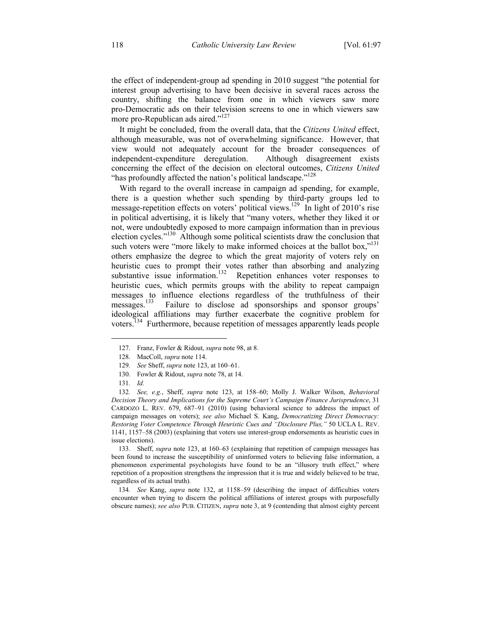the effect of independent-group ad spending in 2010 suggest "the potential for interest group advertising to have been decisive in several races across the country, shifting the balance from one in which viewers saw more pro-Democratic ads on their television screens to one in which viewers saw more pro-Republican ads aired."<sup>127</sup>

It might be concluded, from the overall data, that the *Citizens United* effect, although measurable, was not of overwhelming significance. However, that view would not adequately account for the broader consequences of independent-expenditure deregulation. Although disagreement exists concerning the effect of the decision on electoral outcomes, *Citizens United* "has profoundly affected the nation's political landscape."<sup>128</sup>

With regard to the overall increase in campaign ad spending, for example, there is a question whether such spending by third-party groups led to message-repetition effects on voters' political views.<sup>129</sup> In light of 2010's rise in political advertising, it is likely that "many voters, whether they liked it or not, were undoubtedly exposed to more campaign information than in previous election cycles."<sup>130</sup> Although some political scientists draw the conclusion that such voters were "more likely to make informed choices at the ballot box,"<sup>131</sup> others emphasize the degree to which the great majority of voters rely on heuristic cues to prompt their votes rather than absorbing and analyzing substantive issue information.<sup>132</sup> Repetition enhances voter responses to heuristic cues, which permits groups with the ability to repeat campaign messages to influence elections regardless of the truthfulness of their messages.<sup>133</sup> Failure to disclose ad sponsorships and sponsor groups' ideological affiliations may further exacerbate the cognitive problem for voters.<sup>134</sup> Furthermore, because repetition of messages apparently leads people

1

 133. Sheff, *supra* note 123, at 160–63 (explaining that repetition of campaign messages has been found to increase the susceptibility of uninformed voters to believing false information, a phenomenon experimental psychologists have found to be an "illusory truth effect," where repetition of a proposition strengthens the impression that it is true and widely believed to be true, regardless of its actual truth).

134*. See* Kang, *supra* note 132, at 1158–59 (describing the impact of difficulties voters encounter when trying to discern the political affiliations of interest groups with purposefully obscure names); *see also* PUB. CITIZEN, *supra* note 3, at 9 (contending that almost eighty percent

 <sup>127.</sup> Franz, Fowler & Ridout, *supra* note 98, at 8.

 <sup>128.</sup> MacColl, *supra* note 114.

<sup>129</sup>*. See* Sheff, *supra* note 123, at 160–61.

 <sup>130.</sup> Fowler & Ridout, *supra* note 78, at 14.

<sup>131</sup>*. Id.*

<sup>132</sup>*. See, e.g.*, Sheff, *supra* note 123, at 158–60; Molly J. Walker Wilson, *Behavioral Decision Theory and Implications for the Supreme Court's Campaign Finance Jurisprudence*, 31 CARDOZO L. REV. 679, 687–91 (2010) (using behavioral science to address the impact of campaign messages on voters); *see also* Michael S. Kang, *Democratizing Direct Democracy: Restoring Voter Competence Through Heuristic Cues and "Disclosure Plus,"* 50 UCLA L. REV. 1141, 1157–58 (2003) (explaining that voters use interest-group endorsements as heuristic cues in issue elections).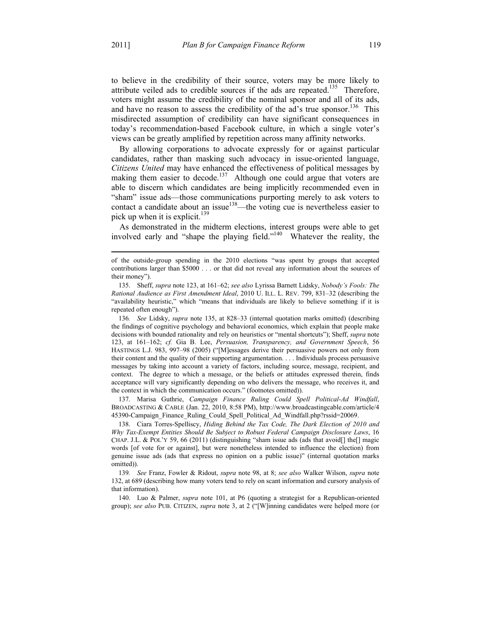$\overline{a}$ 

to believe in the credibility of their source, voters may be more likely to attribute veiled ads to credible sources if the ads are repeated.<sup>135</sup> Therefore, voters might assume the credibility of the nominal sponsor and all of its ads, and have no reason to assess the credibility of the ad's true sponsor.<sup>136</sup> This misdirected assumption of credibility can have significant consequences in today's recommendation-based Facebook culture, in which a single voter's views can be greatly amplified by repetition across many affinity networks.

By allowing corporations to advocate expressly for or against particular candidates, rather than masking such advocacy in issue-oriented language, *Citizens United* may have enhanced the effectiveness of political messages by making them easier to decode.<sup>137</sup> Although one could argue that voters are able to discern which candidates are being implicitly recommended even in "sham" issue ads—those communications purporting merely to ask voters to contact a candidate about an issue<sup>138</sup>—the voting cue is nevertheless easier to pick up when it is explicit.<sup>139</sup>

As demonstrated in the midterm elections, interest groups were able to get involved early and "shape the playing field."<sup>140</sup> Whatever the reality, the

136*. See* Lidsky, *supra* note 135, at 828–33 (internal quotation marks omitted) (describing the findings of cognitive psychology and behavioral economics, which explain that people make decisions with bounded rationality and rely on heuristics or "mental shortcuts"); Sheff, *supra* note 123, at 161–162; *cf.* Gia B. Lee, *Persuasion, Transparency, and Government Speech*, 56 HASTINGS L.J. 983, 997–98 (2005) ("[M]essages derive their persuasive powers not only from their content and the quality of their supporting argumentation. . . . Individuals process persuasive messages by taking into account a variety of factors, including source, message, recipient, and context. The degree to which a message, or the beliefs or attitudes expressed therein, finds acceptance will vary significantly depending on who delivers the message, who receives it, and the context in which the communication occurs." (footnotes omitted)).

 137. Marisa Guthrie, *Campaign Finance Ruling Could Spell Political-Ad Windfall*, BROADCASTING & CABLE (Jan. 22, 2010, 8:58 PM), http://www.broadcastingcable.com/article/4 45390-Campaign\_Finance\_Ruling\_Could\_Spell\_Political\_Ad\_Windfall.php?rssid=20069.

 138. Ciara Torres-Spelliscy, *Hiding Behind the Tax Code, The Dark Election of 2010 and Why Tax-Exempt Entities Should Be Subject to Robust Federal Campaign Disclosure Laws*, 16 CHAP. J.L. & POL'Y 59, 66 (2011) (distinguishing "sham issue ads (ads that avoid[] the[] magic words [of vote for or against], but were nonetheless intended to influence the election) from genuine issue ads (ads that express no opinion on a public issue)" (internal quotation marks omitted)).

139*. See* Franz, Fowler & Ridout, *supra* note 98, at 8; *see also* Walker Wilson, *supra* note 132, at 689 (describing how many voters tend to rely on scant information and cursory analysis of that information).

 140. Luo & Palmer, *supra* note 101, at P6 (quoting a strategist for a Republican-oriented group); *see also* PUB. CITIZEN, *supra* note 3, at 2 ("[W]inning candidates were helped more (or

of the outside-group spending in the 2010 elections "was spent by groups that accepted contributions larger than \$5000 . . . or that did not reveal any information about the sources of their money").

 <sup>135.</sup> Sheff, *supra* note 123, at 161–62; *see also* Lyrissa Barnett Lidsky, *Nobody's Fools: The Rational Audience as First Amendment Ideal*, 2010 U. ILL. L. REV. 799, 831–32 (describing the "availability heuristic," which "means that individuals are likely to believe something if it is repeated often enough").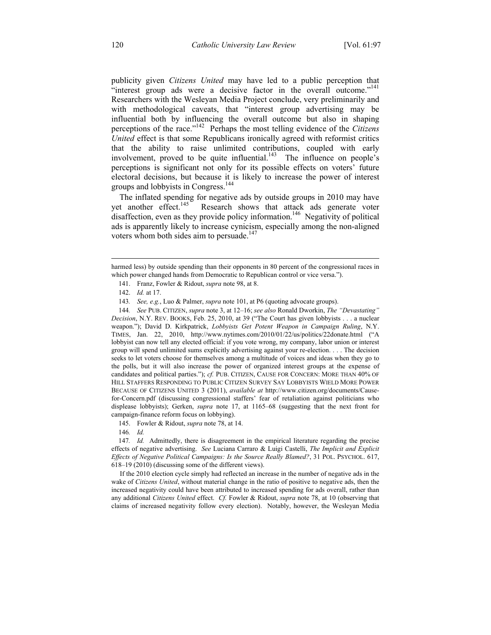publicity given *Citizens United* may have led to a public perception that "interest group ads were a decisive factor in the overall outcome."<sup>141</sup> Researchers with the Wesleyan Media Project conclude, very preliminarily and with methodological caveats, that "interest group advertising may be influential both by influencing the overall outcome but also in shaping perceptions of the race."142 Perhaps the most telling evidence of the *Citizens United* effect is that some Republicans ironically agreed with reformist critics that the ability to raise unlimited contributions, coupled with early involvement, proved to be quite influential. $143$  The influence on people's perceptions is significant not only for its possible effects on voters' future electoral decisions, but because it is likely to increase the power of interest groups and lobbyists in Congress.<sup>144</sup>

The inflated spending for negative ads by outside groups in 2010 may have yet another effect.<sup>145</sup> Research shows that attack ads generate voter disaffection, even as they provide policy information.146 Negativity of political ads is apparently likely to increase cynicism, especially among the non-aligned voters whom both sides aim to persuade.<sup>147</sup>

 $\overline{a}$ 

144*. See* PUB. CITIZEN, *supra* note 3, at 12–16; *see also* Ronald Dworkin, *The "Devastating" Decision*, N.Y. REV. BOOKS, Feb. 25, 2010, at 39 ("The Court has given lobbyists . . . a nuclear weapon."); David D. Kirkpatrick, *Lobbyists Get Potent Weapon in Campaign Ruling*, N.Y. TIMES, Jan. 22, 2010, http://www.nytimes.com/2010/01/22/us/politics/22donate.html ("A lobbyist can now tell any elected official: if you vote wrong, my company, labor union or interest group will spend unlimited sums explicitly advertising against your re-election. . . . The decision seeks to let voters choose for themselves among a multitude of voices and ideas when they go to the polls, but it will also increase the power of organized interest groups at the expense of candidates and political parties."); *cf.* PUB. CITIZEN, CAUSE FOR CONCERN: MORE THAN 40% OF HILL STAFFERS RESPONDING TO PUBLIC CITIZEN SURVEY SAY LOBBYISTS WIELD MORE POWER BECAUSE OF CITIZENS UNITED 3 (2011), *available at* http://www.citizen.org/documents/Causefor-Concern.pdf (discussing congressional staffers' fear of retaliation against politicians who displease lobbyists); Gerken, *supra* note 17, at 1165–68 (suggesting that the next front for campaign-finance reform focus on lobbying).

145. Fowler & Ridout, *supra* note 78, at 14.

146*. Id.*

147*. Id.* Admittedly, there is disagreement in the empirical literature regarding the precise effects of negative advertising. *See* Luciana Carraro & Luigi Castelli, *The Implicit and Explicit Effects of Negative Political Campaigns: Is the Source Really Blamed?*, 31 POL. PSYCHOL. 617, 618–19 (2010) (discussing some of the different views).

 If the 2010 election cycle simply had reflected an increase in the number of negative ads in the wake of *Citizens United*, without material change in the ratio of positive to negative ads, then the increased negativity could have been attributed to increased spending for ads overall, rather than any additional *Citizens United* effect. *Cf.* Fowler & Ridout, *supra* note 78, at 10 (observing that claims of increased negativity follow every election). Notably, however, the Wesleyan Media

harmed less) by outside spending than their opponents in 80 percent of the congressional races in which power changed hands from Democratic to Republican control or vice versa.").

 <sup>141.</sup> Franz, Fowler & Ridout, *supra* note 98, at 8.

 <sup>142.</sup> *Id.* at 17.

<sup>143</sup>*. See, e.g.*, Luo & Palmer, *supra* note 101, at P6 (quoting advocate groups).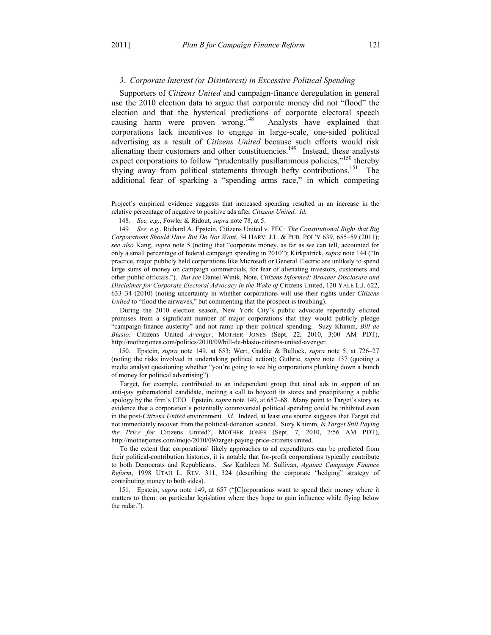#### *3. Corporate Interest (or Disinterest) in Excessive Political Spending*

Supporters of *Citizens United* and campaign-finance deregulation in general use the 2010 election data to argue that corporate money did not "flood" the election and that the hysterical predictions of corporate electoral speech causing harm were proven wrong.<sup>148</sup> Analysts have explained that corporations lack incentives to engage in large-scale, one-sided political advertising as a result of *Citizens United* because such efforts would risk alienating their customers and other constituencies.<sup>149</sup> Instead, these analysts expect corporations to follow "prudentially pusillanimous policies,"<sup>150</sup> thereby shying away from political statements through hefty contributions.<sup>151</sup> The additional fear of sparking a "spending arms race," in which competing

149*. See, e.g.*, Richard A. Epstein, Citizens United v. FEC*: The Constitutional Right that Big Corporations Should Have But Do Not Want*, 34 HARV. J.L. & PUB. POL'Y 639, 655–59 (2011); *see also* Kang, *supra* note 5 (noting that "corporate money, as far as we can tell, accounted for only a small percentage of federal campaign spending in 2010"); Kirkpatrick, *supra* note 144 ("In practice, major publicly held corporations like Microsoft or General Electric are unlikely to spend large sums of money on campaign commercials, for fear of alienating investors, customers and other public officials."). *But see* Daniel Winik, Note, *Citizens Informed: Broader Disclosure and Disclaimer for Corporate Electoral Advocacy in the Wake of* Citizens United, 120 YALE L.J. 622, 633–34 (2010) (noting uncertainty in whether corporations will use their rights under *Citizens United* to "flood the airwaves," but commenting that the prospect is troubling).

 During the 2010 election season, New York City's public advocate reportedly elicited promises from a significant number of major corporations that they would publicly pledge "campaign-finance austerity" and not ramp up their political spending. Suzy Khimm, *Bill de Blasio:* Citizens United *Avenger*, MOTHER JONES (Sept. 22, 2010, 3:00 AM PDT), http://motherjones.com/politics/2010/09/bill-de-blasio-citizens-united-avenger.

 150. Epstein, *supra* note 149, at 653; Wert, Gaddie & Bullock, *supra* note 5, at 726–27 (noting the risks involved in undertaking political action); Guthrie, *supra* note 137 (quoting a media analyst questioning whether "you're going to see big corporations plunking down a bunch of money for political advertising").

 Target, for example, contributed to an independent group that aired ads in support of an anti-gay gubernatorial candidate, inciting a call to boycott its stores and precipitating a public apology by the firm's CEO. Epstein, *supra* note 149, at 657–68. Many point to Target's story as evidence that a corporation's potentially controversial political spending could be inhibited even in the post-*Citizens United* environment. *Id.* Indeed, at least one source suggests that Target did not immediately recover from the political-donation scandal. Suzy Khimm, *Is Target Still Paying the Price for* Citizens United*?*, MOTHER JONES (Sept. 7, 2010, 7:56 AM PDT), http://motherjones.com/mojo/2010/09/target-paying-price-citizens-united.

 To the extent that corporations' likely approaches to ad expenditures can be predicted from their political-contribution histories, it is notable that for-profit corporations typically contribute to both Democrats and Republicans. *See* Kathleen M. Sullivan, *Against Campaign Finance Reform*, 1998 UTAH L. REV. 311, 324 (describing the corporate "hedging" strategy of contributing money to both sides).

 151. Epstein, *supra* note 149, at 657 ("[C]orporations want to spend their money where it matters to them: on particular legislation where they hope to gain influence while flying below the radar.").

 $\overline{a}$ 

Project's empirical evidence suggests that increased spending resulted in an increase in the relative percentage of negative to positive ads after *Citizens United*. *Id.*

<sup>148</sup>*. See, e.g.*, Fowler & Ridout, *supra* note 78, at 5.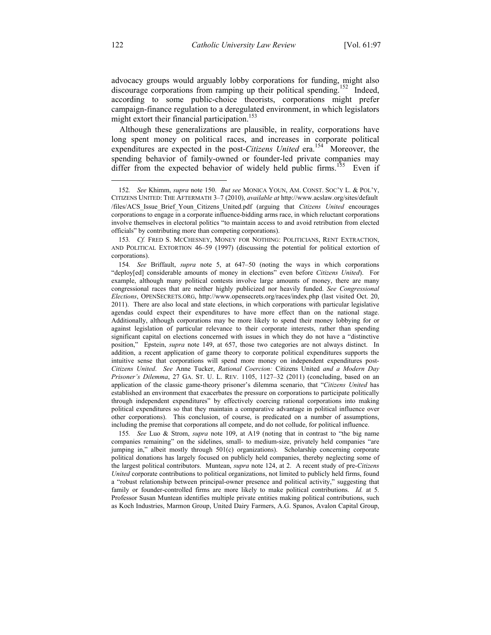advocacy groups would arguably lobby corporations for funding, might also discourage corporations from ramping up their political spending.<sup>152</sup> Indeed, according to some public-choice theorists, corporations might prefer campaign-finance regulation to a deregulated environment, in which legislators might extort their financial participation.<sup>153</sup>

Although these generalizations are plausible, in reality, corporations have long spent money on political races, and increases in corporate political expenditures are expected in the post-*Citizens United* era.<sup>154</sup> Moreover, the spending behavior of family-owned or founder-led private companies may differ from the expected behavior of widely held public firms.<sup>155</sup> Even if

155*. See* Luo & Strom, *supra* note 109, at A19 (noting that in contrast to "the big name companies remaining" on the sidelines, small- to medium-size, privately held companies "are jumping in," albeit mostly through 501(c) organizations). Scholarship concerning corporate political donations has largely focused on publicly held companies, thereby neglecting some of the largest political contributors. Muntean, *supra* note 124, at 2. A recent study of pre-*Citizens United* corporate contributions to political organizations, not limited to publicly held firms, found a "robust relationship between principal-owner presence and political activity," suggesting that family or founder-controlled firms are more likely to make political contributions. *Id.* at 5. Professor Susan Muntean identifies multiple private entities making political contributions, such as Koch Industries, Marmon Group, United Dairy Farmers, A.G. Spanos, Avalon Capital Group,

<u>.</u>

<sup>152</sup>*. See* Khimm, *supra* note 150. *But see* MONICA YOUN, AM. CONST. SOC'Y L. & POL'Y, CITIZENS UNITED: THE AFTERMATH 3–7 (2010), *available at* http://www.acslaw.org/sites/default /files/ACS\_Issue\_Brief\_Youn\_Citizens\_United.pdf (arguing that *Citizens United* encourages corporations to engage in a corporate influence-bidding arms race, in which reluctant corporations involve themselves in electoral politics "to maintain access to and avoid retribution from elected officials" by contributing more than competing corporations).

<sup>153</sup>*. Cf.* FRED S. MCCHESNEY, MONEY FOR NOTHING: POLITICIANS, RENT EXTRACTION, AND POLITICAL EXTORTION 46–59 (1997) (discussing the potential for political extortion of corporations).

<sup>154</sup>*. See* Briffault, *supra* note 5, at 647–50 (noting the ways in which corporations "deploy[ed] considerable amounts of money in elections" even before *Citizens United*). For example, although many political contests involve large amounts of money, there are many congressional races that are neither highly publicized nor heavily funded. *See Congressional Elections*, OPENSECRETS.ORG, http://www.opensecrets.org/races/index.php (last visited Oct. 20, 2011). There are also local and state elections, in which corporations with particular legislative agendas could expect their expenditures to have more effect than on the national stage. Additionally, although corporations may be more likely to spend their money lobbying for or against legislation of particular relevance to their corporate interests, rather than spending significant capital on elections concerned with issues in which they do not have a "distinctive position," Epstein, *supra* note 149, at 657, those two categories are not always distinct. In addition, a recent application of game theory to corporate political expenditures supports the intuitive sense that corporations will spend more money on independent expenditures post-*Citizens United*. *See* Anne Tucker, *Rational Coercion:* Citizens United *and a Modern Day Prisoner's Dilemma*, 27 GA. ST. U. L. REV. 1105, 1127–32 (2011) (concluding, based on an application of the classic game-theory prisoner's dilemma scenario, that "*Citizens United* has established an environment that exacerbates the pressure on corporations to participate politically through independent expenditures" by effectively coercing rational corporations into making political expenditures so that they maintain a comparative advantage in political influence over other corporations). This conclusion, of course, is predicated on a number of assumptions, including the premise that corporations all compete, and do not collude, for political influence.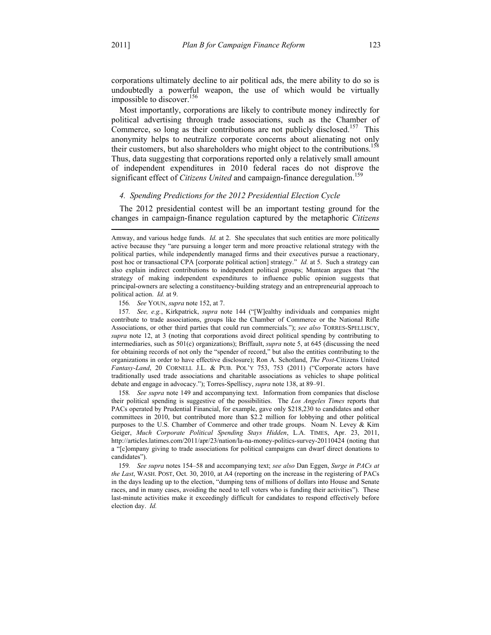$\overline{a}$ 

corporations ultimately decline to air political ads, the mere ability to do so is undoubtedly a powerful weapon, the use of which would be virtually impossible to discover.<sup>156</sup>

Most importantly, corporations are likely to contribute money indirectly for political advertising through trade associations, such as the Chamber of Commerce, so long as their contributions are not publicly disclosed.<sup>157</sup> This anonymity helps to neutralize corporate concerns about alienating not only their customers, but also shareholders who might object to the contributions.<sup>158</sup> Thus, data suggesting that corporations reported only a relatively small amount of independent expenditures in 2010 federal races do not disprove the significant effect of *Citizens United* and campaign-finance deregulation.<sup>159</sup>

#### *4. Spending Predictions for the 2012 Presidential Election Cycle*

The 2012 presidential contest will be an important testing ground for the changes in campaign-finance regulation captured by the metaphoric *Citizens* 

156*. See* YOUN, *supra* note 152, at 7.

157*. See, e.g.*, Kirkpatrick, *supra* note 144 ("[W]ealthy individuals and companies might contribute to trade associations, groups like the Chamber of Commerce or the National Rifle Associations, or other third parties that could run commercials."); *see also* TORRES-SPELLISCY, *supra* note 12, at 3 (noting that corporations avoid direct political spending by contributing to intermediaries, such as 501(c) organizations); Briffault, *supra* note 5, at 645 (discussing the need for obtaining records of not only the "spender of record," but also the entities contributing to the organizations in order to have effective disclosure); Ron A. Schotland, *The Post*-Citizens United *Fantasy-Land*, 20 CORNELL J.L. & PUB. POL'Y 753, 753 (2011) ("Corporate actors have traditionally used trade associations and charitable associations as vehicles to shape political debate and engage in advocacy."); Torres-Spelliscy, *supra* note 138, at 89–91.

158*. See supra* note 149 and accompanying text. Information from companies that disclose their political spending is suggestive of the possibilities. The *Los Angeles Times* reports that PACs operated by Prudential Financial, for example, gave only \$218,230 to candidates and other committees in 2010, but contributed more than \$2.2 million for lobbying and other political purposes to the U.S. Chamber of Commerce and other trade groups. Noam N. Levey & Kim Geiger, *Much Corporate Political Spending Stays Hidden*, L.A. TIMES, Apr. 23, 2011, http://articles.latimes.com/2011/apr/23/nation/la-na-money-politics-survey-20110424 (noting that a "[c]ompany giving to trade associations for political campaigns can dwarf direct donations to candidates").

159*. See supra* notes 154–58 and accompanying text; *see also* Dan Eggen, *Surge in PACs at the Last*, WASH. POST, Oct. 30, 2010, at A4 (reporting on the increase in the registering of PACs in the days leading up to the election, "dumping tens of millions of dollars into House and Senate races, and in many cases, avoiding the need to tell voters who is funding their activities"). These last-minute activities make it exceedingly difficult for candidates to respond effectively before election day. *Id.*

Amway, and various hedge funds. *Id.* at 2. She speculates that such entities are more politically active because they "are pursuing a longer term and more proactive relational strategy with the political parties, while independently managed firms and their executives pursue a reactionary, post hoc or transactional CPA [corporate political action] strategy." *Id.* at 5. Such a strategy can also explain indirect contributions to independent political groups; Muntean argues that "the strategy of making independent expenditures to influence public opinion suggests that principal-owners are selecting a constituency-building strategy and an entrepreneurial approach to political action. *Id.* at 9.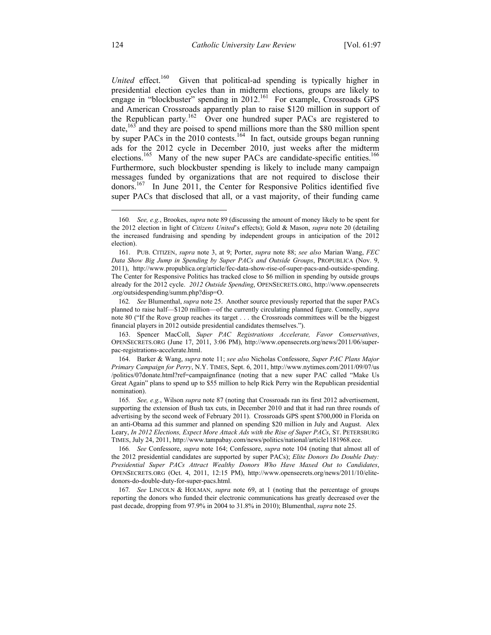*United* effect.<sup>160</sup> Given that political-ad spending is typically higher in presidential election cycles than in midterm elections, groups are likely to engage in "blockbuster" spending in  $2012$ .<sup>161</sup> For example, Crossroads GPS and American Crossroads apparently plan to raise \$120 million in support of the Republican party.162 Over one hundred super PACs are registered to date,<sup>163</sup> and they are poised to spend millions more than the \$80 million spent by super PACs in the 2010 contests.<sup>164</sup> In fact, outside groups began running ads for the 2012 cycle in December 2010, just weeks after the midterm elections.<sup>165</sup> Many of the new super PACs are candidate-specific entities.<sup>166</sup> Furthermore, such blockbuster spending is likely to include many campaign messages funded by organizations that are not required to disclose their donors.<sup>167</sup> In June 2011, the Center for Responsive Politics identified five super PACs that disclosed that all, or a vast majority, of their funding came

162*. See* Blumenthal, *supra* note 25. Another source previously reported that the super PACs planned to raise half—\$120 million—of the currently circulating planned figure. Connelly, *supra* note 80 ("If the Rove group reaches its target . . . the Crossroads committees will be the biggest financial players in 2012 outside presidential candidates themselves.").

 163. Spencer MacColl, *Super PAC Registrations Accelerate, Favor Conservatives*, OPENSECRETS.ORG (June 17, 2011, 3:06 PM), http://www.opensecrets.org/news/2011/06/superpac-registrations-accelerate.html.

 164. Barker & Wang, *supra* note 11; *see also* Nicholas Confessore, *Super PAC Plans Major Primary Campaign for Perry*, N.Y. TIMES, Sept. 6, 2011, http://www.nytimes.com/2011/09/07/us /politics/07donate.html?ref=campaignfinance (noting that a new super PAC called "Make Us Great Again" plans to spend up to \$55 million to help Rick Perry win the Republican presidential nomination).

1

<sup>160</sup>*. See, e.g.*, Brookes, *supra* note 89 (discussing the amount of money likely to be spent for the 2012 election in light of *Citizens United*'s effects); Gold & Mason, *supra* note 20 (detailing the increased fundraising and spending by independent groups in anticipation of the 2012 election).

 <sup>161.</sup> PUB. CITIZEN, *supra* note 3, at 9; Porter, *supra* note 88; *see also* Marian Wang, *FEC Data Show Big Jump in Spending by Super PACs and Outside Groups*, PROPUBLICA (Nov. 9, 2011), http://www.propublica.org/article/fec-data-show-rise-of-super-pacs-and-outside-spending. The Center for Responsive Politics has tracked close to \$6 million in spending by outside groups already for the 2012 cycle. *2012 Outside Spending*, OPENSECRETS.ORG, http://www.opensecrets .org/outsidespending/summ.php?disp=O.

<sup>165</sup>*. See, e.g.*, Wilson *supra* note 87 (noting that Crossroads ran its first 2012 advertisement, supporting the extension of Bush tax cuts, in December 2010 and that it had run three rounds of advertising by the second week of February 2011). Crossroads GPS spent \$700,000 in Florida on an anti-Obama ad this summer and planned on spending \$20 million in July and August. Alex Leary, *In 2012 Elections, Expect More Attack Ads with the Rise of Super PACs*, ST. PETERSBURG TIMES, July 24, 2011, http://www.tampabay.com/news/politics/national/article1181968.ece.

<sup>166</sup>*. See* Confessore, *supra* note 164; Confessore, *supra* note 104 (noting that almost all of the 2012 presidential candidates are supported by super PACs); *Elite Donors Do Double Duty: Presidential Super PACs Attract Wealthy Donors Who Have Maxed Out to Candidates*, OPENSECRETS.ORG (Oct. 4, 2011, 12:15 PM), http://www.opensecrets.org/news/2011/10/elitedonors-do-double-duty-for-super-pacs.html.

<sup>167</sup>*. See* LINCOLN & HOLMAN, *supra* note 69, at 1 (noting that the percentage of groups reporting the donors who funded their electronic communications has greatly decreased over the past decade, dropping from 97.9% in 2004 to 31.8% in 2010); Blumenthal, *supra* note 25.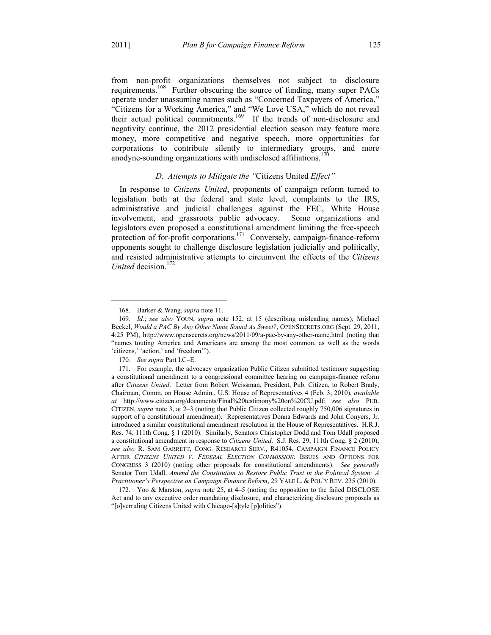from non-profit organizations themselves not subject to disclosure requirements.<sup>168</sup> Further obscuring the source of funding, many super PACs operate under unassuming names such as "Concerned Taxpayers of America," "Citizens for a Working America," and "We Love USA," which do not reveal their actual political commitments.<sup>169</sup> If the trends of non-disclosure and negativity continue, the 2012 presidential election season may feature more money, more competitive and negative speech, more opportunities for corporations to contribute silently to intermediary groups, and more anodyne-sounding organizations with undisclosed affiliations.<sup>170</sup>

## *D*. *Attempts to Mitigate the "*Citizens United *Effect"*

In response to *Citizens United*, proponents of campaign reform turned to legislation both at the federal and state level, complaints to the IRS, administrative and judicial challenges against the FEC, White House involvement, and grassroots public advocacy. Some organizations and legislators even proposed a constitutional amendment limiting the free-speech protection of for-profit corporations.<sup>171</sup> Conversely, campaign-finance-reform opponents sought to challenge disclosure legislation judicially and politically, and resisted administrative attempts to circumvent the effects of the *Citizens United* decision.172

<u>.</u>

 <sup>168.</sup> Barker & Wang, *supra* note 11.

<sup>169</sup>*. Id.*; *see also* YOUN, *supra* note 152, at 15 (describing misleading names); Michael Beckel, *Would a PAC By Any Other Name Sound As Sweet?*, OPENSECRETS.ORG (Sept. 29, 2011, 4:25 PM), http://www.opensecrets.org/news/2011/09/a-pac-by-any-other-name.html (noting that "names touting America and Americans are among the most common, as well as the words 'citizens,' 'action,' and 'freedom'").

<sup>170</sup>*. See supra* Part I.C–E.

 <sup>171.</sup> For example, the advocacy organization Public Citizen submitted testimony suggesting a constitutional amendment to a congressional committee hearing on campaign-finance reform after *Citizens United*. Letter from Robert Weissman, President, Pub. Citizen, to Robert Brady, Chairman, Comm. on House Admin., U.S. House of Representatives 4 (Feb. 3, 2010), *available at* http://www.citizen.org/documents/Final%20testimony%20on%20CU.pdf; *see also* PUB. CITIZEN, *supra* note 3, at 2–3 (noting that Public Citizen collected roughly 750,006 signatures in support of a constitutional amendment). Representatives Donna Edwards and John Conyers, Jr. introduced a similar constitutional amendment resolution in the House of Representatives. H.R.J. Res. 74, 111th Cong. § 1 (2010). Similarly, Senators Christopher Dodd and Tom Udall proposed a constitutional amendment in response to *Citizens United*. S.J. Res. 29, 111th Cong. § 2 (2010); *see also* R. SAM GARRETT, CONG. RESEARCH SERV., R41054, CAMPAIGN FINANCE POLICY AFTER *CITIZENS UNITED V. FEDERAL ELECTION COMMISSION*: ISSUES AND OPTIONS FOR CONGRESS 3 (2010) (noting other proposals for constitutional amendments). *See generally* Senator Tom Udall, *Amend the Constitution to Restore Public Trust in the Political System: A Practitioner's Perspective on Campaign Finance Reform*, 29 YALE L. & POL'Y REV. 235 (2010).

 <sup>172.</sup> Yoo & Marston, *supra* note 25, at 4–5 (noting the opposition to the failed DISCLOSE Act and to any executive order mandating disclosure, and characterizing disclosure proposals as "[o]verruling Citizens United with Chicago-[s]tyle [p]olitics").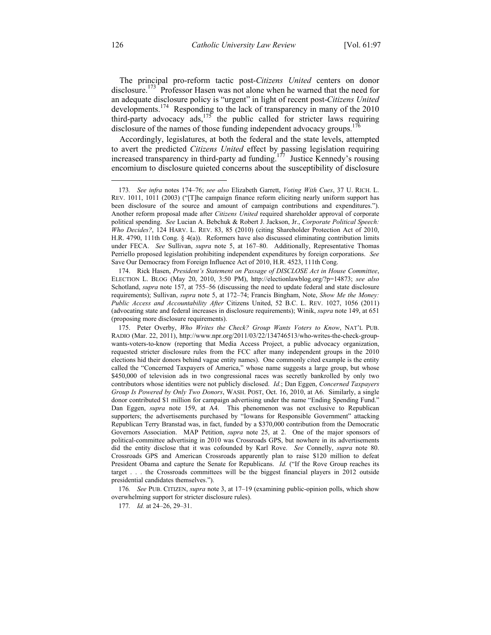The principal pro-reform tactic post-*Citizens United* centers on donor disclosure.<sup>173</sup> Professor Hasen was not alone when he warned that the need for an adequate disclosure policy is "urgent" in light of recent post-*Citizens United* developments.<sup>174</sup> Responding to the lack of transparency in many of the 2010 third-party advocacy  $\frac{175}{175}$  the public called for stricter laws requiring disclosure of the names of those funding independent advocacy groups.<sup>176</sup>

Accordingly, legislatures, at both the federal and the state levels, attempted to avert the predicted *Citizens United* effect by passing legislation requiring increased transparency in third-party ad funding.<sup>177</sup> Justice Kennedy's rousing encomium to disclosure quieted concerns about the susceptibility of disclosure

176*. See* PUB. CITIZEN, *supra* note 3, at 17–19 (examining public-opinion polls, which show overwhelming support for stricter disclosure rules).

177*. Id.* at 24–26, 29–31.

<u>.</u>

<sup>173</sup>*. See infra* notes 174–76; *see also* Elizabeth Garrett, *Voting With Cues*, 37 U. RICH. L. REV. 1011, 1011 (2003) ("[T]he campaign finance reform eliciting nearly uniform support has been disclosure of the source and amount of campaign contributions and expenditures."). Another reform proposal made after *Citizens United* required shareholder approval of corporate political spending. *See* Lucian A. Bebchuk & Robert J. Jackson, Jr., *Corporate Political Speech: Who Decides?*, 124 HARV. L. REV. 83, 85 (2010) (citing Shareholder Protection Act of 2010, H.R. 4790, 111th Cong. § 4(a)). Reformers have also discussed eliminating contribution limits under FECA. *See* Sullivan, *supra* note 5, at 167–80. Additionally, Representative Thomas Perriello proposed legislation prohibiting independent expenditures by foreign corporations. *See* Save Our Democracy from Foreign Influence Act of 2010, H.R. 4523, 111th Cong.

 <sup>174.</sup> Rick Hasen, *President's Statement on Passage of DISCLOSE Act in House Committee*, ELECTION L. BLOG (May 20, 2010, 3:50 PM), http://electionlawblog.org/?p=14873; *see also* Schotland, *supra* note 157, at 755–56 (discussing the need to update federal and state disclosure requirements); Sullivan, *supra* note 5, at 172–74; Francis Bingham, Note, *Show Me the Money: Public Access and Accountability After* Citizens United, 52 B.C. L. REV. 1027, 1056 (2011) (advocating state and federal increases in disclosure requirements); Winik, *supra* note 149, at 651 (proposing more disclosure requirements).

 <sup>175.</sup> Peter Overby, *Who Writes the Check? Group Wants Voters to Know*, NAT'L PUB. RADIO (Mar. 22, 2011), http://www.npr.org/2011/03/22/134746513/who-writes-the-check-groupwants-voters-to-know (reporting that Media Access Project, a public advocacy organization, requested stricter disclosure rules from the FCC after many independent groups in the 2010 elections hid their donors behind vague entity names). One commonly cited example is the entity called the "Concerned Taxpayers of America," whose name suggests a large group, but whose \$450,000 of television ads in two congressional races was secretly bankrolled by only two contributors whose identities were not publicly disclosed. *Id.*; Dan Eggen, *Concerned Taxpayers Group Is Powered by Only Two Donors*, WASH. POST, Oct. 16, 2010, at A6. Similarly, a single donor contributed \$1 million for campaign advertising under the name "Ending Spending Fund." Dan Eggen, *supra* note 159, at A4. This phenomenon was not exclusive to Republican supporters; the advertisements purchased by "Iowans for Responsible Government" attacking Republican Terry Branstad was, in fact, funded by a \$370,000 contribution from the Democratic Governors Association. MAP Petition, *supra* note 25, at 2. One of the major sponsors of political-committee advertising in 2010 was Crossroads GPS, but nowhere in its advertisements did the entity disclose that it was cofounded by Karl Rove. *See* Connelly, *supra* note 80. Crossroads GPS and American Crossroads apparently plan to raise \$120 million to defeat President Obama and capture the Senate for Republicans. *Id.* ("If the Rove Group reaches its target . . . the Crossroads committees will be the biggest financial players in 2012 outside presidential candidates themselves.").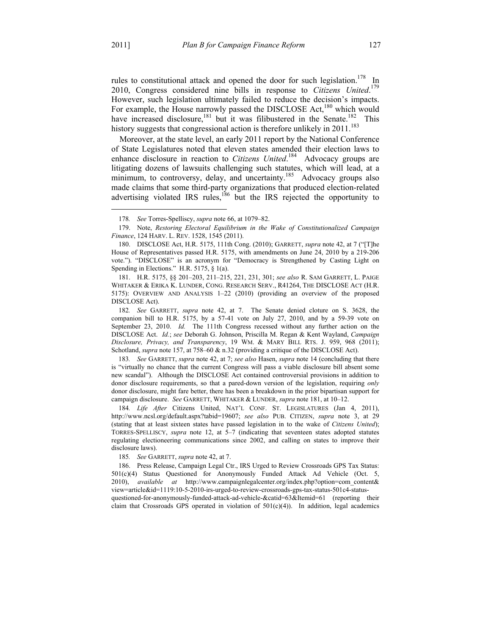<u>.</u>

rules to constitutional attack and opened the door for such legislation.<sup>178</sup> In 2010, Congress considered nine bills in response to *Citizens United*. 179 However, such legislation ultimately failed to reduce the decision's impacts. For example, the House narrowly passed the DISCLOSE Act,<sup>180</sup> which would have increased disclosure,<sup>181</sup> but it was filibustered in the Senate.<sup>182</sup> This history suggests that congressional action is therefore unlikely in 2011.<sup>183</sup>

Moreover, at the state level, an early 2011 report by the National Conference of State Legislatures noted that eleven states amended their election laws to enhance disclosure in reaction to *Citizens United*.<sup>184</sup> Advocacy groups are litigating dozens of lawsuits challenging such statutes, which will lead, at a minimum, to controversy, delay, and uncertainty.<sup>185</sup> Advocacy groups also made claims that some third-party organizations that produced election-related advertising violated IRS rules,<sup>186</sup> but the IRS rejected the opportunity to

 180. DISCLOSE Act, H.R. 5175, 111th Cong. (2010); GARRETT, *supra* note 42, at 7 ("[T]he House of Representatives passed H.R. 5175, with amendments on June 24, 2010 by a 219-206 vote."). "DISCLOSE" is an acronym for "Democracy is Strengthened by Casting Light on Spending in Elections." H.R. 5175, § 1(a).

 181. H.R. 5175, §§ 201–203, 211–215, 221, 231, 301; *see also* R. SAM GARRETT, L. PAIGE WHITAKER & ERIKA K. LUNDER, CONG. RESEARCH SERV., R41264, THE DISCLOSE ACT (H.R. 5175): OVERVIEW AND ANALYSIS 1–22 (2010) (providing an overview of the proposed DISCLOSE Act).

183*. See* GARRETT, *supra* note 42, at 7; *see also* Hasen, *supra* note 14 (concluding that there is "virtually no chance that the current Congress will pass a viable disclosure bill absent some new scandal"). Although the DISCLOSE Act contained controversial provisions in addition to donor disclosure requirements, so that a pared-down version of the legislation, requiring *only* donor disclosure, might fare better, there has been a breakdown in the prior bipartisan support for campaign disclosure. *See* GARRETT, WHITAKER & LUNDER, *supra* note 181, at 10–12.

184*. Life After* Citizens United, NAT'L CONF. ST. LEGISLATURES (Jan 4, 2011), http://www.ncsl.org/default.aspx?tabid=19607; *see also* PUB. CITIZEN, *supra* note 3, at 29 (stating that at least sixteen states have passed legislation in to the wake of *Citizens United*); TORRES-SPELLISCY, *supra* note 12, at 5–7 (indicating that seventeen states adopted statutes regulating electioneering communications since 2002, and calling on states to improve their disclosure laws).

185*. See* GARRETT, *supra* note 42, at 7.

 186. Press Release, Campaign Legal Ctr., IRS Urged to Review Crossroads GPS Tax Status: 501(c)(4) Status Questioned for Anonymously Funded Attack Ad Vehicle (Oct. 5, 2010), *available at* http://www.campaignlegalcenter.org/index.php?option=com\_content& view=article&id=1119:10-5-2010-irs-urged-to-review-crossroads-gps-tax-status-501c4-statusquestioned-for-anonymously-funded-attack-ad-vehicle-&catid=63&Itemid=61 (reporting their

claim that Crossroads GPS operated in violation of  $501(c)(4)$ ). In addition, legal academics

<sup>178</sup>*. See* Torres-Spelliscy, *supra* note 66, at 1079–82.

 <sup>179.</sup> Note, *Restoring Electoral Equilibrium in the Wake of Constitutionalized Campaign Finance*, 124 HARV. L. REV. 1528, 1545 (2011).

<sup>182</sup>*. See* GARRETT, *supra* note 42, at 7. The Senate denied cloture on S. 3628, the companion bill to H.R. 5175, by a 57-41 vote on July 27, 2010, and by a 59-39 vote on September 23, 2010. *Id.* The 111th Congress recessed without any further action on the DISCLOSE Act. *Id.*; *see* Deborah G. Johnson, Priscilla M. Regan & Kent Wayland, *Campaign Disclosure, Privacy, and Transparency*, 19 WM. & MARY BILL RTS. J. 959, 968 (2011); Schotland, *supra* note 157, at 758–60 & n.32 (providing a critique of the DISCLOSE Act).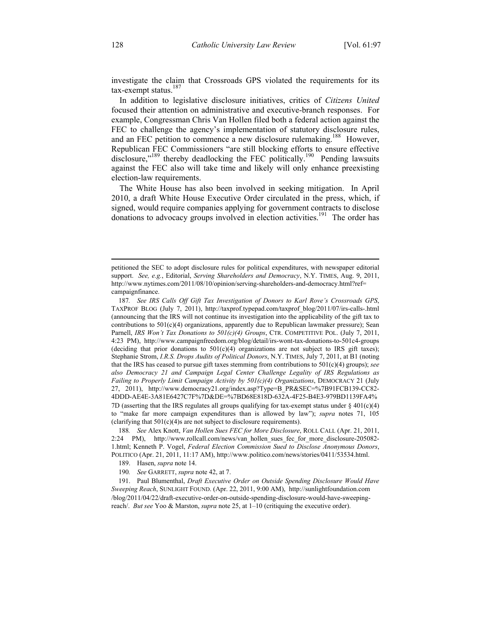investigate the claim that Crossroads GPS violated the requirements for its tax-exempt status.<sup>187</sup>

In addition to legislative disclosure initiatives, critics of *Citizens United* focused their attention on administrative and executive-branch responses. For example, Congressman Chris Van Hollen filed both a federal action against the FEC to challenge the agency's implementation of statutory disclosure rules, and an FEC petition to commence a new disclosure rulemaking.<sup>188</sup> However, Republican FEC Commissioners "are still blocking efforts to ensure effective disclosure,"<sup>189</sup> thereby deadlocking the FEC politically.<sup>190</sup> Pending lawsuits against the FEC also will take time and likely will only enhance preexisting election-law requirements.

The White House has also been involved in seeking mitigation. In April 2010, a draft White House Executive Order circulated in the press, which, if signed, would require companies applying for government contracts to disclose donations to advocacy groups involved in election activities.<sup>191</sup> The order has

 191. Paul Blumenthal, *Draft Executive Order on Outside Spending Disclosure Would Have Sweeping Reach*, SUNLIGHT FOUND. (Apr. 22, 2011, 9:00 AM), http://sunlightfoundation.com /blog/2011/04/22/draft-executive-order-on-outside-spending-disclosure-would-have-sweepingreach/. *But see* Yoo & Marston, *supra* note 25, at 1–10 (critiquing the executive order).

 $\overline{a}$ 

petitioned the SEC to adopt disclosure rules for political expenditures, with newspaper editorial support. *See, e.g.*, Editorial, *Serving Shareholders and Democracy*, N.Y. TIMES, Aug. 9, 2011, http://www.nytimes.com/2011/08/10/opinion/serving-shareholders-and-democracy.html?ref= campaignfinance.

<sup>187</sup>*. See IRS Calls Off Gift Tax Investigation of Donors to Karl Rove's Crossroads GPS*, TAXPROF BLOG (July 7, 2011), http://taxprof.typepad.com/taxprof\_blog/2011/07/irs-calls-.html (announcing that the IRS will not continue its investigation into the applicability of the gift tax to contributions to 501(c)(4) organizations, apparently due to Republican lawmaker pressure); Sean Parnell, *IRS Won't Tax Donations to 501(c)(4) Groups*, CTR. COMPETITIVE POL. (July 7, 2011, 4:23 PM), http://www.campaignfreedom.org/blog/detail/irs-wont-tax-donations-to-501c4-groups (deciding that prior donations to  $501(c)(4)$  organizations are not subject to IRS gift taxes); Stephanie Strom, *I.R.S. Drops Audits of Political Donors*, N.Y. TIMES, July 7, 2011, at B1 (noting that the IRS has ceased to pursue gift taxes stemming from contributions to 501(c)(4) groups); *see also Democracy 21 and Campaign Legal Center Challenge Legality of IRS Regulations as Failing to Properly Limit Campaign Activity by 501(c)(4) Organizations*, DEMOCRACY 21 (July 27, 2011), http://www.democracy21.org/index.asp?Type=B\_PR&SEC=%7B91FCB139-CC82- 4DDD-AE4E-3A81E6427C7F%7D&DE=%7BD68E818D-632A-4F25-B4E3-979BD1139FA4% 7D (asserting that the IRS regulates all groups qualifying for tax-exempt status under  $\S 401(c)(4)$ to "make far more campaign expenditures than is allowed by law"); *supra* notes 71, 105 (clarifying that 501(c)(4)s are not subject to disclosure requirements).

<sup>188</sup>*. See* Alex Knott, *Van Hollen Sues FEC for More Disclosure*, ROLL CALL (Apr. 21, 2011, 2:24 PM), http://www.rollcall.com/news/van\_hollen\_sues\_fec\_for\_more\_disclosure-205082- 1.html; Kenneth P. Vogel, *Federal Election Commission Sued to Disclose Anonymous Donors*, POLITICO (Apr. 21, 2011, 11:17 AM), http://www.politico.com/news/stories/0411/53534.html.

 <sup>189.</sup> Hasen, *supra* note 14.

<sup>190</sup>*. See* GARRETT, *supra* note 42, at 7.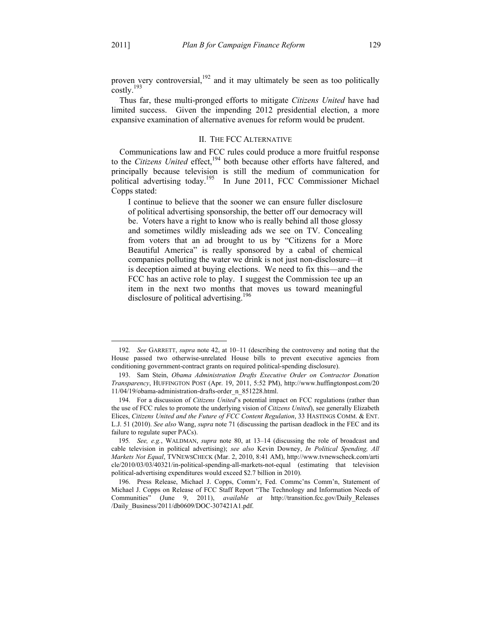1

proven very controversial, $192$  and it may ultimately be seen as too politically costly.193

Thus far, these multi-pronged efforts to mitigate *Citizens United* have had limited success. Given the impending 2012 presidential election, a more expansive examination of alternative avenues for reform would be prudent.

#### II. THE FCC ALTERNATIVE

Communications law and FCC rules could produce a more fruitful response to the *Citizens United* effect,194 both because other efforts have faltered, and principally because television is still the medium of communication for political advertising today.<sup>195</sup> In June 2011, FCC Commissioner Michael Copps stated:

I continue to believe that the sooner we can ensure fuller disclosure of political advertising sponsorship, the better off our democracy will be. Voters have a right to know who is really behind all those glossy and sometimes wildly misleading ads we see on TV. Concealing from voters that an ad brought to us by "Citizens for a More Beautiful America" is really sponsored by a cabal of chemical companies polluting the water we drink is not just non-disclosure—it is deception aimed at buying elections. We need to fix this—and the FCC has an active role to play. I suggest the Commission tee up an item in the next two months that moves us toward meaningful disclosure of political advertising.<sup>196</sup>

<sup>192</sup>*. See* GARRETT, *supra* note 42, at 10–11 (describing the controversy and noting that the House passed two otherwise-unrelated House bills to prevent executive agencies from conditioning government-contract grants on required political-spending disclosure).

 <sup>193.</sup> Sam Stein, *Obama Administration Drafts Executive Order on Contractor Donation Transparency*, HUFFINGTON POST (Apr. 19, 2011, 5:52 PM), http://www.huffingtonpost.com/20 11/04/19/obama-administration-drafts-order\_n\_851228.html.

 <sup>194.</sup> For a discussion of *Citizens United*'s potential impact on FCC regulations (rather than the use of FCC rules to promote the underlying vision of *Citizens United*), see generally Elizabeth Elices, *Citizens United and the Future of FCC Content Regulation*, 33 HASTINGS COMM. & ENT. L.J. 51 (2010). *See also* Wang, *supra* note 71 (discussing the partisan deadlock in the FEC and its failure to regulate super PACs).

<sup>195</sup>*. See, e.g.*, WALDMAN, *supra* note 80, at 13–14 (discussing the role of broadcast and cable television in political advertising); *see also* Kevin Downey, *In Political Spending, All Markets Not Equal*, TVNEWSCHECK (Mar. 2, 2010, 8:41 AM), http://www.tvnewscheck.com/arti cle/2010/03/03/40321/in-political-spending-all-markets-not-equal (estimating that television political-advertising expenditures would exceed \$2.7 billion in 2010).

 <sup>196.</sup> Press Release, Michael J. Copps, Comm'r, Fed. Commc'ns Comm'n, Statement of Michael J. Copps on Release of FCC Staff Report "The Technology and Information Needs of Communities" (June 9, 2011), *available at* http://transition.fcc.gov/Daily\_Releases /Daily\_Business/2011/db0609/DOC-307421A1.pdf.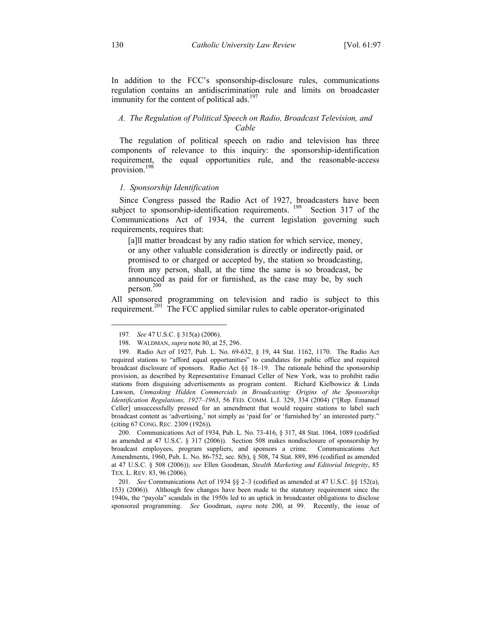In addition to the FCC's sponsorship-disclosure rules, communications regulation contains an antidiscrimination rule and limits on broadcaster immunity for the content of political ads.<sup>197</sup>

## *A. The Regulation of Political Speech on Radio, Broadcast Television, and Cable*

The regulation of political speech on radio and television has three components of relevance to this inquiry: the sponsorship-identification requirement, the equal opportunities rule, and the reasonable-access provision.<sup>198</sup>

#### *1. Sponsorship Identification*

Since Congress passed the Radio Act of 1927, broadcasters have been subject to sponsorship-identification requirements.<sup>199</sup> Section 317 of the Communications Act of 1934, the current legislation governing such requirements, requires that:

[a]ll matter broadcast by any radio station for which service, money, or any other valuable consideration is directly or indirectly paid, or promised to or charged or accepted by, the station so broadcasting, from any person, shall, at the time the same is so broadcast, be announced as paid for or furnished, as the case may be, by such person. 200

All sponsored programming on television and radio is subject to this requirement.<sup>201</sup> The FCC applied similar rules to cable operator-originated

<u>.</u>

<sup>197</sup>*. See* 47 U.S.C. § 315(a) (2006).

 <sup>198.</sup> WALDMAN, *supra* note 80, at 25, 296.

 <sup>199.</sup> Radio Act of 1927, Pub. L. No. 69-632, § 19, 44 Stat. 1162, 1170. The Radio Act required stations to "afford equal opportunities" to candidates for public office and required broadcast disclosure of sponsors. Radio Act §§ 18–19. The rationale behind the sponsorship provision, as described by Representative Emanuel Celler of New York, was to prohibit radio stations from disguising advertisements as program content. Richard Kielbowicz & Linda Lawson, *Unmasking Hidden Commercials in Broadcasting: Origins of the Sponsorship Identification Regulations, 1927–1963*, 56 FED. COMM. L.J. 329, 334 (2004) ("[Rep. Emanuel Celler] unsuccessfully pressed for an amendment that would require stations to label such broadcast content as 'advertising,' not simply as 'paid for' or 'furnished by' an interested party." (citing 67 CONG. REC. 2309 (1926)).

 <sup>200.</sup> Communications Act of 1934, Pub. L. No. 73-416, § 317, 48 Stat. 1064, 1089 (codified as amended at 47 U.S.C. § 317 (2006)). Section 508 makes nondisclosure of sponsorship by broadcast employees, program suppliers, and sponsors a crime. Communications Act Amendments, 1960, Pub. L. No. 86-752, sec. 8(b), § 508, 74 Stat. 889, 896 (codified as amended at 47 U.S.C. § 508 (2006)); *see* Ellen Goodman, *Stealth Marketing and Editorial Integrity*, 85 TEX. L. REV. 83, 96 (2006).

<sup>201</sup>*. See* Communications Act of 1934 §§ 2–3 (codified as amended at 47 U.S.C. §§ 152(a), 153) (2006)). Although few changes have been made to the statutory requirement since the 1940s, the "payola" scandals in the 1950s led to an uptick in broadcaster obligations to disclose sponsored programming. *See* Goodman, *supra* note 200, at 99. Recently, the issue of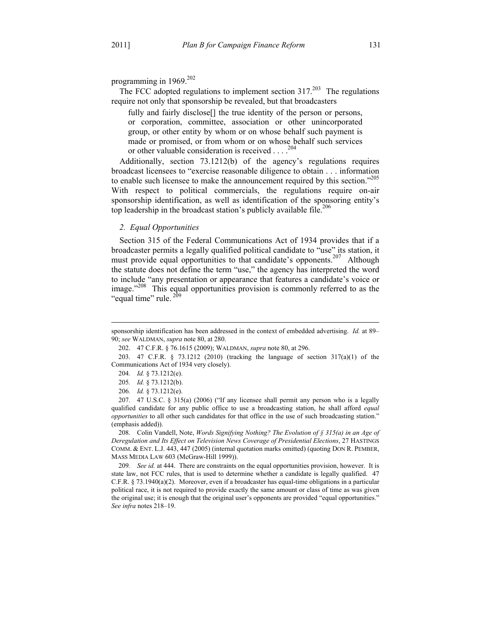The FCC adopted regulations to implement section  $317.<sup>203</sup>$  The regulations require not only that sponsorship be revealed, but that broadcasters

fully and fairly disclose<sup>[]</sup> the true identity of the person or persons, or corporation, committee, association or other unincorporated group, or other entity by whom or on whose behalf such payment is made or promised, or from whom or on whose behalf such services or other valuable consideration is received . . . .204

Additionally, section 73.1212(b) of the agency's regulations requires broadcast licensees to "exercise reasonable diligence to obtain . . . information to enable such licensee to make the announcement required by this section."<sup>205</sup> With respect to political commercials, the regulations require on-air sponsorship identification, as well as identification of the sponsoring entity's top leadership in the broadcast station's publicly available file.<sup>206</sup>

# *2. Equal Opportunities*

Section 315 of the Federal Communications Act of 1934 provides that if a broadcaster permits a legally qualified political candidate to "use" its station, it must provide equal opportunities to that candidate's opponents.<sup>207</sup> Although the statute does not define the term "use," the agency has interpreted the word to include "any presentation or appearance that features a candidate's voice or image."<sup>208</sup> This equal opportunities provision is commonly referred to as the "equal time" rule. $2^{9}$ 

 $\overline{a}$ 

 208. Colin Vandell, Note, *Words Signifying Nothing? The Evolution of § 315(a) in an Age of Deregulation and Its Effect on Television News Coverage of Presidential Elections*, 27 HASTINGS COMM. & ENT. L.J. 443, 447 (2005) (internal quotation marks omitted) (quoting DON R. PEMBER, MASS MEDIA LAW 603 (McGraw-Hill 1999)).

209*. See id.* at 444. There are constraints on the equal opportunities provision, however. It is state law, not FCC rules, that is used to determine whether a candidate is legally qualified. 47 C.F.R.  $\S$  73.1940(a)(2). Moreover, even if a broadcaster has equal-time obligations in a particular political race, it is not required to provide exactly the same amount or class of time as was given the original use; it is enough that the original user's opponents are provided "equal opportunities." *See infra* notes 218–19.

sponsorship identification has been addressed in the context of embedded advertising. *Id.* at 89– 90; *see* WALDMAN, *supra* note 80, at 280.

 <sup>202. 47</sup> C.F.R. § 76.1615 (2009); WALDMAN, *supra* note 80, at 296.

 <sup>203. 47</sup> C.F.R. § 73.1212 (2010) (tracking the language of section 317(a)(1) of the Communications Act of 1934 very closely).

<sup>204</sup>*. Id.* § 73.1212(e).

<sup>205</sup>*. Id.* § 73.1212(b).

<sup>206</sup>*. Id.* § 73.1212(e).

 <sup>207. 47</sup> U.S.C. § 315(a) (2006) ("If any licensee shall permit any person who is a legally qualified candidate for any public office to use a broadcasting station, he shall afford *equal opportunities* to all other such candidates for that office in the use of such broadcasting station." (emphasis added)).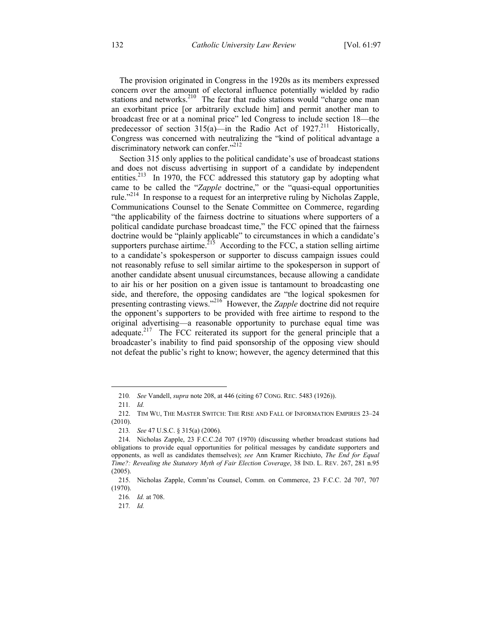The provision originated in Congress in the 1920s as its members expressed concern over the amount of electoral influence potentially wielded by radio stations and networks.<sup>210</sup> The fear that radio stations would "charge one man an exorbitant price [or arbitrarily exclude him] and permit another man to broadcast free or at a nominal price" led Congress to include section 18—the predecessor of section  $315(a)$ —in the Radio Act of  $1927$ <sup>211</sup> Historically, Congress was concerned with neutralizing the "kind of political advantage a discriminatory network can confer."<sup>212</sup>

Section 315 only applies to the political candidate's use of broadcast stations and does not discuss advertising in support of a candidate by independent entities.<sup>213</sup> In 1970, the FCC addressed this statutory gap by adopting what came to be called the "*Zapple* doctrine," or the "quasi-equal opportunities rule."<sup>214</sup> In response to a request for an interpretive ruling by Nicholas Zapple, Communications Counsel to the Senate Committee on Commerce, regarding "the applicability of the fairness doctrine to situations where supporters of a political candidate purchase broadcast time," the FCC opined that the fairness doctrine would be "plainly applicable" to circumstances in which a candidate's supporters purchase airtime.<sup>215</sup> According to the FCC, a station selling airtime to a candidate's spokesperson or supporter to discuss campaign issues could not reasonably refuse to sell similar airtime to the spokesperson in support of another candidate absent unusual circumstances, because allowing a candidate to air his or her position on a given issue is tantamount to broadcasting one side, and therefore, the opposing candidates are "the logical spokesmen for presenting contrasting views."<sup>216</sup> However, the *Zapple* doctrine did not require the opponent's supporters to be provided with free airtime to respond to the original advertising—a reasonable opportunity to purchase equal time was adequate.<sup>217</sup> The FCC reiterated its support for the general principle that a broadcaster's inability to find paid sponsorship of the opposing view should not defeat the public's right to know; however, the agency determined that this

<sup>210</sup>*. See* Vandell, *supra* note 208, at 446 (citing 67 CONG. REC. 5483 (1926)).

<sup>211</sup>*. Id.*

 <sup>212.</sup> TIM WU, THE MASTER SWITCH: THE RISE AND FALL OF INFORMATION EMPIRES 23–24 (2010).

<sup>213</sup>*. See* 47 U.S.C. § 315(a) (2006).

 <sup>214.</sup> Nicholas Zapple, 23 F.C.C.2d 707 (1970) (discussing whether broadcast stations had obligations to provide equal opportunities for political messages by candidate supporters and opponents, as well as candidates themselves); *see* Ann Kramer Ricchiuto, *The End for Equal Time?: Revealing the Statutory Myth of Fair Election Coverage*, 38 IND. L. REV. 267, 281 n.95 (2005).

 <sup>215.</sup> Nicholas Zapple, Comm'ns Counsel, Comm. on Commerce, 23 F.C.C. 2d 707, 707 (1970).

<sup>216</sup>*. Id.* at 708.

<sup>217</sup>*. Id.*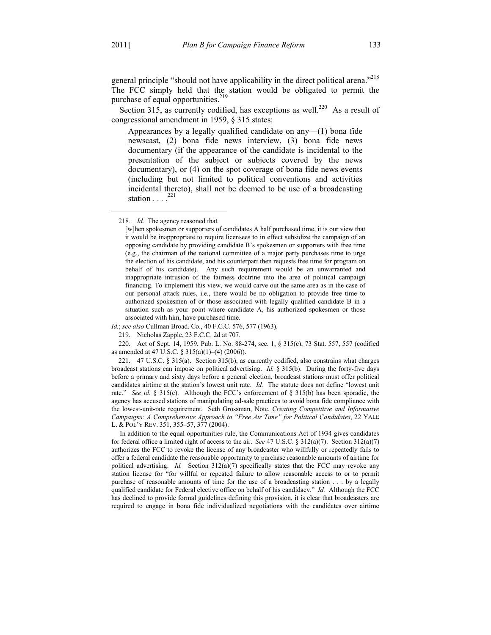<u>.</u>

general principle "should not have applicability in the direct political arena."<sup>218</sup> The FCC simply held that the station would be obligated to permit the purchase of equal opportunities.<sup>219</sup>

Section 315, as currently codified, has exceptions as well.<sup>220</sup> As a result of congressional amendment in 1959, § 315 states:

Appearances by a legally qualified candidate on any—(1) bona fide newscast, (2) bona fide news interview, (3) bona fide news documentary (if the appearance of the candidate is incidental to the presentation of the subject or subjects covered by the news documentary), or (4) on the spot coverage of bona fide news events (including but not limited to political conventions and activities incidental thereto), shall not be deemed to be use of a broadcasting station  $\ldots$ <sup>221</sup>

*Id.*; *see also* Cullman Broad. Co., 40 F.C.C. 576, 577 (1963).

<sup>218</sup>*. Id.* The agency reasoned that

<sup>[</sup>w]hen spokesmen or supporters of candidates A half purchased time, it is our view that it would be inappropriate to require licensees to in effect subsidize the campaign of an opposing candidate by providing candidate B's spokesmen or supporters with free time (e.g., the chairman of the national committee of a major party purchases time to urge the election of his candidate, and his counterpart then requests free time for program on behalf of his candidate). Any such requirement would be an unwarranted and inappropriate intrusion of the fairness doctrine into the area of political campaign financing. To implement this view, we would carve out the same area as in the case of our personal attack rules, i.e., there would be no obligation to provide free time to authorized spokesmen of or those associated with legally qualified candidate B in a situation such as your point where candidate A, his authorized spokesmen or those associated with him, have purchased time.

 <sup>219.</sup> Nicholas Zapple, 23 F.C.C. 2d at 707.

 <sup>220.</sup> Act of Sept. 14, 1959, Pub. L. No. 88-274, sec. 1, § 315(c), 73 Stat. 557, 557 (codified as amended at 47 U.S.C. § 315(a)(1)–(4) (2006)).

 <sup>221. 47</sup> U.S.C. § 315(a). Section 315(b), as currently codified, also constrains what charges broadcast stations can impose on political advertising. *Id.* § 315(b). During the forty-five days before a primary and sixty days before a general election, broadcast stations must offer political candidates airtime at the station's lowest unit rate. *Id.* The statute does not define "lowest unit rate." *See id.* § 315(c). Although the FCC's enforcement of § 315(b) has been sporadic, the agency has accused stations of manipulating ad-sale practices to avoid bona fide compliance with the lowest-unit-rate requirement. Seth Grossman, Note, *Creating Competitive and Informative Campaigns: A Comprehensive Approach to "Free Air Time" for Political Candidates*, 22 YALE L. & POL'Y REV. 351, 355–57, 377 (2004).

In addition to the equal opportunities rule, the Communications Act of 1934 gives candidates for federal office a limited right of access to the air. *See* 47 U.S.C. § 312(a)(7). Section 312(a)(7) authorizes the FCC to revoke the license of any broadcaster who willfully or repeatedly fails to offer a federal candidate the reasonable opportunity to purchase reasonable amounts of airtime for political advertising. *Id.* Section 312(a)(7) specifically states that the FCC may revoke any station license for "for willful or repeated failure to allow reasonable access to or to permit purchase of reasonable amounts of time for the use of a broadcasting station . . . by a legally qualified candidate for Federal elective office on behalf of his candidacy." *Id.* Although the FCC has declined to provide formal guidelines defining this provision, it is clear that broadcasters are required to engage in bona fide individualized negotiations with the candidates over airtime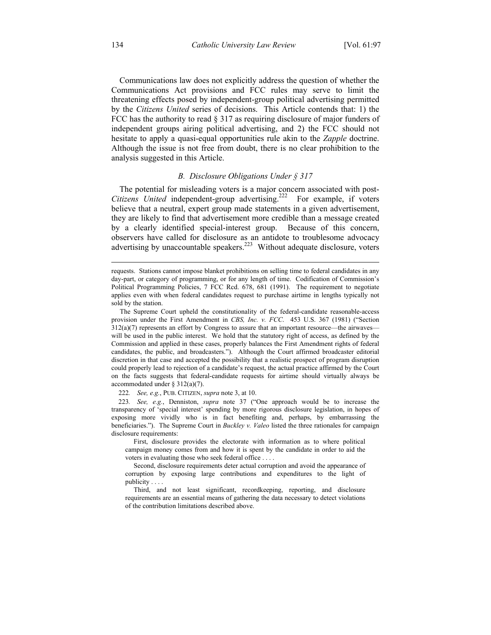Communications law does not explicitly address the question of whether the Communications Act provisions and FCC rules may serve to limit the threatening effects posed by independent-group political advertising permitted by the *Citizens United* series of decisions. This Article contends that: 1) the FCC has the authority to read § 317 as requiring disclosure of major funders of independent groups airing political advertising, and 2) the FCC should not hesitate to apply a quasi-equal opportunities rule akin to the *Zapple* doctrine. Although the issue is not free from doubt, there is no clear prohibition to the analysis suggested in this Article.

# *B. Disclosure Obligations Under § 317*

The potential for misleading voters is a major concern associated with post-*Citizens United* independent-group advertising.<sup>222</sup> For example, if voters believe that a neutral, expert group made statements in a given advertisement, they are likely to find that advertisement more credible than a message created by a clearly identified special-interest group. Because of this concern, observers have called for disclosure as an antidote to troublesome advocacy advertising by unaccountable speakers.<sup>223</sup> Without adequate disclosure, voters

222*. See, e.g.*, PUB. CITIZEN, *supra* note 3, at 10.

223*. See, e.g.*, Denniston, *supra* note 37 ("One approach would be to increase the transparency of 'special interest' spending by more rigorous disclosure legislation, in hopes of exposing more vividly who is in fact benefiting and, perhaps, by embarrassing the beneficiaries."). The Supreme Court in *Buckley v. Valeo* listed the three rationales for campaign disclosure requirements:

 First, disclosure provides the electorate with information as to where political campaign money comes from and how it is spent by the candidate in order to aid the voters in evaluating those who seek federal office . . . .

 Second, disclosure requirements deter actual corruption and avoid the appearance of corruption by exposing large contributions and expenditures to the light of publicity . . . .

 Third, and not least significant, recordkeeping, reporting, and disclosure requirements are an essential means of gathering the data necessary to detect violations of the contribution limitations described above.

 $\overline{a}$ 

requests. Stations cannot impose blanket prohibitions on selling time to federal candidates in any day-part, or category of programming, or for any length of time. Codification of Commission's Political Programming Policies, 7 FCC Rcd. 678, 681 (1991). The requirement to negotiate applies even with when federal candidates request to purchase airtime in lengths typically not sold by the station.

The Supreme Court upheld the constitutionality of the federal-candidate reasonable-access provision under the First Amendment in *CBS, Inc. v. FCC*. 453 U.S. 367 (1981) ("Section  $312(a)(7)$  represents an effort by Congress to assure that an important resource—the airwaves will be used in the public interest. We hold that the statutory right of access, as defined by the Commission and applied in these cases, properly balances the First Amendment rights of federal candidates, the public, and broadcasters."). Although the Court affirmed broadcaster editorial discretion in that case and accepted the possibility that a realistic prospect of program disruption could properly lead to rejection of a candidate's request, the actual practice affirmed by the Court on the facts suggests that federal-candidate requests for airtime should virtually always be accommodated under § 312(a)(7).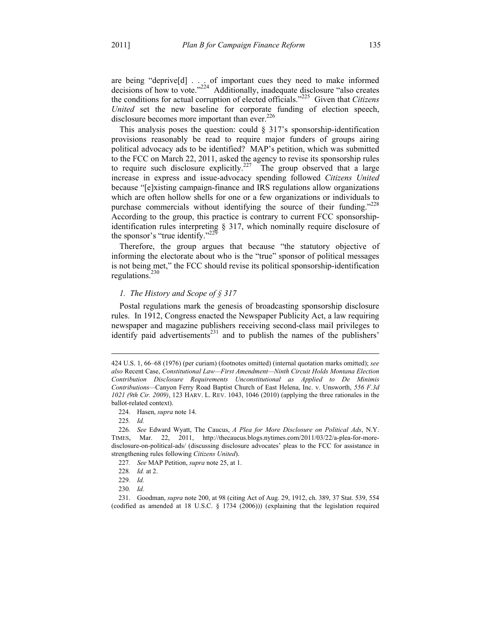are being "deprive[d] . . . of important cues they need to make informed decisions of how to vote."<sup>224</sup> Additionally, inadequate disclosure "also creates the conditions for actual corruption of elected officials."225 Given that *Citizens United* set the new baseline for corporate funding of election speech, disclosure becomes more important than ever.<sup>226</sup>

This analysis poses the question: could  $\S$  317's sponsorship-identification provisions reasonably be read to require major funders of groups airing political advocacy ads to be identified? MAP's petition, which was submitted to the FCC on March 22, 2011, asked the agency to revise its sponsorship rules to require such disclosure explicitly.<sup>227</sup> The group observed that a large increase in express and issue-advocacy spending followed *Citizens United* because "[e]xisting campaign-finance and IRS regulations allow organizations which are often hollow shells for one or a few organizations or individuals to purchase commercials without identifying the source of their funding."<sup>228</sup> According to the group, this practice is contrary to current FCC sponsorshipidentification rules interpreting § 317, which nominally require disclosure of the sponsor's "true identify."<sup>229</sup>

Therefore, the group argues that because "the statutory objective of informing the electorate about who is the "true" sponsor of political messages is not being met," the FCC should revise its political sponsorship-identification regulations. $230$ 

# *1. The History and Scope of § 317*

Postal regulations mark the genesis of broadcasting sponsorship disclosure rules. In 1912, Congress enacted the Newspaper Publicity Act, a law requiring newspaper and magazine publishers receiving second-class mail privileges to identify paid advertisements<sup>231</sup> and to publish the names of the publishers'

225*. Id.*

 $\overline{a}$ 

<sup>424</sup> U.S. 1, 66–68 (1976) (per curiam) (footnotes omitted) (internal quotation marks omitted); *see also* Recent Case, *Constitutional Law—First Amendment—Ninth Circuit Holds Montana Election Contribution Disclosure Requirements Unconstitutional as Applied to De Minimis Contributions—*Canyon Ferry Road Baptist Church of East Helena, Inc. v. Unsworth, *556 F.3d 1021 (9th Cir. 2009)*, 123 HARV. L. REV. 1043, 1046 (2010) (applying the three rationales in the ballot-related context).

 <sup>224.</sup> Hasen, *supra* note 14.

<sup>226</sup>*. See* Edward Wyatt, The Caucus, *A Plea for More Disclosure on Political Ads*, N.Y. TIMES, Mar. 22, 2011, http://thecaucus.blogs.nytimes.com/2011/03/22/a-plea-for-moredisclosure-on-political-ads/ (discussing disclosure advocates' pleas to the FCC for assistance in strengthening rules following *Citizens United*).

<sup>227</sup>*. See* MAP Petition, *supra* note 25, at 1.

<sup>228</sup>*. Id.* at 2.

<sup>229</sup>*. Id.*

<sup>230</sup>*. Id.*

 <sup>231.</sup> Goodman, *supra* note 200, at 98 (citing Act of Aug. 29, 1912, ch. 389, 37 Stat. 539, 554 (codified as amended at 18 U.S.C. § 1734 (2006))) (explaining that the legislation required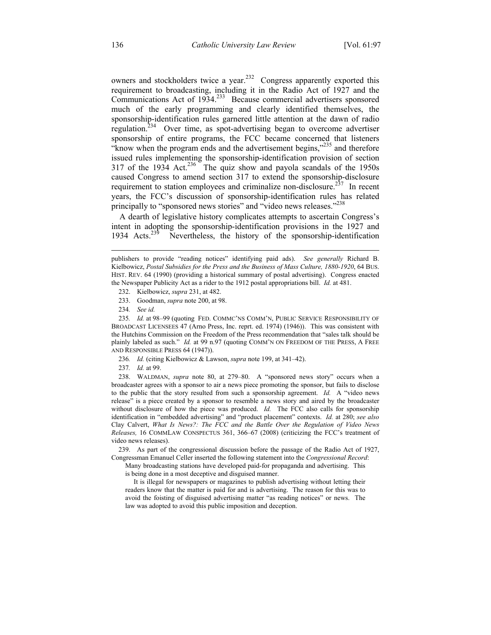owners and stockholders twice a year.<sup>232</sup> Congress apparently exported this requirement to broadcasting, including it in the Radio Act of 1927 and the Communications Act of  $1934.<sup>233</sup>$  Because commercial advertisers sponsored much of the early programming and clearly identified themselves, the sponsorship-identification rules garnered little attention at the dawn of radio regulation.<sup>234</sup> Over time, as spot-advertising began to overcome advertiser sponsorship of entire programs, the FCC became concerned that listeners "know when the program ends and the advertisement begins,"<sup>235</sup> and therefore issued rules implementing the sponsorship-identification provision of section  $317$  of the 1934 Act.<sup>236</sup> The quiz show and payola scandals of the 1950s caused Congress to amend section 317 to extend the sponsorship-disclosure requirement to station employees and criminalize non-disclosure.<sup>237</sup> In recent years, the FCC's discussion of sponsorship-identification rules has related principally to "sponsored news stories" and "video news releases."<sup>238</sup>

A dearth of legislative history complicates attempts to ascertain Congress's intent in adopting the sponsorship-identification provisions in the 1927 and 1934 Acts.239 Nevertheless, the history of the sponsorship-identification

 $\overline{a}$ 

236*. Id.* (citing Kielbowicz & Lawson, *supra* note 199, at 341–42).

237*. Id.* at 99.

 238. WALDMAN, *supra* note 80, at 279–80. A "sponsored news story" occurs when a broadcaster agrees with a sponsor to air a news piece promoting the sponsor, but fails to disclose to the public that the story resulted from such a sponsorship agreement. *Id.* A "video news release" is a piece created by a sponsor to resemble a news story and aired by the broadcaster without disclosure of how the piece was produced. *Id.* The FCC also calls for sponsorship identification in "embedded advertising" and "product placement" contexts. *Id.* at 280; *see also* Clay Calvert, *What Is News?: The FCC and the Battle Over the Regulation of Video News Releases,* 16 COMMLAW CONSPECTUS 361, 366–67 (2008) (criticizing the FCC's treatment of video news releases).

 239. As part of the congressional discussion before the passage of the Radio Act of 1927, Congressman Emanuel Celler inserted the following statement into the *Congressional Record*:

Many broadcasting stations have developed paid-for propaganda and advertising. This is being done in a most deceptive and disguised manner.

 It is illegal for newspapers or magazines to publish advertising without letting their readers know that the matter is paid for and is advertising. The reason for this was to avoid the foisting of disguised advertising matter "as reading notices" or news. The law was adopted to avoid this public imposition and deception.

publishers to provide "reading notices" identifying paid ads). *See generally* Richard B. Kielbowicz, *Postal Subsidies for the Press and the Business of Mass Culture, 1880-1920*, 64 BUS. HIST. REV. 64 (1990) (providing a historical summary of postal advertising). Congress enacted the Newspaper Publicity Act as a rider to the 1912 postal appropriations bill. *Id.* at 481.

 <sup>232.</sup> Kielbowicz, *supra* 231, at 482.

 <sup>233.</sup> Goodman, *supra* note 200, at 98.

<sup>234</sup>*. See id.*

<sup>235</sup>*. Id.* at 98–99 (quoting FED. COMMC'NS COMM'N, PUBLIC SERVICE RESPONSIBILITY OF BROADCAST LICENSEES 47 (Arno Press, Inc. reprt. ed. 1974) (1946)). This was consistent with the Hutchins Commission on the Freedom of the Press recommendation that "sales talk should be plainly labeled as such." *Id.* at 99 n.97 (quoting COMM'N ON FREEDOM OF THE PRESS, A FREE AND RESPONSIBLE PRESS 64 (1947)).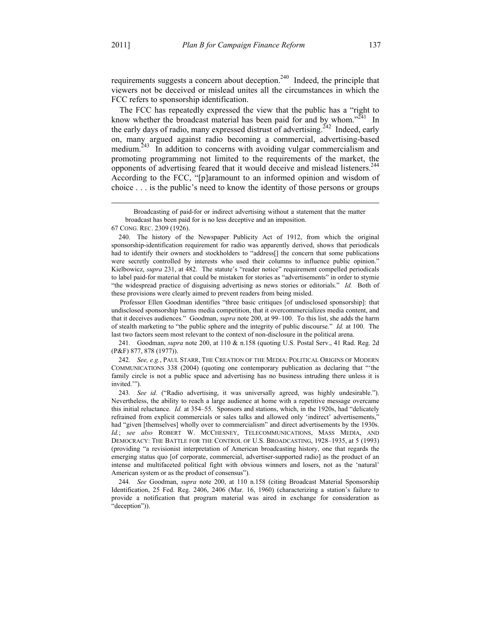requirements suggests a concern about deception.<sup>240</sup> Indeed, the principle that viewers not be deceived or mislead unites all the circumstances in which the FCC refers to sponsorship identification.

The FCC has repeatedly expressed the view that the public has a "right to know whether the broadcast material has been paid for and by whom." $241$  In the early days of radio, many expressed distrust of advertising.<sup>242</sup> Indeed, early on, many argued against radio becoming a commercial, advertising-based medium.<sup>243</sup> In addition to concerns with avoiding vulgar commercialism and promoting programming not limited to the requirements of the market, the opponents of advertising feared that it would deceive and mislead listeners.<sup>244</sup> According to the FCC, "[p]aramount to an informed opinion and wisdom of choice . . . is the public's need to know the identity of those persons or groups

 Professor Ellen Goodman identifies "three basic critiques [of undisclosed sponsorship]: that undisclosed sponsorship harms media competition, that it overcommercializes media content, and that it deceives audiences." Goodman, *supra* note 200, at 99–100. To this list, she adds the harm of stealth marketing to "the public sphere and the integrity of public discourse." *Id.* at 100. The last two factors seem most relevant to the context of non-disclosure in the political arena.

241*.* Goodman, *supra* note 200, at 110 & n.158 (quoting U.S. Postal Serv., 41 Rad. Reg. 2d (P&F) 877, 878 (1977)).

242*. See, e.g.*, PAUL STARR, THE CREATION OF THE MEDIA: POLITICAL ORIGINS OF MODERN COMMUNICATIONS 338 (2004) (quoting one contemporary publication as declaring that "'the family circle is not a public space and advertising has no business intruding there unless it is invited.'").

243*. See id.* ("Radio advertising, it was universally agreed, was highly undesirable."). Nevertheless, the ability to reach a large audience at home with a repetitive message overcame this initial reluctance. *Id.* at 354–55. Sponsors and stations, which, in the 1920s, had "delicately refrained from explicit commercials or sales talks and allowed only 'indirect' advertisements," had "given [themselves] wholly over to commercialism" and direct advertisements by the 1930s. *Id.*; *see also* ROBERT W. MCCHESNEY, TELECOMMUNICATIONS, MASS MEDIA, AND DEMOCRACY: THE BATTLE FOR THE CONTROL OF U.S. BROADCASTING, 1928–1935, at 5 (1993) (providing "a revisionist interpretation of American broadcasting history, one that regards the emerging status quo [of corporate, commercial, advertiser-supported radio] as the product of an intense and multifaceted political fight with obvious winners and losers, not as the 'natural' American system or as the product of consensus").

244*. See* Goodman, *supra* note 200, at 110 n.158 (citing Broadcast Material Sponsorship Identification, 25 Fed. Reg. 2406, 2406 (Mar. 16, 1960) (characterizing a station's failure to provide a notification that program material was aired in exchange for consideration as "deception")).

Broadcasting of paid-for or indirect advertising without a statement that the matter broadcast has been paid for is no less deceptive and an imposition.

<sup>67</sup> CONG. REC. 2309 (1926).

 <sup>240.</sup> The history of the Newspaper Publicity Act of 1912, from which the original sponsorship-identification requirement for radio was apparently derived, shows that periodicals had to identify their owners and stockholders to "address[] the concern that some publications were secretly controlled by interests who used their columns to influence public opinion." Kielbowicz, *supra* 231, at 482. The statute's "reader notice" requirement compelled periodicals to label paid-for material that could be mistaken for stories as "advertisements" in order to stymie "the widespread practice of disguising advertising as news stories or editorials." *Id.* Both of these provisions were clearly aimed to prevent readers from being misled.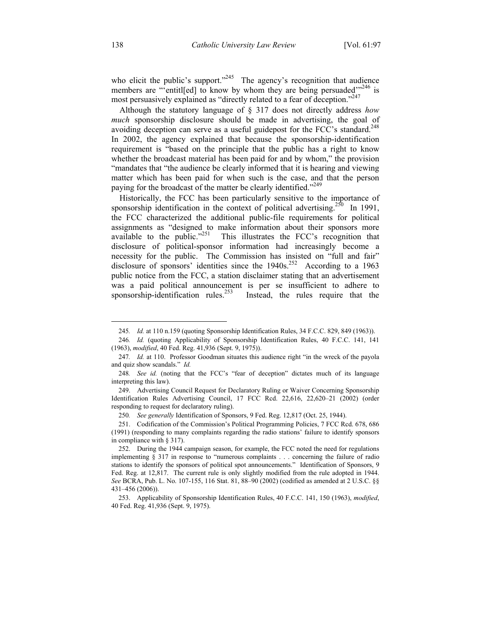who elicit the public's support."<sup>245</sup> The agency's recognition that audience members are "'entitled] to know by whom they are being persuaded $^{3246}$  is most persuasively explained as "directly related to a fear of deception."<sup>247</sup>

Although the statutory language of § 317 does not directly address *how much* sponsorship disclosure should be made in advertising, the goal of avoiding deception can serve as a useful guidepost for the FCC's standard.<sup>248</sup> In 2002, the agency explained that because the sponsorship-identification requirement is "based on the principle that the public has a right to know whether the broadcast material has been paid for and by whom," the provision "mandates that "the audience be clearly informed that it is hearing and viewing matter which has been paid for when such is the case, and that the person paying for the broadcast of the matter be clearly identified."<sup>249</sup>

Historically, the FCC has been particularly sensitive to the importance of sponsorship identification in the context of political advertising.<sup>250</sup> In 1991, the FCC characterized the additional public-file requirements for political assignments as "designed to make information about their sponsors more available to the public."<sup>251</sup> This illustrates the FCC's recognition that disclosure of political-sponsor information had increasingly become a necessity for the public. The Commission has insisted on "full and fair" disclosure of sponsors' identities since the  $1940s$ <sup>252</sup> According to a 1963 public notice from the FCC, a station disclaimer stating that an advertisement was a paid political announcement is per se insufficient to adhere to sponsorship-identification rules.<sup>253</sup> Instead, the rules require that the Instead, the rules require that the

<sup>245</sup>*. Id.* at 110 n.159 (quoting Sponsorship Identification Rules, 34 F.C.C. 829, 849 (1963)).

<sup>246</sup>*. Id.* (quoting Applicability of Sponsorship Identification Rules, 40 F.C.C. 141, 141 (1963), *modified*, 40 Fed. Reg. 41,936 (Sept. 9, 1975)).

<sup>247</sup>*. Id.* at 110. Professor Goodman situates this audience right "in the wreck of the payola and quiz show scandals." *Id.*

<sup>248</sup>*. See id.* (noting that the FCC's "fear of deception" dictates much of its language interpreting this law).

 <sup>249.</sup> Advertising Council Request for Declaratory Ruling or Waiver Concerning Sponsorship Identification Rules Advertising Council, 17 FCC Rcd. 22,616, 22,620–21 (2002) (order responding to request for declaratory ruling).

<sup>250</sup>*. See generally* Identification of Sponsors, 9 Fed. Reg. 12,817 (Oct. 25, 1944).

 <sup>251.</sup> Codification of the Commission's Political Programming Policies, 7 FCC Rcd. 678, 686 (1991) (responding to many complaints regarding the radio stations' failure to identify sponsors in compliance with § 317).

 <sup>252.</sup> During the 1944 campaign season, for example, the FCC noted the need for regulations implementing § 317 in response to "numerous complaints . . . concerning the failure of radio stations to identify the sponsors of political spot announcements." Identification of Sponsors, 9 Fed. Reg. at 12,817. The current rule is only slightly modified from the rule adopted in 1944. *See* BCRA, Pub. L. No. 107-155, 116 Stat. 81, 88–90 (2002) (codified as amended at 2 U.S.C. §§ 431–456 (2006)).

 <sup>253.</sup> Applicability of Sponsorship Identification Rules, 40 F.C.C. 141, 150 (1963), *modified*, 40 Fed. Reg. 41,936 (Sept. 9, 1975).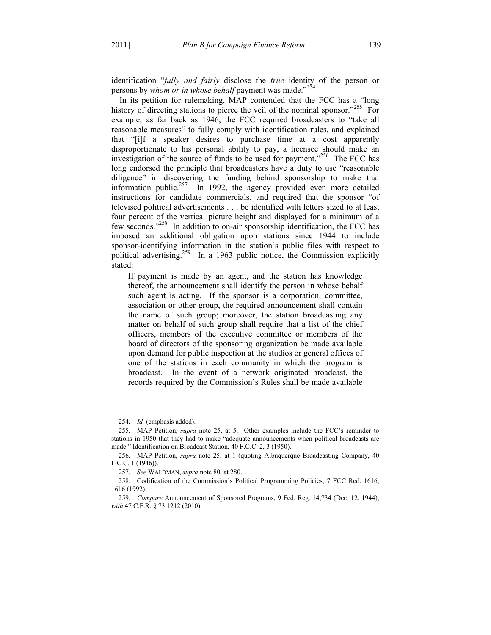identification "*fully and fairly* disclose the *true* identity of the person or persons by *whom or in whose behalf* payment was made.<sup>254</sup>

In its petition for rulemaking, MAP contended that the FCC has a "long history of directing stations to pierce the veil of the nominal sponsor."<sup>255</sup> For example, as far back as 1946, the FCC required broadcasters to "take all reasonable measures" to fully comply with identification rules, and explained that "[i]f a speaker desires to purchase time at a cost apparently disproportionate to his personal ability to pay, a licensee should make an investigation of the source of funds to be used for payment."<sup>256</sup> The FCC has long endorsed the principle that broadcasters have a duty to use "reasonable diligence" in discovering the funding behind sponsorship to make that information public.<sup>257</sup> In 1992, the agency provided even more detailed instructions for candidate commercials, and required that the sponsor "of televised political advertisements . . . be identified with letters sized to at least four percent of the vertical picture height and displayed for a minimum of a few seconds."<sup>258</sup> In addition to on-air sponsorship identification, the FCC has imposed an additional obligation upon stations since 1944 to include sponsor-identifying information in the station's public files with respect to political advertising.<sup>259</sup> In a 1963 public notice, the Commission explicitly stated:

If payment is made by an agent, and the station has knowledge thereof, the announcement shall identify the person in whose behalf such agent is acting. If the sponsor is a corporation, committee, association or other group, the required announcement shall contain the name of such group; moreover, the station broadcasting any matter on behalf of such group shall require that a list of the chief officers, members of the executive committee or members of the board of directors of the sponsoring organization be made available upon demand for public inspection at the studios or general offices of one of the stations in each community in which the program is broadcast. In the event of a network originated broadcast, the records required by the Commission's Rules shall be made available

<sup>254</sup>*. Id.* (emphasis added).

<sup>255</sup>*.* MAP Petition, *supra* note 25, at 5. Other examples include the FCC's reminder to stations in 1950 that they had to make "adequate announcements when political broadcasts are made." Identification on Broadcast Station, 40 F.C.C. 2, 3 (1950).

<sup>256</sup>*.* MAP Petition, *supra* note 25, at 1 (quoting Albuquerque Broadcasting Company, 40 F.C.C. 1 (1946)).

<sup>257</sup>*. See* WALDMAN, *supra* note 80, at 280.

 <sup>258.</sup> Codification of the Commission's Political Programming Policies, 7 FCC Rcd. 1616, 1616 (1992).

<sup>259</sup>*. Compare* Announcement of Sponsored Programs, 9 Fed. Reg. 14,734 (Dec. 12, 1944), *with* 47 C.F.R. § 73.1212 (2010).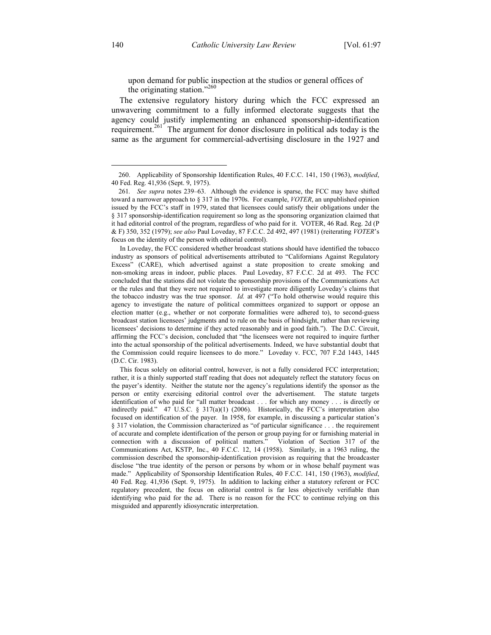upon demand for public inspection at the studios or general offices of the originating station."<sup>260</sup>

The extensive regulatory history during which the FCC expressed an unwavering commitment to a fully informed electorate suggests that the agency could justify implementing an enhanced sponsorship-identification requirement.<sup>261</sup> The argument for donor disclosure in political ads today is the same as the argument for commercial-advertising disclosure in the 1927 and

 In Loveday, the FCC considered whether broadcast stations should have identified the tobacco industry as sponsors of political advertisements attributed to "Californians Against Regulatory Excess" (CARE), which advertised against a state proposition to create smoking and non-smoking areas in indoor, public places. Paul Loveday, 87 F.C.C. 2d at 493. The FCC concluded that the stations did not violate the sponsorship provisions of the Communications Act or the rules and that they were not required to investigate more diligently Loveday's claims that the tobacco industry was the true sponsor. *Id.* at 497 ("To hold otherwise would require this agency to investigate the nature of political committees organized to support or oppose an election matter (e.g., whether or not corporate formalities were adhered to), to second-guess broadcast station licensees' judgments and to rule on the basis of hindsight, rather than reviewing licensees' decisions to determine if they acted reasonably and in good faith."). The D.C. Circuit, affirming the FCC's decision, concluded that "the licensees were not required to inquire further into the actual sponsorship of the political advertisements. Indeed, we have substantial doubt that the Commission could require licensees to do more." Loveday v. FCC, 707 F.2d 1443, 1445 (D.C. Cir. 1983).

 This focus solely on editorial control, however, is not a fully considered FCC interpretation; rather, it is a thinly supported staff reading that does not adequately reflect the statutory focus on the payer's identity. Neither the statute nor the agency's regulations identify the sponsor as the person or entity exercising editorial control over the advertisement. The statute targets identification of who paid for "all matter broadcast . . . for which any money . . . is directly or indirectly paid." 47 U.S.C. § 317(a)(1) (2006). Historically, the FCC's interpretation also focused on identification of the payer. In 1958, for example, in discussing a particular station's § 317 violation, the Commission characterized as "of particular significance . . . the requirement of accurate and complete identification of the person or group paying for or furnishing material in connection with a discussion of political matters." Violation of Section 317 of the Communications Act, KSTP, Inc., 40 F.C.C. 12, 14 (1958). Similarly, in a 1963 ruling, the commission described the sponsorship-identification provision as requiring that the broadcaster disclose "the true identity of the person or persons by whom or in whose behalf payment was made." Applicability of Sponsorship Identification Rules, 40 F.C.C. 141, 150 (1963), *modified*, 40 Fed. Reg. 41,936 (Sept. 9, 1975). In addition to lacking either a statutory referent or FCC regulatory precedent, the focus on editorial control is far less objectively verifiable than identifying who paid for the ad. There is no reason for the FCC to continue relying on this misguided and apparently idiosyncratic interpretation.

 <sup>260.</sup> Applicability of Sponsorship Identification Rules, 40 F.C.C. 141, 150 (1963), *modified*, 40 Fed. Reg. 41,936 (Sept. 9, 1975).

<sup>261</sup>*. See supra* notes 239–63. Although the evidence is sparse, the FCC may have shifted toward a narrower approach to § 317 in the 1970s. For example, *VOTER*, an unpublished opinion issued by the FCC's staff in 1979, stated that licensees could satisfy their obligations under the § 317 sponsorship-identification requirement so long as the sponsoring organization claimed that it had editorial control of the program, regardless of who paid for it. VOTER, 46 Rad. Reg. 2d (P & F) 350, 352 (1979); *see also* Paul Loveday, 87 F.C.C. 2d 492, 497 (1981) (reiterating *VOTER*'s focus on the identity of the person with editorial control).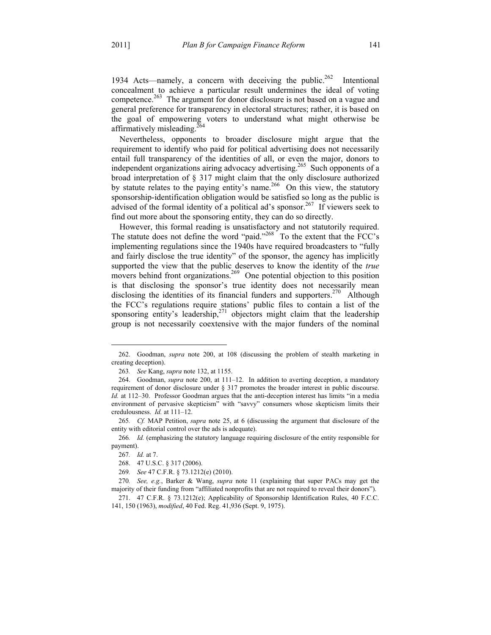1934 Acts—namely, a concern with deceiving the public.<sup>262</sup> Intentional concealment to achieve a particular result undermines the ideal of voting competence.<sup>263</sup> The argument for donor disclosure is not based on a vague and general preference for transparency in electoral structures; rather, it is based on the goal of empowering voters to understand what might otherwise be affirmatively misleading.<sup>264</sup>

Nevertheless, opponents to broader disclosure might argue that the requirement to identify who paid for political advertising does not necessarily entail full transparency of the identities of all, or even the major, donors to independent organizations airing advocacy advertising.<sup>265</sup> Such opponents of a broad interpretation of § 317 might claim that the only disclosure authorized by statute relates to the paying entity's name.<sup>266</sup> On this view, the statutory sponsorship-identification obligation would be satisfied so long as the public is advised of the formal identity of a political ad's sponsor.<sup>267</sup> If viewers seek to find out more about the sponsoring entity, they can do so directly.

However, this formal reading is unsatisfactory and not statutorily required. The statute does not define the word "paid."<sup>268</sup> To the extent that the FCC's implementing regulations since the 1940s have required broadcasters to "fully and fairly disclose the true identity" of the sponsor, the agency has implicitly supported the view that the public deserves to know the identity of the *true* movers behind front organizations.<sup>269</sup> One potential objection to this position is that disclosing the sponsor's true identity does not necessarily mean disclosing the identities of its financial funders and supporters.<sup>270</sup> Although the FCC's regulations require stations' public files to contain a list of the sponsoring entity's leadership, $271$  objectors might claim that the leadership group is not necessarily coextensive with the major funders of the nominal

 <sup>262.</sup> Goodman, *supra* note 200, at 108 (discussing the problem of stealth marketing in creating deception).

<sup>263</sup>*. See* Kang, *supra* note 132, at 1155.

 <sup>264.</sup> Goodman, *supra* note 200, at 111–12. In addition to averting deception, a mandatory requirement of donor disclosure under § 317 promotes the broader interest in public discourse. *Id.* at 112–30. Professor Goodman argues that the anti-deception interest has limits "in a media environment of pervasive skepticism" with "savvy" consumers whose skepticism limits their credulousness. *Id.* at 111–12.

<sup>265</sup>*. Cf.* MAP Petition, *supra* note 25, at 6 (discussing the argument that disclosure of the entity with editorial control over the ads is adequate).

<sup>266</sup>*. Id.* (emphasizing the statutory language requiring disclosure of the entity responsible for payment).

<sup>267</sup>*. Id.* at 7.

 <sup>268. 47</sup> U.S.C. § 317 (2006).

<sup>269</sup>*. See* 47 C.F.R. § 73.1212(e) (2010).

<sup>270</sup>*. See, e.g.*, Barker & Wang, *supra* note 11 (explaining that super PACs may get the majority of their funding from "affiliated nonprofits that are not required to reveal their donors").

 <sup>271. 47</sup> C.F.R. § 73.1212(e); Applicability of Sponsorship Identification Rules, 40 F.C.C. 141, 150 (1963), *modified*, 40 Fed. Reg. 41,936 (Sept. 9, 1975).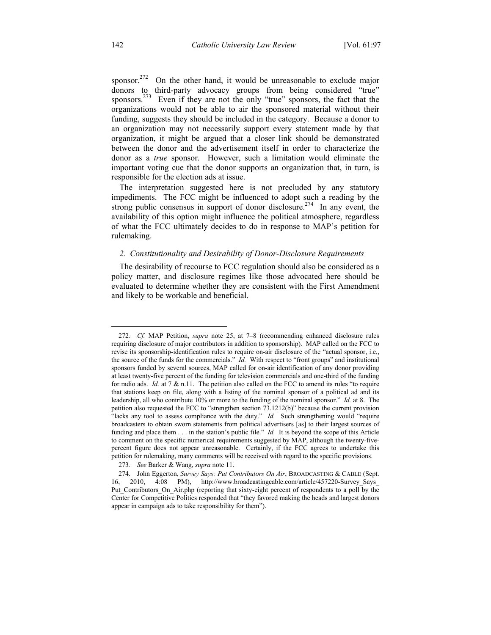sponsor.<sup>272</sup> On the other hand, it would be unreasonable to exclude major donors to third-party advocacy groups from being considered "true" sponsors.<sup>273</sup> Even if they are not the only "true" sponsors, the fact that the organizations would not be able to air the sponsored material without their funding, suggests they should be included in the category. Because a donor to an organization may not necessarily support every statement made by that organization, it might be argued that a closer link should be demonstrated between the donor and the advertisement itself in order to characterize the donor as a *true* sponsor. However, such a limitation would eliminate the important voting cue that the donor supports an organization that, in turn, is responsible for the election ads at issue.

The interpretation suggested here is not precluded by any statutory impediments. The FCC might be influenced to adopt such a reading by the strong public consensus in support of donor disclosure.<sup>274</sup> In any event, the availability of this option might influence the political atmosphere, regardless of what the FCC ultimately decides to do in response to MAP's petition for rulemaking.

## *2. Constitutionality and Desirability of Donor-Disclosure Requirements*

The desirability of recourse to FCC regulation should also be considered as a policy matter, and disclosure regimes like those advocated here should be evaluated to determine whether they are consistent with the First Amendment and likely to be workable and beneficial.

<sup>272</sup>*. Cf.* MAP Petition, *supra* note 25, at 7–8 (recommending enhanced disclosure rules requiring disclosure of major contributors in addition to sponsorship). MAP called on the FCC to revise its sponsorship-identification rules to require on-air disclosure of the "actual sponsor, i.e., the source of the funds for the commercials." *Id.* With respect to "front groups" and institutional sponsors funded by several sources, MAP called for on-air identification of any donor providing at least twenty-five percent of the funding for television commercials and one-third of the funding for radio ads. *Id.* at 7 & n.11. The petition also called on the FCC to amend its rules "to require that stations keep on file, along with a listing of the nominal sponsor of a political ad and its leadership, all who contribute 10% or more to the funding of the nominal sponsor." *Id.* at 8. The petition also requested the FCC to "strengthen section 73.1212(b)" because the current provision "lacks any tool to assess compliance with the duty." *Id.* Such strengthening would "require broadcasters to obtain sworn statements from political advertisers [as] to their largest sources of funding and place them . . . in the station's public file." *Id.* It is beyond the scope of this Article to comment on the specific numerical requirements suggested by MAP, although the twenty-fivepercent figure does not appear unreasonable. Certainly, if the FCC agrees to undertake this petition for rulemaking, many comments will be received with regard to the specific provisions.

<sup>273</sup>*. See* Barker & Wang, *supra* note 11.

 <sup>274.</sup> John Eggerton, *Survey Says: Put Contributors On Air*, BROADCASTING & CABLE (Sept. 16, 2010, 4:08 PM), http://www.broadcastingcable.com/article/457220-Survey\_Says\_ Put\_Contributors\_On\_Air.php (reporting that sixty-eight percent of respondents to a poll by the Center for Competitive Politics responded that "they favored making the heads and largest donors appear in campaign ads to take responsibility for them").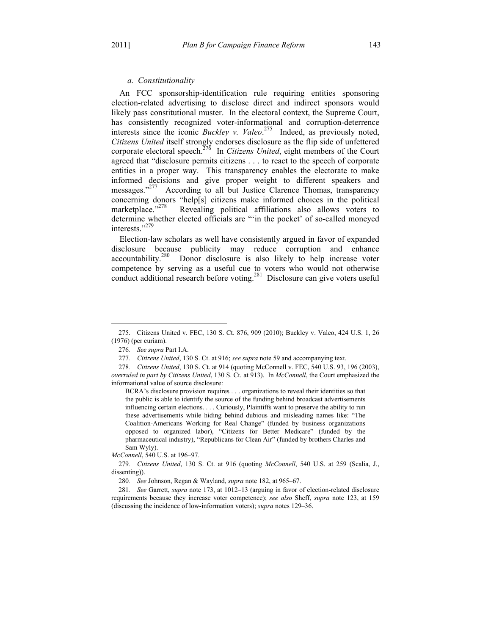#### *a. Constitutionality*

An FCC sponsorship-identification rule requiring entities sponsoring election-related advertising to disclose direct and indirect sponsors would likely pass constitutional muster. In the electoral context, the Supreme Court, has consistently recognized voter-informational and corruption-deterrence interests since the iconic *Buckley v. Valeo*. 275 Indeed, as previously noted, *Citizens United* itself strongly endorses disclosure as the flip side of unfettered corporate electoral speech.276 In *Citizens United*, eight members of the Court agreed that "disclosure permits citizens . . . to react to the speech of corporate entities in a proper way. This transparency enables the electorate to make informed decisions and give proper weight to different speakers and messages."<sup>277</sup> According to all but Justice Clarence Thomas, transparency concerning donors "help[s] citizens make informed choices in the political marketplace."<sup>278</sup> Revealing political affiliations also allows voters to Revealing political affiliations also allows voters to determine whether elected officials are "'in the pocket' of so-called moneyed interests."279

Election-law scholars as well have consistently argued in favor of expanded disclosure because publicity may reduce corruption and enhance accountability.280 Donor disclosure is also likely to help increase voter competence by serving as a useful cue to voters who would not otherwise conduct additional research before voting.<sup>281</sup> Disclosure can give voters useful

 <sup>275.</sup> Citizens United v. FEC, 130 S. Ct. 876, 909 (2010); Buckley v. Valeo, 424 U.S. 1, 26 (1976) (per curiam).

<sup>276</sup>*. See supra* Part I.A.

<sup>277</sup>*. Citizens United*, 130 S. Ct. at 916; *see supra* note 59 and accompanying text.

<sup>278</sup>*. Citizens United*, 130 S. Ct. at 914 (quoting McConnell v. FEC, 540 U.S. 93, 196 (2003), *overruled in part by Citizens United*, 130 S. Ct. at 913). In *McConnell*, the Court emphasized the informational value of source disclosure:

BCRA's disclosure provision requires . . . organizations to reveal their identities so that the public is able to identify the source of the funding behind broadcast advertisements influencing certain elections. . . . Curiously, Plaintiffs want to preserve the ability to run these advertisements while hiding behind dubious and misleading names like: "The Coalition-Americans Working for Real Change" (funded by business organizations opposed to organized labor), "Citizens for Better Medicare" (funded by the pharmaceutical industry), "Republicans for Clean Air" (funded by brothers Charles and Sam Wyly).

*McConnell*, 540 U.S. at 196–97.

<sup>279</sup>*. Citizens United*, 130 S. Ct. at 916 (quoting *McConnell*, 540 U.S. at 259 (Scalia, J., dissenting)).

<sup>280</sup>*. See* Johnson, Regan & Wayland, *supra* note 182, at 965–67.

<sup>281</sup>*. See* Garrett, *supra* note 173, at 1012–13 (arguing in favor of election-related disclosure requirements because they increase voter competence); *see also* Sheff, *supra* note 123, at 159 (discussing the incidence of low-information voters); *supra* notes 129–36.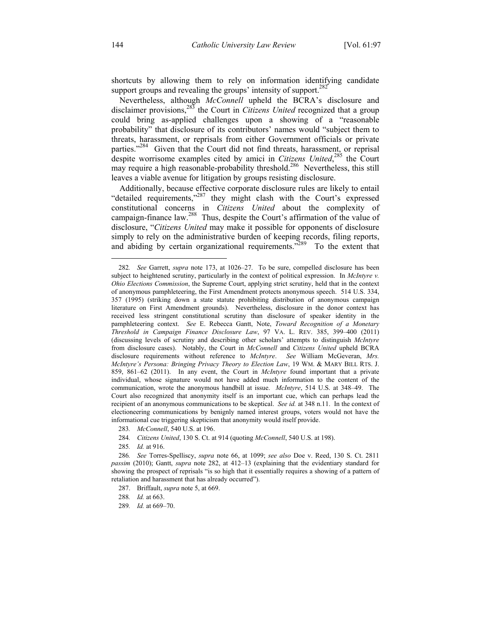shortcuts by allowing them to rely on information identifying candidate support groups and revealing the groups' intensity of support.<sup>282</sup>

Nevertheless, although *McConnell* upheld the BCRA's disclosure and disclaimer provisions,<sup>283</sup> the Court in *Citizens United* recognized that a group could bring as-applied challenges upon a showing of a "reasonable probability" that disclosure of its contributors' names would "subject them to threats, harassment, or reprisals from either Government officials or private parties."<sup>284</sup> Given that the Court did not find threats, harassment, or reprisal despite worrisome examples cited by amici in *Citizens United*, 285 the Court may require a high reasonable-probability threshold.<sup>286</sup> Nevertheless, this still leaves a viable avenue for litigation by groups resisting disclosure.

Additionally, because effective corporate disclosure rules are likely to entail "detailed requirements,"<sup>287</sup> they might clash with the Court's expressed constitutional concerns in *Citizens United* about the complexity of campaign-finance law.<sup>288</sup> Thus, despite the Court's affirmation of the value of disclosure, "*Citizens United* may make it possible for opponents of disclosure simply to rely on the administrative burden of keeping records, filing reports, and abiding by certain organizational requirements.<sup>7289</sup> To the extent that

<sup>282</sup>*. See* Garrett, *supra* note 173, at 1026–27. To be sure, compelled disclosure has been subject to heightened scrutiny, particularly in the context of political expression. In *McIntyre v. Ohio Elections Commission*, the Supreme Court, applying strict scrutiny, held that in the context of anonymous pamphleteering, the First Amendment protects anonymous speech. 514 U.S. 334, 357 (1995) (striking down a state statute prohibiting distribution of anonymous campaign literature on First Amendment grounds). Nevertheless, disclosure in the donor context has received less stringent constitutional scrutiny than disclosure of speaker identity in the pamphleteering context. *See* E. Rebecca Gantt, Note, *Toward Recognition of a Monetary Threshold in Campaign Finance Disclosure Law*, 97 VA. L. REV. 385, 399–400 (2011) (discussing levels of scrutiny and describing other scholars' attempts to distinguish *McIntyre* from disclosure cases). Notably, the Court in *McConnell* and *Citizens United* upheld BCRA disclosure requirements without reference to *McIntyre*. *See* William McGeveran, *Mrs. McIntyre's Persona: Bringing Privacy Theory to Election Law*, 19 WM. & MARY BILL RTS. J. 859, 861–62 (2011). In any event, the Court in *McIntyre* found important that a private individual, whose signature would not have added much information to the content of the communication, wrote the anonymous handbill at issue. *McIntyre*, 514 U.S. at 348–49. The Court also recognized that anonymity itself is an important cue, which can perhaps lead the recipient of an anonymous communications to be skeptical. *See id.* at 348 n.11. In the context of electioneering communications by benignly named interest groups, voters would not have the informational cue triggering skepticism that anonymity would itself provide.

<sup>283</sup>*. McConnell*, 540 U.S. at 196.

<sup>284</sup>*. Citizens United*, 130 S. Ct. at 914 (quoting *McConnell*, 540 U.S. at 198).

<sup>285</sup>*. Id.* at 916.

<sup>286</sup>*. See* Torres-Spelliscy, *supra* note 66, at 1099; *see also* Doe v. Reed, 130 S. Ct. 2811 *passim* (2010); Gantt, *supra* note 282, at 412–13 (explaining that the evidentiary standard for showing the prospect of reprisals "is so high that it essentially requires a showing of a pattern of retaliation and harassment that has already occurred").

 <sup>287.</sup> Briffault, *supra* note 5, at 669.

<sup>288</sup>*. Id.* at 663.

<sup>289</sup>*. Id.* at 669–70.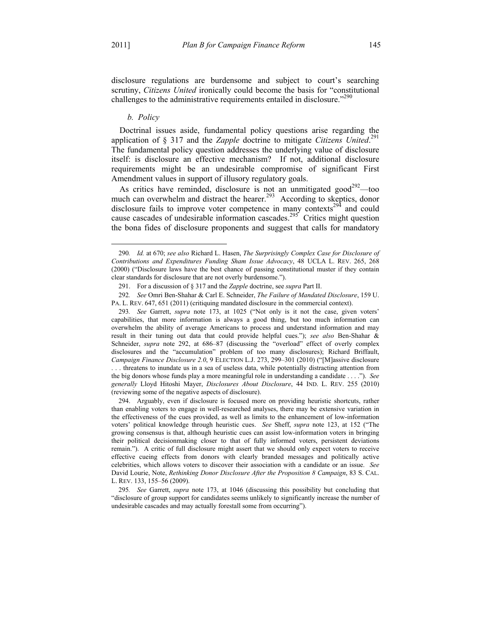1

disclosure regulations are burdensome and subject to court's searching scrutiny, *Citizens United* ironically could become the basis for "constitutional challenges to the administrative requirements entailed in disclosure.<sup> $290$ </sup>

### *b. Policy*

Doctrinal issues aside, fundamental policy questions arise regarding the application of § 317 and the *Zapple* doctrine to mitigate *Citizens United*. 291 The fundamental policy question addresses the underlying value of disclosure itself: is disclosure an effective mechanism? If not, additional disclosure requirements might be an undesirable compromise of significant First Amendment values in support of illusory regulatory goals.

As critics have reminded, disclosure is not an unmitigated good<sup>292</sup>—too much can overwhelm and distract the hearer.<sup>293</sup> According to skeptics, donor disclosure fails to improve voter competence in many contexts<sup>294</sup> and could cause cascades of undesirable information cascades.<sup>295</sup> Critics might question the bona fides of disclosure proponents and suggest that calls for mandatory

293*. See* Garrett, *supra* note 173, at 1025 ("Not only is it not the case, given voters' capabilities, that more information is always a good thing, but too much information can overwhelm the ability of average Americans to process and understand information and may result in their tuning out data that could provide helpful cues."); *see also* Ben-Shahar & Schneider, *supra* note 292, at 686–87 (discussing the "overload" effect of overly complex disclosures and the "accumulation" problem of too many disclosures); Richard Briffault, *Campaign Finance Disclosure 2.0*, 9 ELECTION L.J. 273, 299–301 (2010) ("[M]assive disclosure

. . . threatens to inundate us in a sea of useless data, while potentially distracting attention from the big donors whose funds play a more meaningful role in understanding a candidate . . . ."). *See generally* Lloyd Hitoshi Mayer, *Disclosures About Disclosure*, 44 IND. L. REV. 255 (2010) (reviewing some of the negative aspects of disclosure).

 294. Arguably, even if disclosure is focused more on providing heuristic shortcuts, rather than enabling voters to engage in well-researched analyses, there may be extensive variation in the effectiveness of the cues provided, as well as limits to the enhancement of low-information voters' political knowledge through heuristic cues. *See* Sheff, *supra* note 123, at 152 ("The growing consensus is that, although heuristic cues can assist low-information voters in bringing their political decisionmaking closer to that of fully informed voters, persistent deviations remain."). A critic of full disclosure might assert that we should only expect voters to receive effective cueing effects from donors with clearly branded messages and politically active celebrities, which allows voters to discover their association with a candidate or an issue. *See* David Lourie, Note, *Rethinking Donor Disclosure After the Proposition 8 Campaign*, 83 S. CAL. L. REV. 133, 155–56 (2009).

<sup>290</sup>*. Id.* at 670; *see also* Richard L. Hasen, *The Surprisingly Complex Case for Disclosure of Contributions and Expenditures Funding Sham Issue Advocacy*, 48 UCLA L. REV. 265, 268 (2000) ("Disclosure laws have the best chance of passing constitutional muster if they contain clear standards for disclosure that are not overly burdensome.").

 <sup>291.</sup> For a discussion of § 317 and the *Zapple* doctrine, see *supra* Part II.

<sup>292</sup>*. See* Omri Ben-Shahar & Carl E. Schneider, *The Failure of Mandated Disclosure*, 159 U. PA. L. REV. 647, 651 (2011) (critiquing mandated disclosure in the commercial context).

<sup>295</sup>*. See* Garrett, *supra* note 173, at 1046 (discussing this possibility but concluding that "disclosure of group support for candidates seems unlikely to significantly increase the number of undesirable cascades and may actually forestall some from occurring").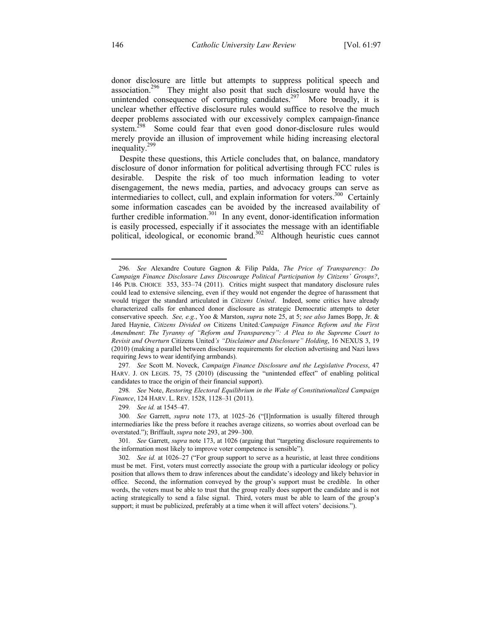donor disclosure are little but attempts to suppress political speech and association.<sup>296</sup> They might also posit that such disclosure would have the unintended consequence of corrupting candidates.<sup>297</sup> More broadly, it is unclear whether effective disclosure rules would suffice to resolve the much deeper problems associated with our excessively complex campaign-finance system.<sup>298</sup> Some could fear that even good donor-disclosure rules would merely provide an illusion of improvement while hiding increasing electoral inequality.<sup>299</sup>

Despite these questions, this Article concludes that, on balance, mandatory disclosure of donor information for political advertising through FCC rules is desirable. Despite the risk of too much information leading to voter disengagement, the news media, parties, and advocacy groups can serve as intermediaries to collect, cull, and explain information for voters.300 Certainly some information cascades can be avoided by the increased availability of further credible information.<sup>301</sup> In any event, donor-identification information is easily processed, especially if it associates the message with an identifiable political, ideological, or economic brand.<sup>302</sup> Although heuristic cues cannot

297*. See* Scott M. Noveck, *Campaign Finance Disclosure and the Legislative Process*, 47 HARV. J. ON LEGIS. 75, 75 (2010) (discussing the "unintended effect" of enabling political candidates to trace the origin of their financial support).

298*. See* Note, *Restoring Electoral Equilibrium in the Wake of Constitutionalized Campaign Finance*, 124 HARV. L. REV. 1528, 1128–31 (2011).

299*. See id.* at 1545–47.

300*. See* Garrett, *supra* note 173, at 1025–26 ("[I]nformation is usually filtered through intermediaries like the press before it reaches average citizens, so worries about overload can be overstated."); Briffault, *supra* note 293, at 299–300.

301*. See* Garrett, *supra* note 173, at 1026 (arguing that "targeting disclosure requirements to the information most likely to improve voter competence is sensible").

<sup>296</sup>*. See* Alexandre Couture Gagnon & Filip Palda, *The Price of Transparency: Do Campaign Finance Disclosure Laws Discourage Political Participation by Citizens' Groups?*, 146 PUB. CHOICE 353, 353–74 (2011). Critics might suspect that mandatory disclosure rules could lead to extensive silencing, even if they would not engender the degree of harassment that would trigger the standard articulated in *Citizens United*. Indeed, some critics have already characterized calls for enhanced donor disclosure as strategic Democratic attempts to deter conservative speech. *See, e.g.*, Yoo & Marston, *supra* note 25, at 5; *see also* James Bopp, Jr. & Jared Haynie, *Citizens Divided on* Citizens United*:Campaign Finance Reform and the First Amendment*: *The Tyranny of "Reform and Transparency": A Plea to the Supreme Court to Revisit and Overturn* Citizens United*'s "Disclaimer and Disclosure" Holding*, 16 NEXUS 3, 19 (2010) (making a parallel between disclosure requirements for election advertising and Nazi laws requiring Jews to wear identifying armbands).

<sup>302</sup>*. See id.* at 1026–27 ("For group support to serve as a heuristic, at least three conditions must be met. First, voters must correctly associate the group with a particular ideology or policy position that allows them to draw inferences about the candidate's ideology and likely behavior in office. Second, the information conveyed by the group's support must be credible. In other words, the voters must be able to trust that the group really does support the candidate and is not acting strategically to send a false signal. Third, voters must be able to learn of the group's support; it must be publicized, preferably at a time when it will affect voters' decisions.").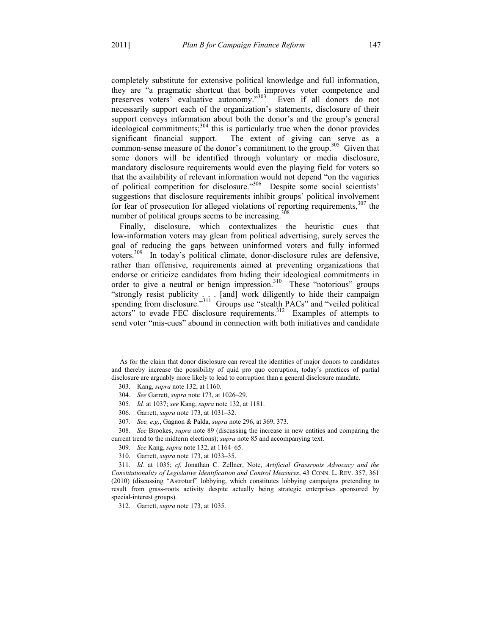completely substitute for extensive political knowledge and full information, they are "a pragmatic shortcut that both improves voter competence and preserves voters' evaluative autonomy."<sup>303</sup> Even if all donors do not necessarily support each of the organization's statements, disclosure of their support conveys information about both the donor's and the group's general ideological commitments;  $304$  this is particularly true when the donor provides significant financial support. The extent of giving can serve as a common-sense measure of the donor's commitment to the group.<sup>305</sup> Given that some donors will be identified through voluntary or media disclosure, mandatory disclosure requirements would even the playing field for voters so that the availability of relevant information would not depend "on the vagaries of political competition for disclosure."306 Despite some social scientists' suggestions that disclosure requirements inhibit groups' political involvement for fear of prosecution for alleged violations of reporting requirements,  $307$  the number of political groups seems to be increasing.<sup>308</sup>

Finally, disclosure, which contextualizes the heuristic cues that low-information voters may glean from political advertising, surely serves the goal of reducing the gaps between uninformed voters and fully informed voters.309 In today's political climate, donor-disclosure rules are defensive, rather than offensive, requirements aimed at preventing organizations that endorse or criticize candidates from hiding their ideological commitments in order to give a neutral or benign impression.<sup>310</sup> These "notorious" groups "strongly resist publicity . . . [and] work diligently to hide their campaign spending from disclosure."<sup>311</sup> Groups use "stealth PACs" and "veiled political actors" to evade FEC disclosure requirements.<sup>312</sup> Examples of attempts to send voter "mis-cues" abound in connection with both initiatives and candidate

 $\overline{a}$ 

310. Garrett, *supra* note 173, at 1033–35.

As for the claim that donor disclosure can reveal the identities of major donors to candidates and thereby increase the possibility of quid pro quo corruption, today's practices of partial disclosure are arguably more likely to lead to corruption than a general disclosure mandate.

 <sup>303.</sup> Kang, *supra* note 132, at 1160.

<sup>304</sup>*. See* Garrett, *supra* note 173, at 1026–29.

<sup>305</sup>*. Id.* at 1037; *see* Kang, *supra* note 132, at 1181.

 <sup>306.</sup> Garrett, *supra* note 173, at 1031–32.

<sup>307</sup>*. See, e.g.*, Gagnon & Palda, *supra* note 296, at 369, 373.

<sup>308</sup>*. See* Brookes, *supra* note 89 (discussing the increase in new entities and comparing the current trend to the midterm elections); *supra* note 85 and accompanying text.

<sup>309</sup>*. See* Kang, *supra* note 132, at 1164–65.

<sup>311</sup>*. Id.* at 1035; *cf.* Jonathan C. Zellner, Note, *Artificial Grassroots Advocacy and the Constitutionality of Legislative Identification and Control Measures*, 43 CONN. L. REV. 357, 361 (2010) (discussing "Astroturf" lobbying, which constitutes lobbying campaigns pretending to result from grass-roots activity despite actually being strategic enterprises sponsored by special-interest groups).

 <sup>312.</sup> Garrett, *supra* note 173, at 1035.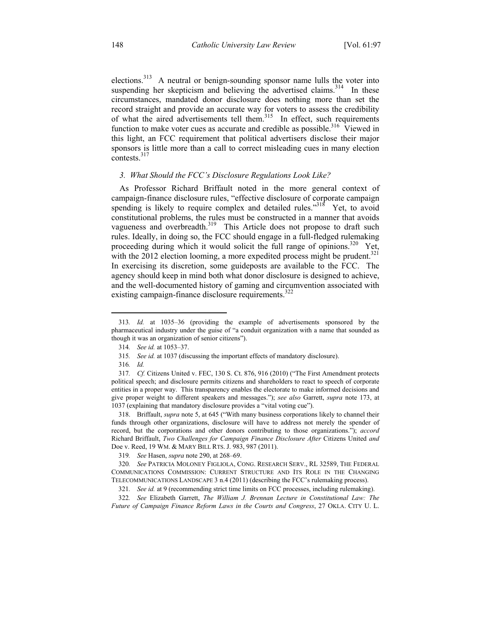elections.<sup>313</sup> A neutral or benign-sounding sponsor name lulls the voter into suspending her skepticism and believing the advertised claims.<sup>314</sup> In these circumstances, mandated donor disclosure does nothing more than set the record straight and provide an accurate way for voters to assess the credibility of what the aired advertisements tell them.<sup>315</sup> In effect, such requirements function to make voter cues as accurate and credible as possible.<sup>316</sup> Viewed in this light, an FCC requirement that political advertisers disclose their major sponsors is little more than a call to correct misleading cues in many election contests.<sup>317</sup>

## *3. What Should the FCC's Disclosure Regulations Look Like?*

As Professor Richard Briffault noted in the more general context of campaign-finance disclosure rules, "effective disclosure of corporate campaign spending is likely to require complex and detailed rules."<sup>318</sup> Yet, to avoid constitutional problems, the rules must be constructed in a manner that avoids vagueness and overbreadth.<sup>319</sup> This Article does not propose to draft such rules. Ideally, in doing so, the FCC should engage in a full-fledged rulemaking proceeding during which it would solicit the full range of opinions.<sup>320</sup> Yet, with the 2012 election looming, a more expedited process might be prudent.<sup>321</sup> In exercising its discretion, some guideposts are available to the FCC. The agency should keep in mind both what donor disclosure is designed to achieve, and the well-documented history of gaming and circumvention associated with existing campaign-finance disclosure requirements.<sup>322</sup>

<u>.</u>

 318. Briffault, *supra* note 5, at 645 ("With many business corporations likely to channel their funds through other organizations, disclosure will have to address not merely the spender of record, but the corporations and other donors contributing to those organizations."); *accord* Richard Briffault, *Two Challenges for Campaign Finance Disclosure After* Citizens United *and* Doe v. Reed, 19 WM. & MARY BILL RTS. J. 983, 987 (2011).

322*. See* Elizabeth Garrett, *The William J. Brennan Lecture in Constitutional Law: The Future of Campaign Finance Reform Laws in the Courts and Congress*, 27 OKLA. CITY U. L.

<sup>313</sup>*. Id.* at 1035–36 (providing the example of advertisements sponsored by the pharmaceutical industry under the guise of "a conduit organization with a name that sounded as though it was an organization of senior citizens").

<sup>314</sup>*. See id.* at 1053–37.

<sup>315</sup>*. See id.* at 1037 (discussing the important effects of mandatory disclosure).

<sup>316</sup>*. Id.*

<sup>317</sup>*. Cf.* Citizens United v. FEC, 130 S. Ct. 876, 916 (2010) ("The First Amendment protects political speech; and disclosure permits citizens and shareholders to react to speech of corporate entities in a proper way. This transparency enables the electorate to make informed decisions and give proper weight to different speakers and messages."); *see also* Garrett, *supra* note 173, at 1037 (explaining that mandatory disclosure provides a "vital voting cue").

<sup>319</sup>*. See* Hasen, *supra* note 290, at 268–69.

<sup>320</sup>*. See* PATRICIA MOLONEY FIGLIOLA, CONG. RESEARCH SERV., RL 32589, THE FEDERAL COMMUNICATIONS COMMISSION: CURRENT STRUCTURE AND ITS ROLE IN THE CHANGING TELECOMMUNICATIONS LANDSCAPE 3 n.4 (2011) (describing the FCC's rulemaking process).

<sup>321</sup>*. See id.* at 9 (recommending strict time limits on FCC processes, including rulemaking).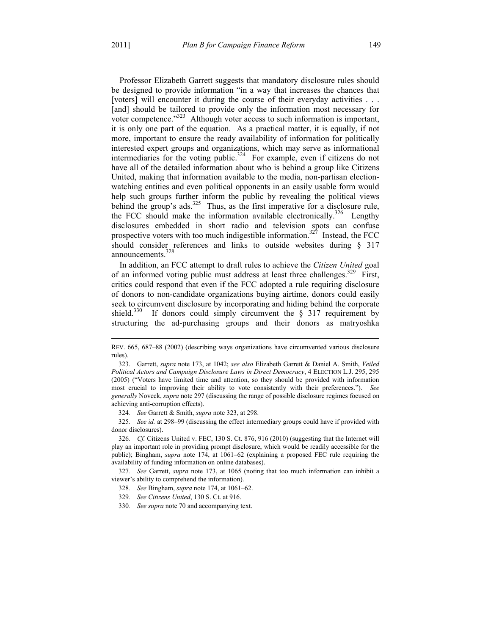$\overline{a}$ 

Professor Elizabeth Garrett suggests that mandatory disclosure rules should be designed to provide information "in a way that increases the chances that [voters] will encounter it during the course of their everyday activities . . . [and] should be tailored to provide only the information most necessary for voter competence."<sup>323</sup> Although voter access to such information is important, it is only one part of the equation. As a practical matter, it is equally, if not more, important to ensure the ready availability of information for politically interested expert groups and organizations, which may serve as informational intermediaries for the voting public.<sup>324</sup> For example, even if citizens do not have all of the detailed information about who is behind a group like Citizens United, making that information available to the media, non-partisan electionwatching entities and even political opponents in an easily usable form would help such groups further inform the public by revealing the political views behind the group's ads.<sup>325</sup> Thus, as the first imperative for a disclosure rule, the FCC should make the information available electronically.<sup>326</sup> Lengthy disclosures embedded in short radio and television spots can confuse prospective voters with too much indigestible information.<sup>327</sup> Instead, the FCC should consider references and links to outside websites during § 317 announcements.<sup>328</sup>

In addition, an FCC attempt to draft rules to achieve the *Citizen United* goal of an informed voting public must address at least three challenges.<sup>329</sup> First, critics could respond that even if the FCC adopted a rule requiring disclosure of donors to non-candidate organizations buying airtime, donors could easily seek to circumvent disclosure by incorporating and hiding behind the corporate shield.<sup>330</sup> If donors could simply circumvent the  $\S$  317 requirement by structuring the ad-purchasing groups and their donors as matryoshka

324*. See* Garrett & Smith, *supra* note 323, at 298.

325*. See id.* at 298–99 (discussing the effect intermediary groups could have if provided with donor disclosures).

326*. Cf.* Citizens United v. FEC, 130 S. Ct. 876, 916 (2010) (suggesting that the Internet will play an important role in providing prompt disclosure, which would be readily accessible for the public); Bingham, *supra* note 174, at 1061–62 (explaining a proposed FEC rule requiring the availability of funding information on online databases).

327*. See* Garrett, *supra* note 173, at 1065 (noting that too much information can inhibit a viewer's ability to comprehend the information).

- 328*. See* Bingham, *supra* note 174, at 1061–62.
- 329*. See Citizens United*, 130 S. Ct. at 916.
- 330*. See supra* note 70 and accompanying text.

REV. 665, 687–88 (2002) (describing ways organizations have circumvented various disclosure rules).

 <sup>323.</sup> Garrett, *supra* note 173, at 1042; *see also* Elizabeth Garrett & Daniel A. Smith, *Veiled Political Actors and Campaign Disclosure Laws in Direct Democracy*, 4 ELECTION L.J. 295, 295 (2005) ("Voters have limited time and attention, so they should be provided with information most crucial to improving their ability to vote consistently with their preferences."). *See generally* Noveck, *supra* note 297 (discussing the range of possible disclosure regimes focused on achieving anti-corruption effects).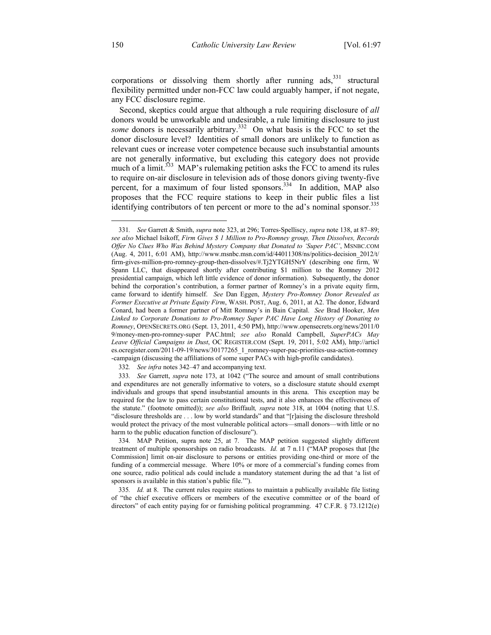corporations or dissolving them shortly after running  $ads$ ,  $331$  structural flexibility permitted under non-FCC law could arguably hamper, if not negate, any FCC disclosure regime.

Second, skeptics could argue that although a rule requiring disclosure of *all* donors would be unworkable and undesirable, a rule limiting disclosure to just *some* donors is necessarily arbitrary.<sup>332</sup> On what basis is the FCC to set the donor disclosure level? Identities of small donors are unlikely to function as relevant cues or increase voter competence because such insubstantial amounts are not generally informative, but excluding this category does not provide much of a limit.<sup>333</sup> MAP's rulemaking petition asks the FCC to amend its rules to require on-air disclosure in television ads of those donors giving twenty-five percent, for a maximum of four listed sponsors.<sup>334</sup> In addition, MAP also proposes that the FCC require stations to keep in their public files a list identifying contributors of ten percent or more to the ad's nominal sponsor.<sup>335</sup>

332*. See infra* notes 342–47 and accompanying text.

<sup>331</sup>*. See* Garrett & Smith, *supra* note 323, at 296; Torres-Spelliscy, *supra* note 138, at 87–89; *see also* Michael Isikoff, *Firm Gives \$ 1 Million to Pro-Romney group, Then Dissolves, Records Offer No Clues Who Was Behind Mystery Company that Donated to 'Super PAC'*, MSNBC.COM (Aug. 4, 2011, 6:01 AM), http://www.msnbc.msn.com/id/44011308/ns/politics-decision\_2012/t/ firm-gives-million-pro-romney-group-then-dissolves/#.Tj2YTGH5NrY (describing one firm, W Spann LLC, that disappeared shortly after contributing \$1 million to the Romney 2012 presidential campaign, which left little evidence of donor information). Subsequently, the donor behind the corporation's contribution, a former partner of Romney's in a private equity firm, came forward to identify himself. *See* Dan Eggen, *Mystery Pro-Romney Donor Revealed as Former Executive at Private Equity Firm*, WASH. POST, Aug. 6, 2011, at A2. The donor, Edward Conard, had been a former partner of Mitt Romney's in Bain Capital. *See* Brad Hooker, *Men Linked to Corporate Donations to Pro-Romney Super PAC Have Long History of Donating to Romney*, OPENSECRETS.ORG (Sept. 13, 2011, 4:50 PM), http://www.opensecrets.org/news/2011/0 9/money-men-pro-romney-super PAC.html; *see also* Ronald Campbell, *SuperPACs May Leave Official Campaigns in Dust*, OC REGISTER.COM (Sept. 19, 2011, 5:02 AM), http://articl es.ocregister.com/2011-09-19/news/30177265\_1\_romney-super-pac-priorities-usa-action-romney -campaign (discussing the affiliations of some super PACs with high-profile candidates).

<sup>333</sup>*. See* Garrett, *supra* note 173, at 1042 ("The source and amount of small contributions and expenditures are not generally informative to voters, so a disclosure statute should exempt individuals and groups that spend insubstantial amounts in this arena. This exception may be required for the law to pass certain constitutional tests, and it also enhances the effectiveness of the statute." (footnote omitted)); *see also* Briffault*, supra* note 318, at 1004 (noting that U.S. "disclosure thresholds are . . . low by world standards" and that "[r]aising the disclosure threshold would protect the privacy of the most vulnerable political actors—small donors—with little or no harm to the public education function of disclosure").

<sup>334</sup>*.* MAP Petition, supra note 25, at 7. The MAP petition suggested slightly different treatment of multiple sponsorships on radio broadcasts. *Id.* at 7 n.11 ("MAP proposes that [the Commission] limit on-air disclosure to persons or entities providing one-third or more of the funding of a commercial message. Where 10% or more of a commercial's funding comes from one source, radio political ads could include a mandatory statement during the ad that 'a list of sponsors is available in this station's public file.'").

<sup>335</sup>*. Id.* at 8. The current rules require stations to maintain a publically available file listing of "the chief executive officers or members of the executive committee or of the board of directors" of each entity paying for or furnishing political programming. 47 C.F.R. § 73.1212(e)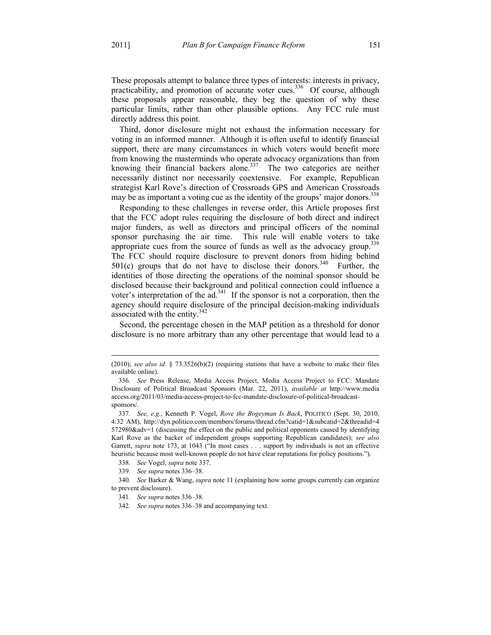$\overline{a}$ 

These proposals attempt to balance three types of interests: interests in privacy, practicability, and promotion of accurate voter cues.<sup>336</sup> Of course, although these proposals appear reasonable, they beg the question of why these particular limits, rather than other plausible options. Any FCC rule must directly address this point.

Third, donor disclosure might not exhaust the information necessary for voting in an informed manner. Although it is often useful to identify financial support, there are many circumstances in which voters would benefit more from knowing the masterminds who operate advocacy organizations than from knowing their financial backers alone. $337$  The two categories are neither necessarily distinct nor necessarily coextensive. For example, Republican strategist Karl Rove's direction of Crossroads GPS and American Crossroads may be as important a voting cue as the identity of the groups' major donors.<sup>338</sup>

Responding to these challenges in reverse order, this Article proposes first that the FCC adopt rules requiring the disclosure of both direct and indirect major funders, as well as directors and principal officers of the nominal sponsor purchasing the air time. This rule will enable voters to take appropriate cues from the source of funds as well as the advocacy group.<sup>339</sup> The FCC should require disclosure to prevent donors from hiding behind  $501(c)$  groups that do not have to disclose their donors.<sup>340</sup> Further, the identities of those directing the operations of the nominal sponsor should be disclosed because their background and political connection could influence a voter's interpretation of the  $ad^{341}$ . If the sponsor is not a corporation, then the agency should require disclosure of the principal decision-making individuals associated with the entity.<sup>342</sup>

Second, the percentage chosen in the MAP petition as a threshold for donor disclosure is no more arbitrary than any other percentage that would lead to a

 $(2010)$ ; *see also id.* § 73.3526(b)(2) (requiring stations that have a website to make their files available online).

<sup>336</sup>*. See* Press Release, Media Access Project, Media Access Project to FCC: Mandate Disclosure of Political Broadcast Sponsors (Mar. 22, 2011), *available at* http://www.media access.org/2011/03/media-access-project-to-fcc-mandate-disclosure-of-political-broadcastsponsors/.

<sup>337</sup>*. See, e.g.*, Kenneth P. Vogel, *Rove the Bogeyman Is Back*, POLITICO (Sept. 30, 2010, 4:32 AM), http://dyn.politico.com/members/forums/thread.cfm?catid=1&subcatid=2&threadid=4 572980&adv=1 (discussing the effect on the public and political opponents caused by identifying Karl Rove as the backer of independent groups supporting Republican candidates); *see also* Garrett, *supra* note 173, at 1043 ("In most cases . . . support by individuals is not an effective heuristic because most well-known people do not have clear reputations for policy positions.").

<sup>338</sup>*. See* Vogel, *supra* note 337.

<sup>339</sup>*. See supra* notes 336–38.

<sup>340</sup>*. See* Barker & Wang, *supra* note 11 (explaining how some groups currently can organize to prevent disclosure).

<sup>341</sup>*. See supra* notes 336–38.

<sup>342</sup>*. See supra* notes 336–38 and accompanying text.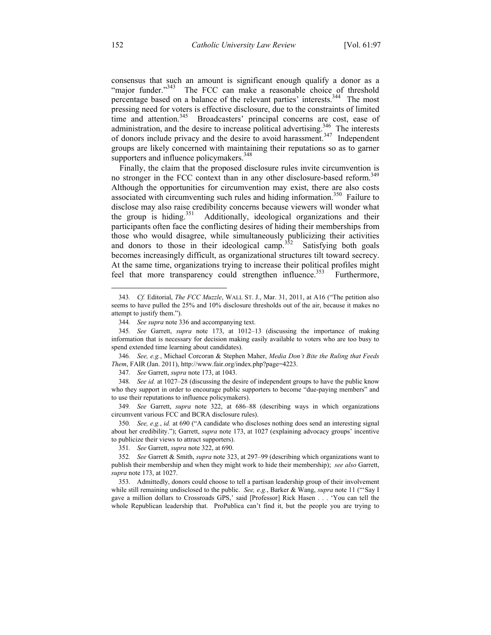consensus that such an amount is significant enough qualify a donor as a "major funder."<sup>343</sup> The FCC can make a reasonable choice of threshold percentage based on a balance of the relevant parties' interests.<sup>344</sup> The most pressing need for voters is effective disclosure, due to the constraints of limited time and attention.<sup>345</sup> Broadcasters' principal concerns are cost, ease of administration, and the desire to increase political advertising.<sup>346</sup> The interests of donors include privacy and the desire to avoid harassment.<sup>347</sup> Independent groups are likely concerned with maintaining their reputations so as to garner supporters and influence policymakers.<sup>348</sup>

Finally, the claim that the proposed disclosure rules invite circumvention is no stronger in the FCC context than in any other disclosure-based reform.<sup>349</sup> Although the opportunities for circumvention may exist, there are also costs associated with circumventing such rules and hiding information.<sup>350</sup> Failure to disclose may also raise credibility concerns because viewers will wonder what the group is hiding.<sup>351</sup> Additionally, ideological organizations and their Additionally, ideological organizations and their participants often face the conflicting desires of hiding their memberships from those who would disagree, while simultaneously publicizing their activities and donors to those in their ideological camp.<sup>352</sup> Satisfying both goals becomes increasingly difficult, as organizational structures tilt toward secrecy. At the same time, organizations trying to increase their political profiles might feel that more transparency could strengthen influence.<sup>353</sup> Furthermore,

<sup>343</sup>*. Cf.* Editorial, *The FCC Muzzle*, WALL ST. J., Mar. 31, 2011, at A16 ("The petition also seems to have pulled the 25% and 10% disclosure thresholds out of the air, because it makes no attempt to justify them.").

<sup>344</sup>*. See supra* note 336 and accompanying text.

<sup>345</sup>*. See* Garrett, *supra* note 173, at 1012–13 (discussing the importance of making information that is necessary for decision making easily available to voters who are too busy to spend extended time learning about candidates).

<sup>346</sup>*. See, e.g.*, Michael Corcoran & Stephen Maher, *Media Don't Bite the Ruling that Feeds Them*, FAIR (Jan. 2011), http://www.fair.org/index.php?page=4223.

<sup>347</sup>*. See* Garrett, *supra* note 173, at 1043.

<sup>348</sup>*. See id.* at 1027–28 (discussing the desire of independent groups to have the public know who they support in order to encourage public supporters to become "due-paying members" and to use their reputations to influence policymakers).

<sup>349</sup>*. See* Garrett, *supra* note 322, at 686–88 (describing ways in which organizations circumvent various FCC and BCRA disclosure rules).

<sup>350</sup>*. See, e.g.*, *id.* at 690 ("A candidate who discloses nothing does send an interesting signal about her credibility."); Garrett, *supra* note 173, at 1027 (explaining advocacy groups' incentive to publicize their views to attract supporters).

<sup>351</sup>*. See* Garrett, *supra* note 322, at 690.

<sup>352</sup>*. See* Garrett & Smith, *supra* note 323, at 297–99 (describing which organizations want to publish their membership and when they might work to hide their membership); *see also* Garrett, *supra* note 173, at 1027.

 <sup>353.</sup> Admittedly, donors could choose to tell a partisan leadership group of their involvement while still remaining undisclosed to the public. *See, e.g.*, Barker & Wang, *supra* note 11 ("'Say I gave a million dollars to Crossroads GPS,' said [Professor] Rick Hasen . . . 'You can tell the whole Republican leadership that. ProPublica can't find it, but the people you are trying to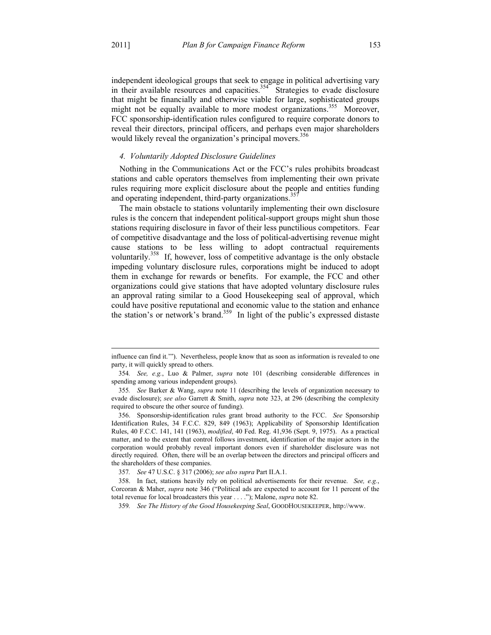$\overline{a}$ 

independent ideological groups that seek to engage in political advertising vary in their available resources and capacities.<sup>354</sup> Strategies to evade disclosure that might be financially and otherwise viable for large, sophisticated groups might not be equally available to more modest organizations.<sup>355</sup> Moreover, FCC sponsorship-identification rules configured to require corporate donors to reveal their directors, principal officers, and perhaps even major shareholders would likely reveal the organization's principal movers.<sup>356</sup>

## *4. Voluntarily Adopted Disclosure Guidelines*

Nothing in the Communications Act or the FCC's rules prohibits broadcast stations and cable operators themselves from implementing their own private rules requiring more explicit disclosure about the people and entities funding and operating independent, third-party organizations.<sup>35</sup>

The main obstacle to stations voluntarily implementing their own disclosure rules is the concern that independent political-support groups might shun those stations requiring disclosure in favor of their less punctilious competitors. Fear of competitive disadvantage and the loss of political-advertising revenue might cause stations to be less willing to adopt contractual requirements voluntarily.<sup>358</sup> If, however, loss of competitive advantage is the only obstacle impeding voluntary disclosure rules, corporations might be induced to adopt them in exchange for rewards or benefits. For example, the FCC and other organizations could give stations that have adopted voluntary disclosure rules an approval rating similar to a Good Housekeeping seal of approval, which could have positive reputational and economic value to the station and enhance the station's or network's brand.<sup>359</sup> In light of the public's expressed distaste

influence can find it.'"). Nevertheless, people know that as soon as information is revealed to one party, it will quickly spread to others.

<sup>354</sup>*. See, e.g.*, Luo & Palmer, *supra* note 101 (describing considerable differences in spending among various independent groups).

<sup>355</sup>*. See* Barker & Wang, *supra* note 11 (describing the levels of organization necessary to evade disclosure); *see also* Garrett & Smith, *supra* note 323, at 296 (describing the complexity required to obscure the other source of funding).

 <sup>356.</sup> Sponsorship-identification rules grant broad authority to the FCC. *See* Sponsorship Identification Rules, 34 F.C.C. 829, 849 (1963); Applicability of Sponsorship Identification Rules, 40 F.C.C. 141, 141 (1963), *modified*, 40 Fed. Reg. 41,936 (Sept. 9, 1975). As a practical matter, and to the extent that control follows investment, identification of the major actors in the corporation would probably reveal important donors even if shareholder disclosure was not directly required. Often, there will be an overlap between the directors and principal officers and the shareholders of these companies.

<sup>357</sup>*. See* 47 U.S.C. § 317 (2006); *see also supra* Part II.A.1.

 <sup>358.</sup> In fact, stations heavily rely on political advertisements for their revenue. *See, e.g.*, Corcoran & Maher, *supra* note 346 ("Political ads are expected to account for 11 percent of the total revenue for local broadcasters this year . . . ."); Malone, *supra* note 82.

<sup>359</sup>*. See The History of the Good Housekeeping Seal*, GOODHOUSEKEEPER, http://www.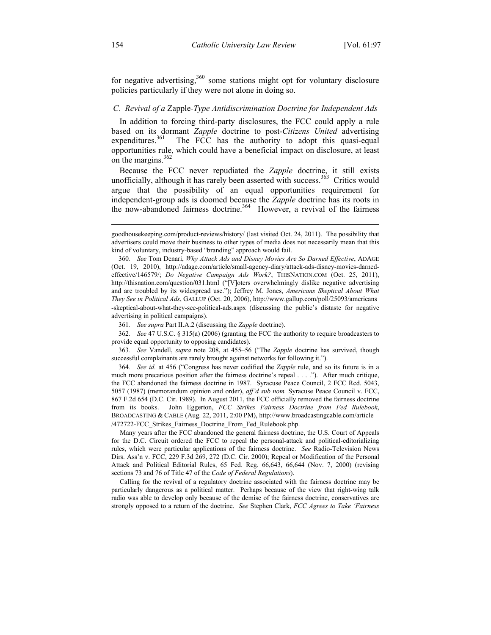for negative advertising, $360$  some stations might opt for voluntary disclosure policies particularly if they were not alone in doing so.

### *C. Revival of a* Zapple*-Type Antidiscrimination Doctrine for Independent Ads*

In addition to forcing third-party disclosures, the FCC could apply a rule based on its dormant *Zapple* doctrine to post-*Citizens United* advertising The FCC has the authority to adopt this quasi-equal opportunities rule, which could have a beneficial impact on disclosure, at least on the margins. $362$ 

Because the FCC never repudiated the *Zapple* doctrine, it still exists unofficially, although it has rarely been asserted with success.<sup>363</sup> Critics would argue that the possibility of an equal opportunities requirement for independent-group ads is doomed because the *Zapple* doctrine has its roots in the now-abandoned fairness doctrine.<sup>364</sup> However, a revival of the fairness

361*. See supra* Part II.A.2 (discussing the *Zapple* doctrine).

362*. See* 47 U.S.C. § 315(a) (2006) (granting the FCC the authority to require broadcasters to provide equal opportunity to opposing candidates).

363*. See* Vandell, *supra* note 208, at 455–56 ("The *Zapple* doctrine has survived, though successful complainants are rarely brought against networks for following it.").

364*. See id.* at 456 ("Congress has never codified the *Zapple* rule, and so its future is in a much more precarious position after the fairness doctrine's repeal . . . ."). After much critique, the FCC abandoned the fairness doctrine in 1987. Syracuse Peace Council, 2 FCC Rcd. 5043, 5057 (1987) (memorandum opinion and order), *aff'd sub nom.* Syracuse Peace Council v. FCC, 867 F.2d 654 (D.C. Cir. 1989). In August 2011, the FCC officially removed the fairness doctrine from its books. John Eggerton, *FCC Strikes Fairness Doctrine from Fed Rulebook*, BROADCASTING & CABLE (Aug. 22, 2011, 2:00 PM), http://www.broadcastingcable.com/article /472722-FCC\_Strikes\_Fairness\_Doctrine\_From\_Fed\_Rulebook.php.

 Many years after the FCC abandoned the general fairness doctrine, the U.S. Court of Appeals for the D.C. Circuit ordered the FCC to repeal the personal-attack and political-editorializing rules, which were particular applications of the fairness doctrine. *See* Radio-Television News Dirs. Ass'n v. FCC, 229 F.3d 269, 272 (D.C. Cir. 2000); Repeal or Modification of the Personal Attack and Political Editorial Rules, 65 Fed. Reg. 66,643, 66,644 (Nov. 7, 2000) (revising sections 73 and 76 of Title 47 of the *Code of Federal Regulations*).

 Calling for the revival of a regulatory doctrine associated with the fairness doctrine may be particularly dangerous as a political matter. Perhaps because of the view that right-wing talk radio was able to develop only because of the demise of the fairness doctrine, conservatives are strongly opposed to a return of the doctrine. *See* Stephen Clark, *FCC Agrees to Take 'Fairness* 

 $\overline{a}$ 

goodhousekeeping.com/product-reviews/history/ (last visited Oct. 24, 2011). The possibility that advertisers could move their business to other types of media does not necessarily mean that this kind of voluntary, industry-based "branding" approach would fail.

<sup>360</sup>*. See* Tom Denari, *Why Attack Ads and Disney Movies Are So Darned Effective*, ADAGE (Oct. 19, 2010), http://adage.com/article/small-agency-diary/attack-ads-disney-movies-darnedeffective/146579/; *Do Negative Campaign Ads Work?*, THISNATION.COM (Oct. 25, 2011), http://thisnation.com/question/031.html ("[V]oters overwhelmingly dislike negative advertising and are troubled by its widespread use."); Jeffrey M. Jones, *Americans Skeptical About What They See in Political Ads*, GALLUP (Oct. 20, 2006), http://www.gallup.com/poll/25093/americans -skeptical-about-what-they-see-political-ads.aspx (discussing the public's distaste for negative advertising in political campaigns).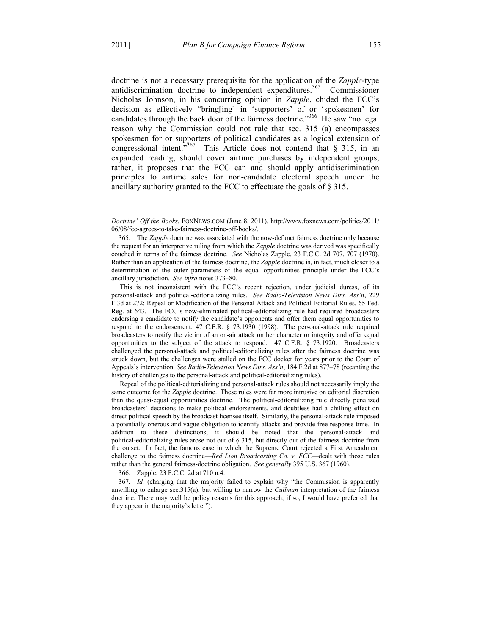$\overline{a}$ 

doctrine is not a necessary prerequisite for the application of the *Zapple*-type antidiscrimination doctrine to independent expenditures.<sup>365</sup> Commissioner Nicholas Johnson, in his concurring opinion in *Zapple*, chided the FCC's decision as effectively "bring[ing] in 'supporters' of or 'spokesmen' for candidates through the back door of the fairness doctrine."<sup>366</sup> He saw "no legal reason why the Commission could not rule that sec. 315 (a) encompasses spokesmen for or supporters of political candidates as a logical extension of congressional intent.<sup> $367$ </sup> This Article does not contend that § 315, in an expanded reading, should cover airtime purchases by independent groups; rather, it proposes that the FCC can and should apply antidiscrimination principles to airtime sales for non-candidate electoral speech under the ancillary authority granted to the FCC to effectuate the goals of § 315.

 This is not inconsistent with the FCC's recent rejection, under judicial duress, of its personal-attack and political-editorializing rules. *See Radio-Television News Dirs. Ass'n*, 229 F.3d at 272; Repeal or Modification of the Personal Attack and Political Editorial Rules, 65 Fed. Reg. at 643. The FCC's now-eliminated political-editorializing rule had required broadcasters endorsing a candidate to notify the candidate's opponents and offer them equal opportunities to respond to the endorsement. 47 C.F.R. § 73.1930 (1998). The personal-attack rule required broadcasters to notify the victim of an on-air attack on her character or integrity and offer equal opportunities to the subject of the attack to respond. 47 C.F.R. § 73.1920. Broadcasters challenged the personal-attack and political-editorializing rules after the fairness doctrine was struck down, but the challenges were stalled on the FCC docket for years prior to the Court of Appeals's intervention. *See Radio-Television News Dirs. Ass'n*, 184 F.2d at 877–78 (recanting the history of challenges to the personal-attack and political-editorializing rules).

 Repeal of the political-editorializing and personal-attack rules should not necessarily imply the same outcome for the *Zapple* doctrine. These rules were far more intrusive on editorial discretion than the quasi-equal opportunities doctrine. The political-editorializing rule directly penalized broadcasters' decisions to make political endorsements, and doubtless had a chilling effect on direct political speech by the broadcast licensee itself. Similarly, the personal-attack rule imposed a potentially onerous and vague obligation to identify attacks and provide free response time. In addition to these distinctions, it should be noted that the personal-attack and political-editorializing rules arose not out of § 315, but directly out of the fairness doctrine from the outset. In fact, the famous case in which the Supreme Court rejected a First Amendment challenge to the fairness doctrine—*Red Lion Broadcasting Co. v. FCC*—dealt with those rules rather than the general fairness-doctrine obligation. *See generally* 395 U.S. 367 (1960).

366*.* Zapple, 23 F.C.C. 2d at 710 n.4.

367*. Id.* (charging that the majority failed to explain why "the Commission is apparently unwilling to enlarge sec.315(a), but willing to narrow the *Cullman* interpretation of the fairness doctrine. There may well be policy reasons for this approach; if so, I would have preferred that they appear in the majority's letter").

*Doctrine' Off the Books*, FOXNEWS.COM (June 8, 2011), http://www.foxnews.com/politics/2011/ 06/08/fcc-agrees-to-take-fairness-doctrine-off-books/.

 <sup>365.</sup> The *Zapple* doctrine was associated with the now-defunct fairness doctrine only because the request for an interpretive ruling from which the *Zapple* doctrine was derived was specifically couched in terms of the fairness doctrine. *See* Nicholas Zapple, 23 F.C.C. 2d 707, 707 (1970). Rather than an application of the fairness doctrine, the *Zapple* doctrine is, in fact, much closer to a determination of the outer parameters of the equal opportunities principle under the FCC's ancillary jurisdiction. *See infra* notes 373–80.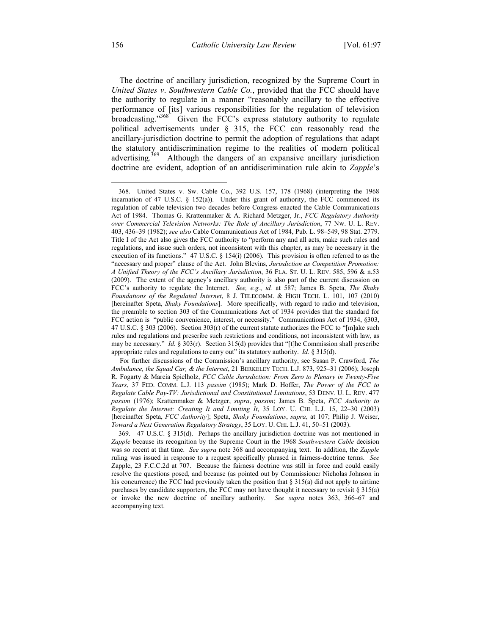The doctrine of ancillary jurisdiction, recognized by the Supreme Court in *United States v*. *Southwestern Cable Co.*, provided that the FCC should have the authority to regulate in a manner "reasonably ancillary to the effective performance of [its] various responsibilities for the regulation of television broadcasting."<sup>368</sup> Given the FCC's express statutory authority to regulate political advertisements under § 315, the FCC can reasonably read the ancillary-jurisdiction doctrine to permit the adoption of regulations that adapt the statutory antidiscrimination regime to the realities of modern political advertising.<sup>369</sup> Although the dangers of an expansive ancillary jurisdiction doctrine are evident, adoption of an antidiscrimination rule akin to *Zapple*'s

 <sup>368.</sup> United States v. Sw. Cable Co., 392 U.S. 157, 178 (1968) (interpreting the 1968 incarnation of 47 U.S.C.  $\S$  152(a)). Under this grant of authority, the FCC commenced its regulation of cable television two decades before Congress enacted the Cable Communications Act of 1984. Thomas G. Krattenmaker & A. Richard Metzger, Jr., *FCC Regulatory Authority over Commercial Television Networks: The Role of Ancillary Jurisdiction*, 77 NW. U. L. REV. 403, 436–39 (1982); *see also* Cable Communications Act of 1984, Pub. L. 98–549, 98 Stat. 2779. Title I of the Act also gives the FCC authority to "perform any and all acts, make such rules and regulations, and issue such orders, not inconsistent with this chapter, as may be necessary in the execution of its functions." 47 U.S.C. § 154(i) (2006). This provision is often referred to as the "necessary and proper" clause of the Act. John Blevins, *Jurisdiction as Competition Promotion: A Unified Theory of the FCC's Ancillary Jurisdiction*, 36 FLA. ST. U. L. REV. 585, 596 & n.53 (2009). The extent of the agency's ancillary authority is also part of the current discussion on FCC's authority to regulate the Internet. *See, e.g.*, *id.* at 587; James B. Speta, *The Shaky Foundations of the Regulated Internet*, 8 J. TELECOMM. & HIGH TECH. L. 101, 107 (2010) [hereinafter Speta, *Shaky Foundations*]. More specifically, with regard to radio and television, the preamble to section 303 of the Communications Act of 1934 provides that the standard for FCC action is "public convenience, interest, or necessity." Communications Act of 1934, §303, 47 U.S.C. § 303 (2006). Section 303(r) of the current statute authorizes the FCC to "[m]ake such rules and regulations and prescribe such restrictions and conditions, not inconsistent with law, as may be necessary." *Id.* § 303(r). Section 315(d) provides that "[t]he Commission shall prescribe appropriate rules and regulations to carry out" its statutory authority. *Id.* § 315(d).

For further discussions of the Commission's ancillary authority, see Susan P. Crawford, *The Ambulance, the Squad Car, & the Internet*, 21 BERKELEY TECH. L.J. 873, 925–31 (2006); Joseph R. Fogarty & Marcia Spielholz, *FCC Cable Jurisdiction: From Zero to Plenary in Twenty-Five Years*, 37 FED. COMM. L.J. 113 *passim* (1985); Mark D. Hoffer, *The Power of the FCC to Regulate Cable Pay-TV: Jurisdictional and Constitutional Limitations*, 53 DENV. U. L. REV. 477 *passim* (1976); Krattenmaker & Metzger, *supra*, *passim*; James B. Speta, *FCC Authority to Regulate the Internet: Creating It and Limiting It*, 35 LOY. U. CHI. L.J. 15, 22–30 (2003) [hereinafter Speta, *FCC Authority*]; Speta, *Shaky Foundations*, *supra*, at 107; Philip J. Weiser, *Toward a Next Generation Regulatory Strategy*, 35 LOY. U. CHI. L.J. 41, 50–51 (2003).

 <sup>369. 47</sup> U.S.C. § 315(d). Perhaps the ancillary jurisdiction doctrine was not mentioned in *Zapple* because its recognition by the Supreme Court in the 1968 *Southwestern Cable* decision was so recent at that time. *See supra* note 368 and accompanying text. In addition, the *Zapple* ruling was issued in response to a request specifically phrased in fairness-doctrine terms. *See*  Zapple, 23 F.C.C.2d at 707. Because the fairness doctrine was still in force and could easily resolve the questions posed, and because (as pointed out by Commissioner Nicholas Johnson in his concurrence) the FCC had previously taken the position that  $\S 315(a)$  did not apply to airtime purchases by candidate supporters, the FCC may not have thought it necessary to revisit § 315(a) or invoke the new doctrine of ancillary authority. *See supra* notes 363, 366–67 and accompanying text.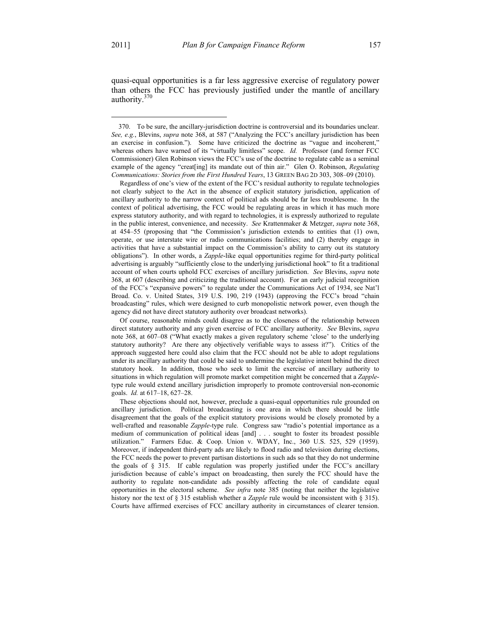1

quasi-equal opportunities is a far less aggressive exercise of regulatory power than others the FCC has previously justified under the mantle of ancillary authority.370

 Of course, reasonable minds could disagree as to the closeness of the relationship between direct statutory authority and any given exercise of FCC ancillary authority. *See* Blevins, *supra* note 368, at 607–08 ("What exactly makes a given regulatory scheme 'close' to the underlying statutory authority? Are there any objectively verifiable ways to assess it?"). Critics of the approach suggested here could also claim that the FCC should not be able to adopt regulations under its ancillary authority that could be said to undermine the legislative intent behind the direct statutory hook. In addition, those who seek to limit the exercise of ancillary authority to situations in which regulation will promote market competition might be concerned that a *Zapple*type rule would extend ancillary jurisdiction improperly to promote controversial non-economic goals. *Id.* at 617–18, 627–28.

 These objections should not, however, preclude a quasi-equal opportunities rule grounded on ancillary jurisdiction. Political broadcasting is one area in which there should be little disagreement that the goals of the explicit statutory provisions would be closely promoted by a well-crafted and reasonable *Zapple*-type rule. Congress saw "radio's potential importance as a medium of communication of political ideas [and] . . . sought to foster its broadest possible utilization." Farmers Educ. & Coop. Union v. WDAY, Inc., 360 U.S. 525, 529 (1959). Moreover, if independent third-party ads are likely to flood radio and television during elections, the FCC needs the power to prevent partisan distortions in such ads so that they do not undermine the goals of § 315. If cable regulation was properly justified under the FCC's ancillary jurisdiction because of cable's impact on broadcasting, then surely the FCC should have the authority to regulate non-candidate ads possibly affecting the role of candidate equal opportunities in the electoral scheme. *See infra* note 385 (noting that neither the legislative history nor the text of § 315 establish whether a *Zapple* rule would be inconsistent with § 315). Courts have affirmed exercises of FCC ancillary authority in circumstances of clearer tension.

 <sup>370.</sup> To be sure, the ancillary-jurisdiction doctrine is controversial and its boundaries unclear. *See, e.g.*, Blevins, *supra* note 368, at 587 ("Analyzing the FCC's ancillary jurisdiction has been an exercise in confusion."). Some have criticized the doctrine as "vague and incoherent," whereas others have warned of its "virtually limitless" scope. *Id.* Professor (and former FCC Commissioner) Glen Robinson views the FCC's use of the doctrine to regulate cable as a seminal example of the agency "creat[ing] its mandate out of thin air." Glen O. Robinson, *Regulating Communications: Stories from the First Hundred Years*, 13 GREEN BAG 2D 303, 308–09 (2010).

Regardless of one's view of the extent of the FCC's residual authority to regulate technologies not clearly subject to the Act in the absence of explicit statutory jurisdiction, application of ancillary authority to the narrow context of political ads should be far less troublesome. In the context of political advertising, the FCC would be regulating areas in which it has much more express statutory authority, and with regard to technologies, it is expressly authorized to regulate in the public interest, convenience, and necessity. *See* Krattenmaker & Metzger, *supra* note 368, at 454–55 (proposing that "the Commission's jurisdiction extends to entities that (1) own, operate, or use interstate wire or radio communications facilities; and (2) thereby engage in activities that have a substantial impact on the Commission's ability to carry out its statutory obligations"). In other words, a *Zapple*-like equal opportunities regime for third-party political advertising is arguably "sufficiently close to the underlying jurisdictional hook" to fit a traditional account of when courts uphold FCC exercises of ancillary jurisdiction. *See* Blevins, *supra* note 368, at 607 (describing and criticizing the traditional account). For an early judicial recognition of the FCC's "expansive powers" to regulate under the Communications Act of 1934, see Nat'l Broad. Co. v. United States, 319 U.S. 190, 219 (1943) (approving the FCC's broad "chain broadcasting" rules, which were designed to curb monopolistic network power, even though the agency did not have direct statutory authority over broadcast networks).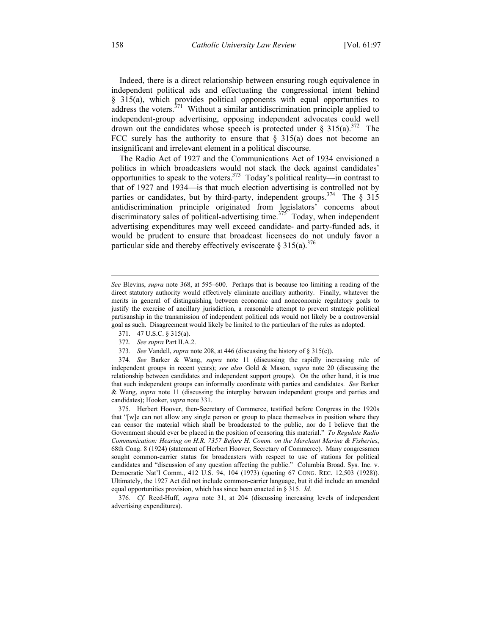Indeed, there is a direct relationship between ensuring rough equivalence in independent political ads and effectuating the congressional intent behind § 315(a), which provides political opponents with equal opportunities to address the voters.<sup>371</sup> Without a similar antidiscrimination principle applied to independent-group advertising, opposing independent advocates could well drown out the candidates whose speech is protected under  $\S 315(a)^{372}$  The FCC surely has the authority to ensure that  $\S$  315(a) does not become an insignificant and irrelevant element in a political discourse.

The Radio Act of 1927 and the Communications Act of 1934 envisioned a politics in which broadcasters would not stack the deck against candidates' opportunities to speak to the voters.<sup>373</sup> Today's political reality—in contrast to that of 1927 and 1934—is that much election advertising is controlled not by parties or candidates, but by third-party, independent groups.<sup>374</sup> The  $\S$  315 antidiscrimination principle originated from legislators' concerns about discriminatory sales of political-advertising time.<sup>375</sup> Today, when independent advertising expenditures may well exceed candidate- and party-funded ads, it would be prudent to ensure that broadcast licensees do not unduly favor a particular side and thereby effectively eviscerate  $\S 315(a)$ <sup>376</sup>

- 371. 47 U.S.C. § 315(a).
- 372*. See supra* Part II.A.2.
- 373*. See* Vandell, *supra* note 208, at 446 (discussing the history of § 315(c)).

 $\overline{a}$ 

*See* Blevins, *supra* note 368, at 595–600. Perhaps that is because too limiting a reading of the direct statutory authority would effectively eliminate ancillary authority. Finally, whatever the merits in general of distinguishing between economic and noneconomic regulatory goals to justify the exercise of ancillary jurisdiction, a reasonable attempt to prevent strategic political partisanship in the transmission of independent political ads would not likely be a controversial goal as such. Disagreement would likely be limited to the particulars of the rules as adopted.

<sup>374</sup>*. See* Barker & Wang, *supra* note 11 (discussing the rapidly increasing rule of independent groups in recent years); *see also* Gold & Mason, *supra* note 20 (discussing the relationship between candidates and independent support groups). On the other hand, it is true that such independent groups can informally coordinate with parties and candidates. *See* Barker & Wang, *supra* note 11 (discussing the interplay between independent groups and parties and candidates); Hooker, *supra* note 331.

 <sup>375.</sup> Herbert Hoover, then-Secretary of Commerce, testified before Congress in the 1920s that "[w]e can not allow any single person or group to place themselves in position where they can censor the material which shall be broadcasted to the public, nor do I believe that the Government should ever be placed in the position of censoring this material." *To Regulate Radio Communication: Hearing on H.R. 7357 Before H. Comm. on the Merchant Marine & Fisheries*, 68th Cong. 8 (1924) (statement of Herbert Hoover, Secretary of Commerce). Many congressmen sought common-carrier status for broadcasters with respect to use of stations for political candidates and "discussion of any question affecting the public." Columbia Broad. Sys. Inc. v. Democratic Nat'l Comm., 412 U.S. 94, 104 (1973) (quoting 67 CONG. REC. 12,503 (1928)). Ultimately, the 1927 Act did not include common-carrier language, but it did include an amended equal opportunities provision, which has since been enacted in § 315. *Id.*

<sup>376</sup>*. Cf.* Reed-Huff, *supra* note 31, at 204 (discussing increasing levels of independent advertising expenditures).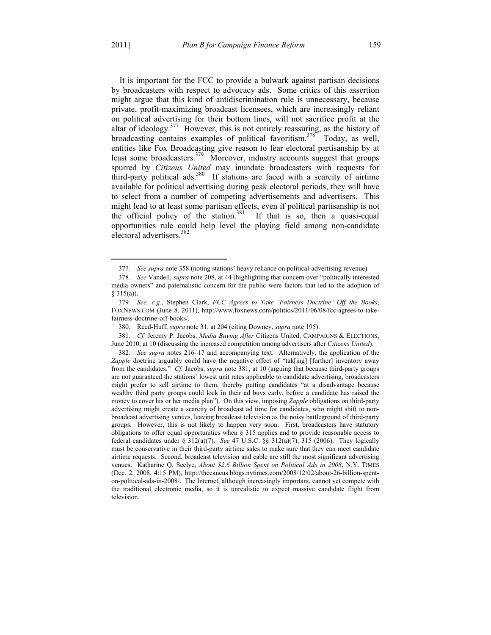1

It is important for the FCC to provide a bulwark against partisan decisions by broadcasters with respect to advocacy ads. Some critics of this assertion might argue that this kind of antidiscrimination rule is unnecessary, because private, profit-maximizing broadcast licensees, which are increasingly reliant on political advertising for their bottom lines, will not sacrifice profit at the altar of ideology. $377$  However, this is not entirely reassuring, as the history of broadcasting contains examples of political favoritism.<sup>378</sup> Today, as well, entities like Fox Broadcasting give reason to fear electoral partisanship by at least some broadcasters.<sup>379</sup> Moreover, industry accounts suggest that groups spurred by *Citizens United* may inundate broadcasters with requests for third-party political ads.<sup>380</sup> If stations are faced with a scarcity of airtime available for political advertising during peak electoral periods, they will have to select from a number of competing advertisements and advertisers. This might lead to at least some partisan effects, even if political partisanship is not the official policy of the station.<sup>381</sup> If that is so, then a quasi-equal opportunities rule could help level the playing field among non-candidate electoral advertisers.<sup>382</sup>

381*. Cf.* Jeremy P. Jacobs, *Media Buying After* Citizens United, CAMPAIGNS & ELECTIONS, June 2010, at 10 (discussing the increased competition among advertisers after *Citizens United*).

<sup>377</sup>*. See supra* note 358 (noting stations' heavy reliance on political-advertising revenue).

<sup>378</sup>*. See* Vandell, *supra* note 208, at 44 (highlighting that concern over "politically interested media owners" and paternalistic concern for the public were factors that led to the adoption of  $§ 315(a)$ ).

<sup>379</sup>*. See, e.g.*, Stephen Clark, *FCC Agrees to Take 'Fairness Doctrine' Off the Books*, FOXNEWS.COM (June 8, 2011), http://www.foxnews.com/politics/2011/06/08/fcc-agrees-to-takefairness-doctrine-off-books/.

 <sup>380.</sup> Reed-Huff, *supra* note 31, at 204 (citing Downey, *supra* note 195).

<sup>382</sup>*. See supra* notes 216–17 and accompanying text. Alternatively, the application of the Zapple doctrine arguably could have the negative effect of "tak[ing] [further] inventory away from the candidates." *Cf.* Jacobs, *supra* note 381, at 10 (arguing that because third-party groups are not guaranteed the stations' lowest unit rates applicable to candidate advertising, broadcasters might prefer to sell airtime to them, thereby putting candidates "at a disadvantage because wealthy third party groups could lock in their ad buys early, before a candidate has raised the money to cover his or her media plan"). On this view, imposing *Zapple* obligations on third-party advertising might create a scarcity of broadcast ad time for candidates, who might shift to nonbroadcast advertising venues, leaving broadcast television as the noisy battleground of third-party groups. However, this is not likely to happen very soon. First, broadcasters have statutory obligations to offer equal opportunities when § 315 applies and to provide reasonable access to federal candidates under § 312(a)(7). *See* 47 U.S.C. §§ 312(a)(7), 315 (2006). They logically must be conservative in their third-party airtime sales to make sure that they can meet candidate airtime requests. Second, broadcast television and cable are still the most significant advertising venues. Katharine Q. Seelye, *About \$2.6 Billion Spent on Political Ads in 2008*, N.Y. TIMES (Dec. 2, 2008, 4:15 PM), http://thecaucus.blogs.nytimes.com/2008/12/02/about-26-billion-spenton-political-ads-in-2008/. The Internet, although increasingly important, cannot yet compete with the traditional electronic media, so it is unrealistic to expect massive candidate flight from television.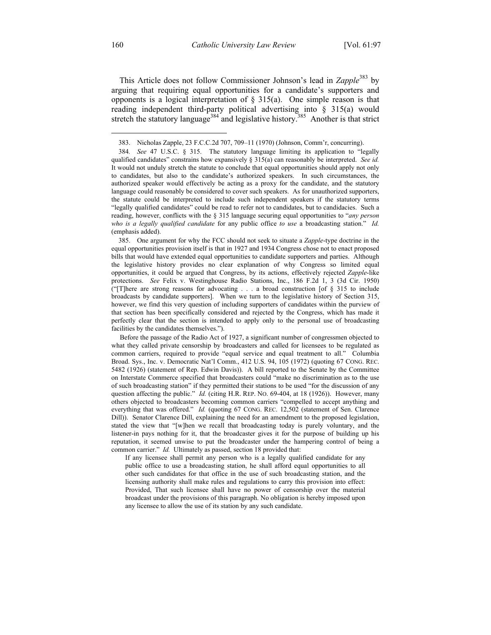This Article does not follow Commissioner Johnson's lead in *Zapple*383 by arguing that requiring equal opportunities for a candidate's supporters and opponents is a logical interpretation of  $\S$  315(a). One simple reason is that reading independent third-party political advertising into § 315(a) would stretch the statutory language<sup>384</sup> and legislative history.<sup>385</sup> Another is that strict

 385. One argument for why the FCC should not seek to situate a *Zapple*-type doctrine in the equal opportunities provision itself is that in 1927 and 1934 Congress chose not to enact proposed bills that would have extended equal opportunities to candidate supporters and parties. Although the legislative history provides no clear explanation of why Congress so limited equal opportunities, it could be argued that Congress, by its actions, effectively rejected *Zapple*-like protections. *See* Felix v. Westinghouse Radio Stations, Inc., 186 F.2d 1, 3 (3d Cir. 1950) ("[T]here are strong reasons for advocating . . . a broad construction [of § 315 to include broadcasts by candidate supporters]. When we turn to the legislative history of Section 315, however, we find this very question of including supporters of candidates within the purview of that section has been specifically considered and rejected by the Congress, which has made it perfectly clear that the section is intended to apply only to the personal use of broadcasting facilities by the candidates themselves.").

 Before the passage of the Radio Act of 1927, a significant number of congressmen objected to what they called private censorship by broadcasters and called for licensees to be regulated as common carriers, required to provide "equal service and equal treatment to all." Columbia Broad. Sys., Inc. v. Democratic Nat'l Comm., 412 U.S. 94, 105 (1972) (quoting 67 CONG. REC. 5482 (1926) (statement of Rep. Edwin Davis)). A bill reported to the Senate by the Committee on Interstate Commerce specified that broadcasters could "make no discrimination as to the use of such broadcasting station" if they permitted their stations to be used "for the discussion of any question affecting the public." *Id.* (citing H.R. REP. NO. 69-404, at 18 (1926)). However, many others objected to broadcasters becoming common carriers "compelled to accept anything and everything that was offered." *Id.* (quoting 67 CONG. REC. 12,502 (statement of Sen. Clarence Dill)). Senator Clarence Dill, explaining the need for an amendment to the proposed legislation, stated the view that "[w]hen we recall that broadcasting today is purely voluntary, and the listener-in pays nothing for it, that the broadcaster gives it for the purpose of building up his reputation, it seemed unwise to put the broadcaster under the hampering control of being a common carrier." *Id.* Ultimately as passed, section 18 provided that:

If any licensee shall permit any person who is a legally qualified candidate for any public office to use a broadcasting station, he shall afford equal opportunities to all other such candidates for that office in the use of such broadcasting station, and the licensing authority shall make rules and regulations to carry this provision into effect: Provided, That such licensee shall have no power of censorship over the material broadcast under the provisions of this paragraph. No obligation is hereby imposed upon any licensee to allow the use of its station by any such candidate.

 <sup>383.</sup> Nicholas Zapple, 23 F.C.C.2d 707, 709–11 (1970) (Johnson, Comm'r, concurring).

<sup>384</sup>*. See* 47 U.S.C. § 315. The statutory language limiting its application to "legally qualified candidates" constrains how expansively § 315(a) can reasonably be interpreted. *See id.* It would not unduly stretch the statute to conclude that equal opportunities should apply not only to candidates, but also to the candidate's authorized speakers. In such circumstances, the authorized speaker would effectively be acting as a proxy for the candidate, and the statutory language could reasonably be considered to cover such speakers. As for unauthorized supporters, the statute could be interpreted to include such independent speakers if the statutory terms "legally qualified candidates" could be read to refer not to candidates, but to candidacies. Such a reading, however, conflicts with the § 315 language securing equal opportunities to "*any person who is a legally qualified candidate* for any public office *to use* a broadcasting station." *Id.* (emphasis added).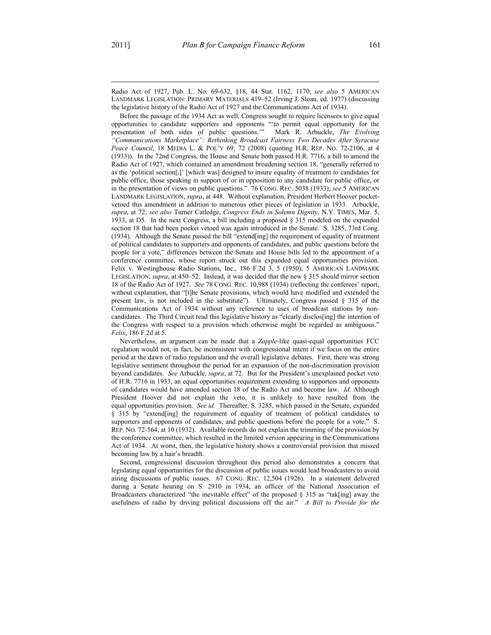$\overline{a}$ 

Radio Act of 1927, Pub. L. No. 69-632, §18, 44 Stat. 1162, 1170; *see also* 5 AMERICAN LANDMARK LEGISLATION: PRIMARY MATERIALS 419–52 (Irving J. Sloan, ed. 1977) (discussing the legislative history of the Radio Act of 1927 and the Communications Act of 1934).

 Before the passage of the 1934 Act as well, Congress sought to require licensees to give equal opportunities to candidate supporters and opponents "'to permit equal opportunity for the presentation of both sides of public questions.'" Mark R. Arbuckle, *The Evolving "Communications Marketplace": Rethinking Broadcast Fairness Two Decades After Syracuse Peace Council*, 18 MEDIA L. & POL'Y 69, 72 (2008) (quoting H.R. REP. NO. 72-2106, at 4 (1933)). In the 72nd Congress, the House and Senate both passed H.R. 7716, a bill to amend the Radio Act of 1927, which contained an amendment broadening section 18, "generally referred to as the 'political section[,]' [which was] designed to insure equality of treatment to candidates for public office, those speaking in support of or in opposition to any candidate for public office, or in the presentation of views on public questions." 76 CONG. REC. 5038 (1933); *see* 5 AMERICAN LANDMARK LEGISLATION, *supra*, at 448. Without explanation, President Herbert Hoover pocketvetoed this amendment in addition to numerous other pieces of legislation in 1933. Arbuckle, *supra*, at 72; *see also* Turner Catledge, *Congress Ends in Solemn Dignity*, N.Y. TIMES, Mar. 5, 1933, at D5. In the next Congress, a bill including a proposed § 315 modeled on the expanded section 18 that had been pocket vetoed was again introduced in the Senate. S. 3285, 73rd Cong. (1934). Although the Senate passed the bill "extend[ing] the requirement of equality of treatment of political candidates to supporters and opponents of candidates, and public questions before the people for a vote," differences between the Senate and House bills led to the appointment of a conference committee, whose report struck out this expanded equal opportunities provision. Felix v. Westinghouse Radio Stations, Inc., 186 F.2d 3, 5 (1950); 5 AMERICAN LANDMARK LEGISLATION, *supra*, at 450–52. Instead, it was decided that the new § 315 should mirror section 18 of the Radio Act of 1927. *See* 78 CONG. REC. 10,988 (1934) (reflecting the conferees' report, without explanation, that "[t]he Senate provisions, which would have modified and extended the present law, is not included in the substitute"). Ultimately, Congress passed § 315 of the Communications Act of 1934 without any reference to uses of broadcast stations by noncandidates. The Third Circuit read this legislative history as "clearly disclos[ing] the intention of the Congress with respect to a provision which otherwise might be regarded as ambiguous." *Felix*, 186 F.2d at 5.

 Nevertheless, an argument can be made that a *Zapple*-like quasi-equal opportunities FCC regulation would not, in fact, be inconsistent with congressional intent if we focus on the entire period at the dawn of radio regulation and the overall legislative debates. First, there was strong legislative sentiment throughout the period for an expansion of the non-discrimination provision beyond candidates. *See* Arbuckle, *supra*, at 72. But for the President's unexplained pocket veto of H.R. 7716 in 1933, an equal opportunities requirement extending to supporters and opponents of candidates would have amended section 18 of the Radio Act and become law. *Id.* Although President Hoover did not explain the veto, it is unlikely to have resulted from the equal opportunities provision. *See id.* Thereafter, S. 3285, which passed in the Senate, expanded § 315 by "extend[ing] the requirement of equality of treatment of political candidates to supporters and opponents of candidates, and public questions before the people for a vote." S. REP. NO. 72-564, at 10 (1932). Available records do not explain the trimming of the provision by the conference committee, which resulted in the limited version appearing in the Communications Act of 1934. At worst, then, the legislative history shows a controversial provision that missed becoming law by a hair's breadth.

 Second, congressional discussion throughout this period also demonstrates a concern that legislating equal opportunities for the discussion of public issues would lead broadcasters to avoid airing discussions of public issues. 67 CONG. REC. 12,504 (1926). In a statement delivered during a Senate hearing on S. 2910 in 1934, an officer of the National Association of Broadcasters characterized "the inevitable effect" of the proposed § 315 as "tak[ing] away the usefulness of radio by driving political discussions off the air." *A Bill to Provide for the*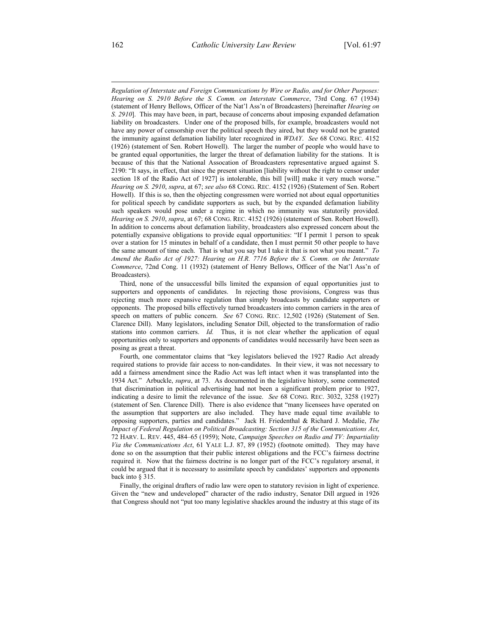*Regulation of Interstate and Foreign Communications by Wire or Radio, and for Other Purposes: Hearing on S. 2910 Before the S. Comm. on Interstate Commerce*, 73rd Cong. 67 (1934) (statement of Henry Bellows, Officer of the Nat'l Ass'n of Broadcasters) [hereinafter *Hearing on S. 2910*]. This may have been, in part, because of concerns about imposing expanded defamation liability on broadcasters. Under one of the proposed bills, for example, broadcasters would not have any power of censorship over the political speech they aired, but they would not be granted the immunity against defamation liability later recognized in *WDAY*. *See* 68 CONG. REC. 4152 (1926) (statement of Sen. Robert Howell). The larger the number of people who would have to be granted equal opportunities, the larger the threat of defamation liability for the stations. It is because of this that the National Assocation of Broadcasters representative argued against S. 2190: "It says, in effect, that since the present situation [liability without the right to censor under section 18 of the Radio Act of 1927] is intolerable, this bill [will] make it very much worse." *Hearing on S. 2910*, *supra*, at 67; *see also* 68 CONG. REC. 4152 (1926) (Statement of Sen. Robert Howell). If this is so, then the objecting congressmen were worried not about equal opportunities for political speech by candidate supporters as such, but by the expanded defamation liability such speakers would pose under a regime in which no immunity was statutorily provided. *Hearing on S. 2910*, *supra*, at 67; 68 CONG. REC. 4152 (1926) (statement of Sen. Robert Howell). In addition to concerns about defamation liability, broadcasters also expressed concern about the potentially expansive obligations to provide equal opportunities: "If I permit 1 person to speak over a station for 15 minutes in behalf of a candidate, then I must permit 50 other people to have the same amount of time each. That is what you say but I take it that is not what you meant." *To Amend the Radio Act of 1927: Hearing on H.R. 7716 Before the S. Comm. on the Interstate Commerce*, 72nd Cong. 11 (1932) (statement of Henry Bellows, Officer of the Nat'l Ass'n of Broadcasters).

 Third, none of the unsuccessful bills limited the expansion of equal opportunities just to supporters and opponents of candidates. In rejecting those provisions, Congress was thus rejecting much more expansive regulation than simply broadcasts by candidate supporters or opponents. The proposed bills effectively turned broadcasters into common carriers in the area of speech on matters of public concern. *See* 67 CONG. REC. 12,502 (1926) (Statement of Sen. Clarence Dill). Many legislators, including Senator Dill, objected to the transformation of radio stations into common carriers. *Id.* Thus, it is not clear whether the application of equal opportunities only to supporters and opponents of candidates would necessarily have been seen as posing as great a threat.

 Fourth, one commentator claims that "key legislators believed the 1927 Radio Act already required stations to provide fair access to non-candidates. In their view, it was not necessary to add a fairness amendment since the Radio Act was left intact when it was transplanted into the 1934 Act." Arbuckle, *supra*, at 73. As documented in the legislative history, some commented that discrimination in political advertising had not been a significant problem prior to 1927, indicating a desire to limit the relevance of the issue. *See* 68 CONG. REC. 3032, 3258 (1927) (statement of Sen. Clarence Dill). There is also evidence that "many licensees have operated on the assumption that supporters are also included. They have made equal time available to opposing supporters, parties and candidates." Jack H. Friedenthal & Richard J. Medalie, *The Impact of Federal Regulation on Political Broadcasting: Section 315 of the Communications Act*, 72 HARV. L. REV. 445, 484–65 (1959); Note, *Campaign Speeches on Radio and TV: Impartiality Via the Communications Act*, 61 YALE L.J. 87, 89 (1952) (footnote omitted). They may have done so on the assumption that their public interest obligations and the FCC's fairness doctrine required it. Now that the fairness doctrine is no longer part of the FCC's regulatory arsenal, it could be argued that it is necessary to assimilate speech by candidates' supporters and opponents back into § 315.

 Finally, the original drafters of radio law were open to statutory revision in light of experience. Given the "new and undeveloped" character of the radio industry, Senator Dill argued in 1926 that Congress should not "put too many legislative shackles around the industry at this stage of its

 $\overline{a}$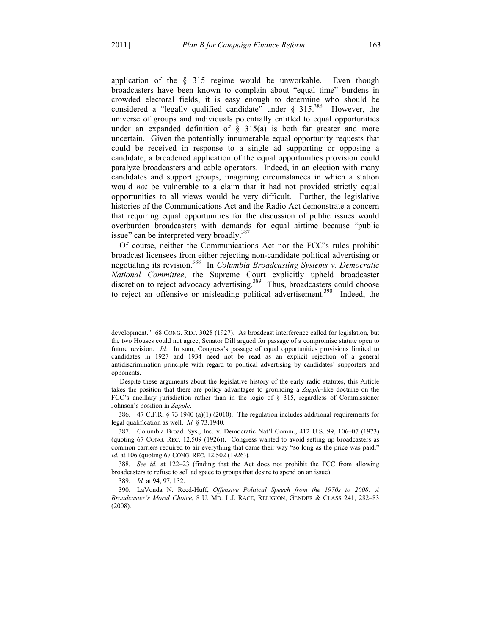$\overline{a}$ 

application of the § 315 regime would be unworkable. Even though broadcasters have been known to complain about "equal time" burdens in crowded electoral fields, it is easy enough to determine who should be considered a "legally qualified candidate" under  $\S$  315.<sup>386</sup> However, the universe of groups and individuals potentially entitled to equal opportunities under an expanded definition of  $\S$  315(a) is both far greater and more uncertain. Given the potentially innumerable equal opportunity requests that could be received in response to a single ad supporting or opposing a candidate, a broadened application of the equal opportunities provision could paralyze broadcasters and cable operators. Indeed, in an election with many candidates and support groups, imagining circumstances in which a station would *not* be vulnerable to a claim that it had not provided strictly equal opportunities to all views would be very difficult. Further, the legislative histories of the Communications Act and the Radio Act demonstrate a concern that requiring equal opportunities for the discussion of public issues would overburden broadcasters with demands for equal airtime because "public issue" can be interpreted very broadly.<sup>38</sup>

Of course, neither the Communications Act nor the FCC's rules prohibit broadcast licensees from either rejecting non-candidate political advertising or negotiating its revision.388 In *Columbia Broadcasting Systems v. Democratic National Committee*, the Supreme Court explicitly upheld broadcaster discretion to reject advocacy advertising.<sup>389</sup> Thus, broadcasters could choose to reject an offensive or misleading political advertisement.<sup>390</sup> Indeed, the

development." 68 CONG. REC. 3028 (1927). As broadcast interference called for legislation, but the two Houses could not agree, Senator Dill argued for passage of a compromise statute open to future revision. *Id.* In sum, Congress's passage of equal opportunities provisions limited to candidates in 1927 and 1934 need not be read as an explicit rejection of a general antidiscrimination principle with regard to political advertising by candidates' supporters and opponents.

Despite these arguments about the legislative history of the early radio statutes, this Article takes the position that there are policy advantages to grounding a *Zapple*-like doctrine on the FCC's ancillary jurisdiction rather than in the logic of § 315, regardless of Commissioner Johnson's position in *Zapple*.

 <sup>386. 47</sup> C.F.R. § 73.1940 (a)(1) (2010). The regulation includes additional requirements for legal qualification as well. *Id.* § 73.1940.

 <sup>387.</sup> Columbia Broad. Sys., Inc. v. Democratic Nat'l Comm., 412 U.S. 99, 106–07 (1973) (quoting 67 CONG. REC. 12,509 (1926)). Congress wanted to avoid setting up broadcasters as common carriers required to air everything that came their way "so long as the price was paid." *Id.* at 106 (quoting 67 CONG. REC. 12,502 (1926)).

<sup>388</sup>*. See id.* at 122–23 (finding that the Act does not prohibit the FCC from allowing broadcasters to refuse to sell ad space to groups that desire to spend on an issue).

<sup>389</sup>*. Id.* at 94, 97, 132.

 <sup>390.</sup> LaVonda N. Reed-Huff, *Offensive Political Speech from the 1970s to 2008: A Broadcaster's Moral Choice*, 8 U. MD. L.J. RACE, RELIGION, GENDER & CLASS 241, 282–83 (2008).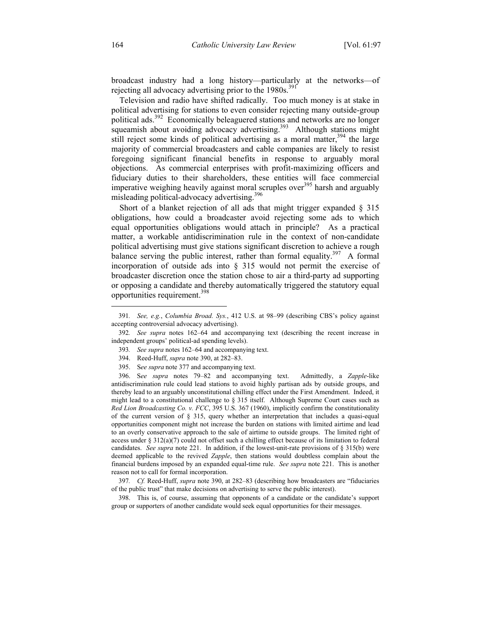broadcast industry had a long history—particularly at the networks—of rejecting all advocacy advertising prior to the  $1980s$ .<sup>391</sup>

Television and radio have shifted radically. Too much money is at stake in political advertising for stations to even consider rejecting many outside-group political ads.392 Economically beleaguered stations and networks are no longer squeamish about avoiding advocacy advertising.<sup>393</sup> Although stations might still reject some kinds of political advertising as a moral matter,  $394$  the large majority of commercial broadcasters and cable companies are likely to resist foregoing significant financial benefits in response to arguably moral objections. As commercial enterprises with profit-maximizing officers and fiduciary duties to their shareholders, these entities will face commercial imperative weighing heavily against moral scruples over $395$  harsh and arguably misleading political-advocacy advertising.<sup>396</sup>

Short of a blanket rejection of all ads that might trigger expanded § 315 obligations, how could a broadcaster avoid rejecting some ads to which equal opportunities obligations would attach in principle? As a practical matter, a workable antidiscrimination rule in the context of non-candidate political advertising must give stations significant discretion to achieve a rough balance serving the public interest, rather than formal equality.<sup>397</sup> A formal incorporation of outside ads into § 315 would not permit the exercise of broadcaster discretion once the station chose to air a third-party ad supporting or opposing a candidate and thereby automatically triggered the statutory equal opportunities requirement.<sup>398</sup>

397*. Cf.* Reed-Huff, *supra* note 390, at 282–83 (describing how broadcasters are "fiduciaries of the public trust" that make decisions on advertising to serve the public interest).

 398. This is, of course, assuming that opponents of a candidate or the candidate's support group or supporters of another candidate would seek equal opportunities for their messages.

<sup>391</sup>*. See, e.g.*, *Columbia Broad. Sys.*, 412 U.S. at 98–99 (describing CBS's policy against accepting controversial advocacy advertising).

<sup>392</sup>*. See supra* notes 162–64 and accompanying text (describing the recent increase in independent groups' political-ad spending levels).

<sup>393</sup>*. See supra* notes 162–64 and accompanying text.

 <sup>394.</sup> Reed-Huff, *supra* note 390, at 282–83.

 <sup>395.</sup> S*ee supra* note 377 and accompanying text.

 <sup>396.</sup> S*ee supra* notes 79–82 and accompanying text. Admittedly, a *Zapple*-like antidiscrimination rule could lead stations to avoid highly partisan ads by outside groups, and thereby lead to an arguably unconstitutional chilling effect under the First Amendment. Indeed, it might lead to a constitutional challenge to  $\S 315$  itself. Although Supreme Court cases such as *Red Lion Broadcasting Co. v. FCC*, 395 U.S. 367 (1960), implicitly confirm the constitutionality of the current version of § 315, query whether an interpretation that includes a quasi-equal opportunities component might not increase the burden on stations with limited airtime and lead to an overly conservative approach to the sale of airtime to outside groups. The limited right of access under  $\S 312(a)(7)$  could not offset such a chilling effect because of its limitation to federal candidates. *See supra* note 221. In addition, if the lowest-unit-rate provisions of § 315(b) were deemed applicable to the revived *Zapple*, then stations would doubtless complain about the financial burdens imposed by an expanded equal-time rule. *See supra* note 221. This is another reason not to call for formal incorporation.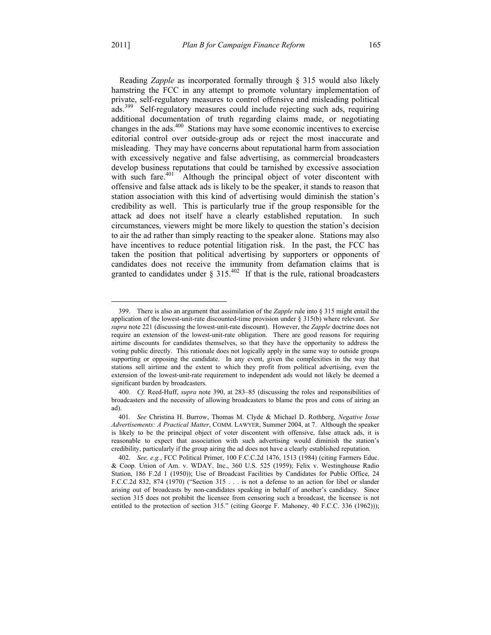1

Reading *Zapple* as incorporated formally through § 315 would also likely hamstring the FCC in any attempt to promote voluntary implementation of private, self-regulatory measures to control offensive and misleading political ads.<sup>399</sup> Self-regulatory measures could include rejecting such ads, requiring additional documentation of truth regarding claims made, or negotiating changes in the ads.<sup>400</sup> Stations may have some economic incentives to exercise editorial control over outside-group ads or reject the most inaccurate and misleading. They may have concerns about reputational harm from association with excessively negative and false advertising, as commercial broadcasters develop business reputations that could be tarnished by excessive association with such fare.<sup>401</sup> Although the principal object of voter discontent with offensive and false attack ads is likely to be the speaker, it stands to reason that station association with this kind of advertising would diminish the station's credibility as well. This is particularly true if the group responsible for the attack ad does not itself have a clearly established reputation. In such circumstances, viewers might be more likely to question the station's decision to air the ad rather than simply reacting to the speaker alone. Stations may also have incentives to reduce potential litigation risk. In the past, the FCC has taken the position that political advertising by supporters or opponents of candidates does not receive the immunity from defamation claims that is granted to candidates under § 315.<sup>402</sup> If that is the rule, rational broadcasters

 <sup>399.</sup> There is also an argument that assimilation of the *Zapple* rule into § 315 might entail the application of the lowest-unit-rate discounted-time provision under § 315(b) where relevant. *See supra* note 221 (discussing the lowest-unit-rate discount). However, the *Zapple* doctrine does not require an extension of the lowest-unit-rate obligation. There are good reasons for requiring airtime discounts for candidates themselves, so that they have the opportunity to address the voting public directly. This rationale does not logically apply in the same way to outside groups supporting or opposing the candidate. In any event, given the complexities in the way that stations sell airtime and the extent to which they profit from political advertising, even the extension of the lowest-unit-rate requirement to independent ads would not likely be deemed a significant burden by broadcasters.

<sup>400</sup>*. Cf.* Reed-Huff, *supra* note 390, at 283–85 (discussing the roles and responsibilities of broadcasters and the necessity of allowing broadcasters to blame the pros and cons of airing an ad).

<sup>401</sup>*. See* Christina H. Burrow, Thomas M. Clyde & Michael D. Rothberg, *Negative Issue Advertisements: A Practical Matter*, COMM. LAWYER, Summer 2004, at 7. Although the speaker is likely to be the principal object of voter discontent with offensive, false attack ads, it is reasonable to expect that association with such advertising would diminish the station's credibility, particularly if the group airing the ad does not have a clearly established reputation.

<sup>402</sup>*. See, e.g.*, FCC Political Primer, 100 F.C.C.2d 1476, 1513 (1984) (citing Farmers Educ. & Coop. Union of Am. v. WDAY, Inc., 360 U.S. 525 (1959); Felix v. Westinghouse Radio Station, 186 F.2d 1 (1950)); Use of Broadcast Facilities by Candidates for Public Office, 24 F.C.C.2d 832, 874 (1970) ("Section 315 . . . is not a defense to an action for libel or slander arising out of broadcasts by non-candidates speaking in behalf of another's candidacy. Since section 315 does not prohibit the licensee from censoring such a broadcast, the licensee is not entitled to the protection of section 315." (citing George F. Mahoney, 40 F.C.C. 336 (1962)));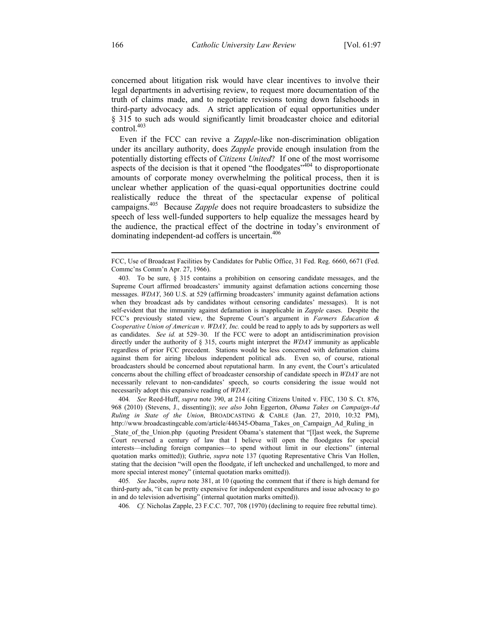concerned about litigation risk would have clear incentives to involve their legal departments in advertising review, to request more documentation of the truth of claims made, and to negotiate revisions toning down falsehoods in third-party advocacy ads. A strict application of equal opportunities under § 315 to such ads would significantly limit broadcaster choice and editorial control.<sup>403</sup>

Even if the FCC can revive a *Zapple*-like non-discrimination obligation under its ancillary authority, does *Zapple* provide enough insulation from the potentially distorting effects of *Citizens United*? If one of the most worrisome aspects of the decision is that it opened "the floodgates"<sup>404</sup> to disproportionate amounts of corporate money overwhelming the political process, then it is unclear whether application of the quasi-equal opportunities doctrine could realistically reduce the threat of the spectacular expense of political campaigns.405 Because *Zapple* does not require broadcasters to subsidize the speech of less well-funded supporters to help equalize the messages heard by the audience, the practical effect of the doctrine in today's environment of dominating independent-ad coffers is uncertain.<sup>406</sup>

404*. See* Reed-Huff, *supra* note 390, at 214 (citing Citizens United v. FEC, 130 S. Ct. 876, 968 (2010) (Stevens, J., dissenting)); *see also* John Eggerton, *Obama Takes on Campaign-Ad Ruling in State of the Union*, BROADCASTING & CABLE (Jan. 27, 2010, 10:32 PM), http://www.broadcastingcable.com/article/446345-Obama\_Takes\_on\_Campaign\_Ad\_Ruling\_in State of the Union.php (quoting President Obama's statement that "[l]ast week, the Supreme Court reversed a century of law that I believe will open the floodgates for special interests—including foreign companies—to spend without limit in our elections" (internal quotation marks omitted)); Guthrie, *supra* note 137 (quoting Representative Chris Van Hollen, stating that the decision "will open the floodgate, if left unchecked and unchallenged, to more and more special interest money" (internal quotation marks omitted)).

405*. See* Jacobs, *supra* note 381, at 10 (quoting the comment that if there is high demand for third-party ads, "it can be pretty expensive for independent expenditures and issue advocacy to go in and do television advertising" (internal quotation marks omitted)).

406*. Cf.* Nicholas Zapple, 23 F.C.C. 707, 708 (1970) (declining to require free rebuttal time).

 $\overline{a}$ 

FCC, Use of Broadcast Facilities by Candidates for Public Office, 31 Fed. Reg. 6660, 6671 (Fed. Commc'ns Comm'n Apr. 27, 1966).

<sup>403</sup>*.* To be sure, § 315 contains a prohibition on censoring candidate messages, and the Supreme Court affirmed broadcasters' immunity against defamation actions concerning those messages. *WDAY*, 360 U.S. at 529 (affirming broadcasters' immunity against defamation actions when they broadcast ads by candidates without censoring candidates' messages). It is not self-evident that the immunity against defamation is inapplicable in *Zapple* cases. Despite the FCC's previously stated view, the Supreme Court's argument in *Farmers Education & Cooperative Union of American v. WDAY, Inc.* could be read to apply to ads by supporters as well as candidates. *See id.* at 529–30. If the FCC were to adopt an antidiscrimination provision directly under the authority of § 315, courts might interpret the *WDAY* immunity as applicable regardless of prior FCC precedent. Stations would be less concerned with defamation claims against them for airing libelous independent political ads. Even so, of course, rational broadcasters should be concerned about reputational harm. In any event, the Court's articulated concerns about the chilling effect of broadcaster censorship of candidate speech in *WDAY* are not necessarily relevant to non-candidates' speech, so courts considering the issue would not necessarily adopt this expansive reading of *WDAY*.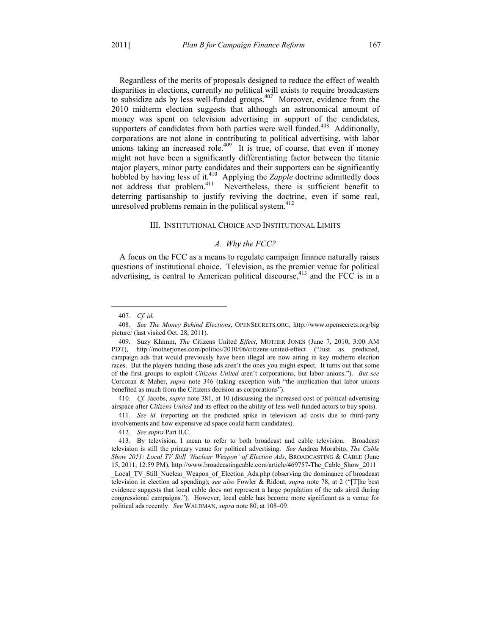Regardless of the merits of proposals designed to reduce the effect of wealth disparities in elections, currently no political will exists to require broadcasters to subsidize ads by less well-funded groups.<sup>407</sup> Moreover, evidence from the 2010 midterm election suggests that although an astronomical amount of money was spent on television advertising in support of the candidates, supporters of candidates from both parties were well funded.<sup>408</sup> Additionally, corporations are not alone in contributing to political advertising, with labor unions taking an increased role.<sup>409</sup> It is true, of course, that even if money might not have been a significantly differentiating factor between the titanic major players, minor party candidates and their supporters can be significantly hobbled by having less of it.<sup>410</sup> Applying the *Zapple* doctrine admittedly does not address that problem.<sup>411</sup> Nevertheless, there is sufficient benefit to deterring partisanship to justify reviving the doctrine, even if some real, unresolved problems remain in the political system. $412$ 

## III. INSTITUTIONAL CHOICE AND INSTITUTIONAL LIMITS

## *A. Why the FCC?*

A focus on the FCC as a means to regulate campaign finance naturally raises questions of institutional choice. Television, as the premier venue for political advertising, is central to American political discourse,<sup>413</sup> and the FCC is in a

1

410*. Cf.* Jacobs, *supra* note 381, at 10 (discussing the increased cost of political-advertising airspace after *Citizens United* and its effect on the ability of less well-funded actors to buy spots).

411*. See id.* (reporting on the predicted spike in television ad costs due to third-party involvements and how expensive ad space could harm candidates).

412*. See supra* Part II.C.

political ads recently. *See* WALDMAN, *supra* note 80, at 108–09.

<sup>407</sup>*. Cf. id.*

<sup>408</sup>*. See The Money Behind Elections*, OPENSECRETS.ORG, http://www.opensecrets.org/big picture/ (last visited Oct. 28, 2011).

 <sup>409.</sup> Suzy Khimm, *The* Citizens United *Effect*, MOTHER JONES (June 7, 2010, 3:00 AM PDT), http://motherjones.com/politics/2010/06/citizens-united-effect ("Just as predicted, campaign ads that would previously have been illegal are now airing in key midterm election races. But the players funding those ads aren't the ones you might expect. It turns out that some of the first groups to exploit *Citizens United* aren't corporations, but labor unions."). *But see* Corcoran & Maher, *supra* note 346 (taking exception with "the implication that labor unions benefited as much from the Citizens decision as corporations").

 <sup>413.</sup> By television, I mean to refer to both broadcast and cable television. Broadcast television is still the primary venue for political advertising. *See* Andrea Morabito, *The Cable Show 2011: Local TV Still 'Nuclear Weapon' of Election Ads*, BROADCASTING & CABLE (June 15, 2011, 12:59 PM), http://www.broadcastingcable.com/article/469757-The\_Cable\_Show\_2011 Local TV Still Nuclear Weapon of Election Ads.php (observing the dominance of broadcast television in election ad spending); *see also* Fowler & Ridout, *supra* note 78, at 2 ("[T]he best evidence suggests that local cable does not represent a large population of the ads aired during congressional campaigns."). However, local cable has become more significant as a venue for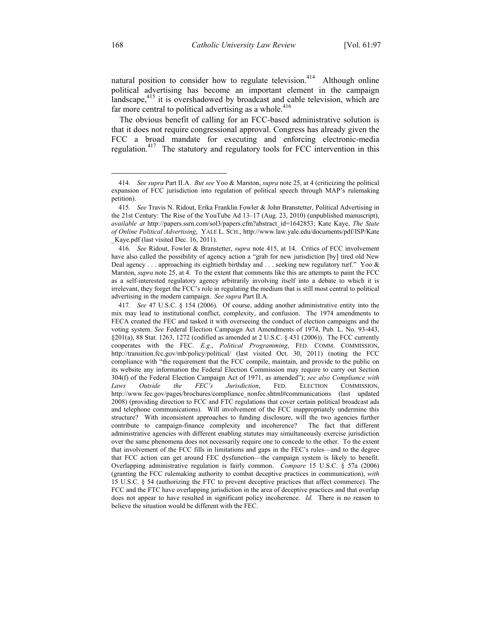natural position to consider how to regulate television.<sup>414</sup> Although online political advertising has become an important element in the campaign landscape,<sup>415</sup> it is overshadowed by broadcast and cable television, which are far more central to political advertising as a whole. $416$ 

The obvious benefit of calling for an FCC-based administrative solution is that it does not require congressional approval. Congress has already given the FCC a broad mandate for executing and enforcing electronic-media regulation.417 The statutory and regulatory tools for FCC intervention in this

<u>.</u>

<sup>414</sup>*. See supra* Part II.A. *But see* Yoo & Marston, *supra* note 25, at 4 (criticizing the political expansion of FCC jurisdiction into regulation of political speech through MAP's rulemaking petition).

<sup>415</sup>*. See* Travis N. Ridout, Erika Franklin Fowler & John Branstetter, Political Advertising in the 21st Century: The Rise of the YouTube Ad 13–17 (Aug. 23, 2010) (unpublished manuscript), *available at* http://papers.ssrn.com/sol3/papers.cfm?abstract\_id=1642853; Kate Kaye, *The State of Online Political Advertising*, YALE L. SCH., http://www.law.yale.edu/documents/pdf/ISP/Kate \_Kaye.pdf (last visited Dec. 16, 2011).

<sup>416</sup>*. See* Ridout, Fowler & Branstetter, *supra* note 415, at 14. Critics of FCC involvement have also called the possibility of agency action a "grab for new jurisdiction [by] tired old New Deal agency . . . approaching its eightieth birthday and . . . seeking new regulatory turf." Yoo  $\&$ Marston, *supra* note 25, at 4. To the extent that comments like this are attempts to paint the FCC as a self-interested regulatory agency arbitrarily involving itself into a debate to which it is irrelevant, they forget the FCC's role in regulating the medium that is still most central to political advertising in the modern campaign. *See supra* Part II.A.

<sup>417</sup>*. See* 47 U.S.C. § 154 (2006). Of course, adding another administrative entity into the mix may lead to institutional conflict, complexity, and confusion. The 1974 amendments to FECA created the FEC and tasked it with overseeing the conduct of election campaigns and the voting system. *See* Federal Election Campaign Act Amendments of 1974, Pub. L. No. 93-443, §201(a), 88 Stat. 1263, 1272 (codified as amended at 2 U.S.C. § 431 (2006)). The FCC currently cooperates with the FEC. *E.g.*, *Political Programming*, FED. COMM. COMMISSION, http://transition.fcc.gov/mb/policy/political/ (last visited Oct. 30, 2011) (noting the FCC compliance with "the requirement that the FCC compile, maintain, and provide to the public on its website any information the Federal Election Commission may require to carry out Section 304(f) of the Federal Election Campaign Act of 1971, as amended"); *see also Compliance with Laws Outside the FEC's Jurisdiction*, FED. ELECTION COMMISSION, http://www.fec.gov/pages/brochures/compliance\_nonfec.shtml#communications (last updated 2008) (providing direction to FCC and FTC regulations that cover certain political broadcast ads and telephone communications). Will involvement of the FCC inappropriately undermine this structure? With inconsistent approaches to funding disclosure, will the two agencies further contribute to campaign-finance complexity and incoherence? The fact that different administrative agencies with different enabling statutes may simultaneously exercise jurisdiction over the same phenomena does not necessarily require one to concede to the other. To the extent that involvement of the FCC fills in limitations and gaps in the FEC's rules—and to the degree that FCC action can get around FEC dysfunction—the campaign system is likely to benefit. Overlapping administrative regulation is fairly common. *Compare* 15 U.S.C. § 57a (2006) (granting the FCC rulemaking authority to combat deceptive practices in communication), *with* 15 U.S.C. § 54 (authorizing the FTC to prevent deceptive practices that affect commerce). The FCC and the FTC have overlapping jurisdiction in the area of deceptive practices and that overlap does not appear to have resulted in significant policy incoherence. *Id.* There is no reason to believe the situation would be different with the FEC.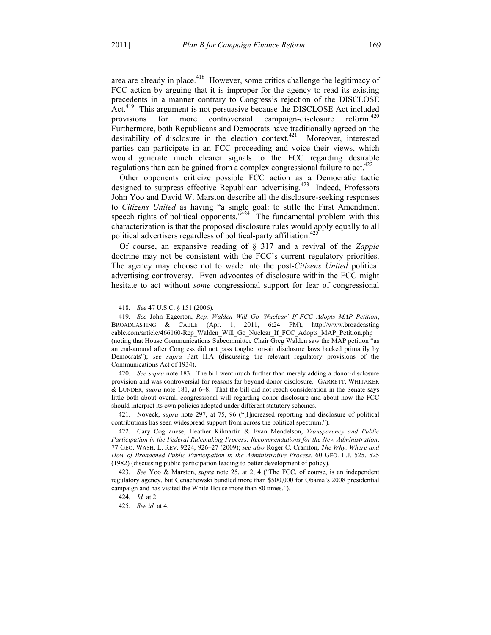area are already in place.<sup>418</sup> However, some critics challenge the legitimacy of FCC action by arguing that it is improper for the agency to read its existing precedents in a manner contrary to Congress's rejection of the DISCLOSE Act.<sup>419</sup> This argument is not persuasive because the DISCLOSE Act included provisions for more controversial campaign-disclosure reform.<sup>420</sup> provisions for more controversial campaign-disclosure Furthermore, both Republicans and Democrats have traditionally agreed on the desirability of disclosure in the election context.<sup>421</sup> Moreover, interested parties can participate in an FCC proceeding and voice their views, which would generate much clearer signals to the FCC regarding desirable regulations than can be gained from a complex congressional failure to act.<sup>422</sup>

Other opponents criticize possible FCC action as a Democratic tactic designed to suppress effective Republican advertising.<sup>423</sup> Indeed, Professors John Yoo and David W. Marston describe all the disclosure-seeking responses to *Citizens United* as having "a single goal: to stifle the First Amendment speech rights of political opponents.<sup> $3424$ </sup> The fundamental problem with this characterization is that the proposed disclosure rules would apply equally to all political advertisers regardless of political-party affiliation.<sup>425</sup>

Of course, an expansive reading of § 317 and a revival of the *Zapple* doctrine may not be consistent with the FCC's current regulatory priorities. The agency may choose not to wade into the post-*Citizens United* political advertising controversy. Even advocates of disclosure within the FCC might hesitate to act without *some* congressional support for fear of congressional

<u>.</u>

420*. See supra* note 183. The bill went much further than merely adding a donor-disclosure provision and was controversial for reasons far beyond donor disclosure. GARRETT, WHITAKER & LUNDER, *supra* note 181, at 6–8. That the bill did not reach consideration in the Senate says little both about overall congressional will regarding donor disclosure and about how the FCC should interpret its own policies adopted under different statutory schemes.

 421. Noveck, *supra* note 297, at 75, 96 ("[I]ncreased reporting and disclosure of political contributions has seen widespread support from across the political spectrum.").

<sup>418</sup>*. See* 47 U.S.C. § 151 (2006).

<sup>419</sup>*. See* John Eggerton, *Rep. Walden Will Go 'Nuclear' If FCC Adopts MAP Petition*, BROADCASTING & CABLE (Apr. 1, 2011, 6:24 PM), http://www.broadcasting cable.com/article/466160-Rep\_Walden\_Will\_Go\_Nuclear\_If\_FCC\_Adopts\_MAP\_Petition.php (noting that House Communications Subcommittee Chair Greg Walden saw the MAP petition "as an end-around after Congress did not pass tougher on-air disclosure laws backed primarily by Democrats"); *see supra* Part II.A (discussing the relevant regulatory provisions of the Communications Act of 1934).

 <sup>422.</sup> Cary Coglianese, Heather Kilmartin & Evan Mendelson, *Transparency and Public Participation in the Federal Rulemaking Process: Recommendations for the New Administration*, 77 GEO. WASH. L. REV. 9224, 926–27 (2009); *see also* Roger C. Cramton, *The Why, Where and How of Broadened Public Participation in the Administrative Process*, 60 GEO. L.J. 525, 525 (1982) (discussing public participation leading to better development of policy).

<sup>423</sup>*. See* Yoo & Marston, *supra* note 25, at 2, 4 ("The FCC, of course, is an independent regulatory agency, but Genachowski bundled more than \$500,000 for Obama's 2008 presidential campaign and has visited the White House more than 80 times.").

<sup>424</sup>*. Id.* at 2.

<sup>425</sup>*. See id.* at 4.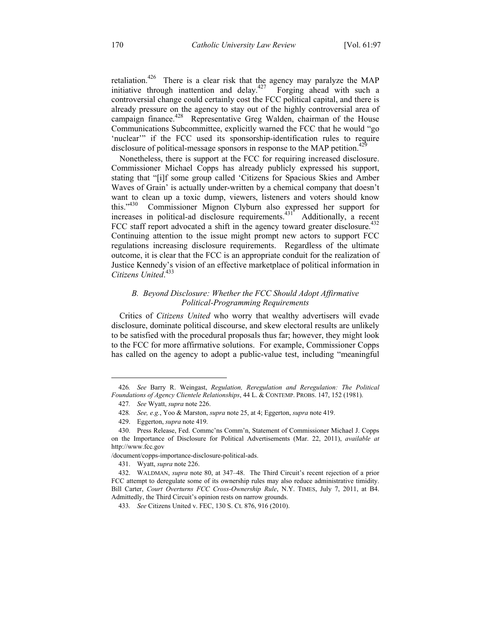retaliation.<sup>426</sup> There is a clear risk that the agency may paralyze the MAP initiative through inattention and delay.<sup>427</sup> Forging ahead with such a controversial change could certainly cost the FCC political capital, and there is already pressure on the agency to stay out of the highly controversial area of campaign finance.<sup>428</sup> Representative Greg Walden, chairman of the House Communications Subcommittee, explicitly warned the FCC that he would "go 'nuclear'" if the FCC used its sponsorship-identification rules to require disclosure of political-message sponsors in response to the MAP petition.<sup>42</sup>

Nonetheless, there is support at the FCC for requiring increased disclosure. Commissioner Michael Copps has already publicly expressed his support, stating that "[i]f some group called 'Citizens for Spacious Skies and Amber Waves of Grain' is actually under-written by a chemical company that doesn't want to clean up a toxic dump, viewers, listeners and voters should know this."<sup>430</sup> Commissioner Mignon Clyburn also expressed her support for this."<sup>430</sup> Commissioner Mignon Clyburn also expressed her support for increases in political-ad disclosure requirements.<sup>431</sup> Additionally, a recent FCC staff report advocated a shift in the agency toward greater disclosure.<sup>432</sup> Continuing attention to the issue might prompt new actors to support FCC regulations increasing disclosure requirements. Regardless of the ultimate outcome, it is clear that the FCC is an appropriate conduit for the realization of Justice Kennedy's vision of an effective marketplace of political information in *Citizens United*. 433

## *B. Beyond Disclosure: Whether the FCC Should Adopt Affirmative Political-Programming Requirements*

Critics of *Citizens United* who worry that wealthy advertisers will evade disclosure, dominate political discourse, and skew electoral results are unlikely to be satisfied with the procedural proposals thus far; however, they might look to the FCC for more affirmative solutions. For example, Commissioner Copps has called on the agency to adopt a public-value test, including "meaningful

<u>.</u>

<sup>426</sup>*. See* Barry R. Weingast, *Regulation, Reregulation and Reregulation: The Political Foundations of Agency Clientele Relationships*, 44 L. & CONTEMP. PROBS. 147, 152 (1981).

<sup>427</sup>*. See* Wyatt, *supra* note 226.

<sup>428</sup>*. See, e.g.*, Yoo & Marston, *supra* note 25, at 4; Eggerton, *supra* note 419.

 <sup>429.</sup> Eggerton, *supra* note 419.

 <sup>430.</sup> Press Release, Fed. Commc'ns Comm'n, Statement of Commissioner Michael J. Copps on the Importance of Disclosure for Political Advertisements (Mar. 22, 2011), *available at* http://www.fcc.gov

<sup>/</sup>document/copps-importance-disclosure-political-ads.

 <sup>431.</sup> Wyatt, *supra* note 226.

 <sup>432.</sup> WALDMAN, *supra* note 80, at 347–48. The Third Circuit's recent rejection of a prior FCC attempt to deregulate some of its ownership rules may also reduce administrative timidity. Bill Carter, *Court Overturns FCC Cross-Ownership Rule*, N.Y. TIMES, July 7, 2011, at B4. Admittedly, the Third Circuit's opinion rests on narrow grounds.

<sup>433</sup>*. See* Citizens United v. FEC, 130 S. Ct. 876, 916 (2010).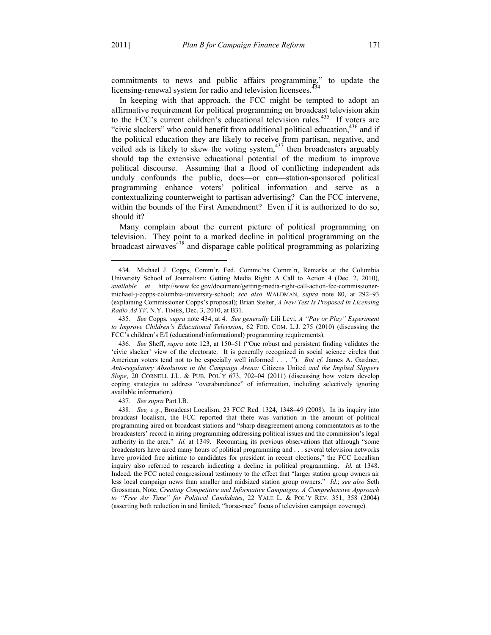1

commitments to news and public affairs programming," to update the licensing-renewal system for radio and television licensees.<sup>434</sup>

In keeping with that approach, the FCC might be tempted to adopt an affirmative requirement for political programming on broadcast television akin to the FCC's current children's educational television rules.<sup>435</sup> If voters are "civic slackers" who could benefit from additional political education, $436$  and if the political education they are likely to receive from partisan, negative, and veiled ads is likely to skew the voting system, $437$  then broadcasters arguably should tap the extensive educational potential of the medium to improve political discourse. Assuming that a flood of conflicting independent ads unduly confounds the public, does—or can—station-sponsored political programming enhance voters' political information and serve as a contextualizing counterweight to partisan advertising? Can the FCC intervene, within the bounds of the First Amendment? Even if it is authorized to do so, should it?

Many complain about the current picture of political programming on television. They point to a marked decline in political programming on the  $b$ roadcast airwaves $438$  and disparage cable political programming as polarizing

437*. See supra* Part I.B.

 <sup>434.</sup> Michael J. Copps, Comm'r, Fed. Commc'ns Comm'n, Remarks at the Columbia University School of Journalism: Getting Media Right: A Call to Action 4 (Dec. 2, 2010), *available at* http://www.fcc.gov/document/getting-media-right-call-action-fcc-commissionermichael-j-copps-columbia-university-school; *see also* WALDMAN, *supra* note 80, at 292–93 (explaining Commissioner Copps's proposal); Brian Stelter, *A New Test Is Proposed in Licensing Radio Ad TV*, N.Y. TIMES, Dec. 3, 2010, at B31.

<sup>435</sup>*. See* Copps, *supra* note 434, at 4. *See generally* Lili Levi, *A "Pay or Play" Experiment to Improve Children's Educational Television*, 62 FED. COM. L.J. 275 (2010) (discussing the FCC's children's E/I (educational/informational) programming requirements).

<sup>436</sup>*. See* Sheff, *supra* note 123, at 150–51 ("One robust and persistent finding validates the 'civic slacker' view of the electorate. It is generally recognized in social science circles that American voters tend not to be especially well informed . . . ."). *But cf.* James A. Gardner, *Anti-regulatory Absolutism in the Campaign Arena:* Citizens United *and the Implied Slippery Slope*, 20 CORNELL J.L. & PUB. POL'Y 673, 702–04 (2011) (discussing how voters develop coping strategies to address "overabundance" of information, including selectively ignoring available information).

<sup>438</sup>*. See, e.g.*, Broadcast Localism, 23 FCC Rcd. 1324, 1348–49 (2008). In its inquiry into broadcast localism, the FCC reported that there was variation in the amount of political programming aired on broadcast stations and "sharp disagreement among commentators as to the broadcasters' record in airing programming addressing political issues and the commission's legal authority in the area." *Id.* at 1349. Recounting its previous observations that although "some broadcasters have aired many hours of political programming and . . . several television networks have provided free airtime to candidates for president in recent elections," the FCC Localism inquiry also referred to research indicating a decline in political programming. *Id.* at 1348. Indeed, the FCC noted congressional testimony to the effect that "larger station group owners air less local campaign news than smaller and midsized station group owners." *Id.*; *see also* Seth Grossman, Note, *Creating Competitive and Informative Campaigns: A Comprehensive Approach to "Free Air Time" for Political Candidates*, 22 YALE L. & POL'Y REV. 351, 358 (2004) (asserting both reduction in and limited, "horse-race" focus of television campaign coverage).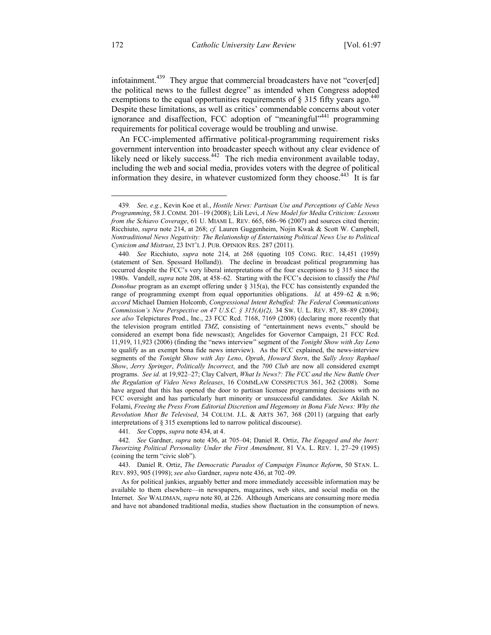infotainment.<sup>439</sup> They argue that commercial broadcasters have not "cover[ed] the political news to the fullest degree" as intended when Congress adopted exemptions to the equal opportunities requirements of  $\S$  315 fifty years ago.<sup>440</sup> Despite these limitations, as well as critics' commendable concerns about voter ignorance and disaffection, FCC adoption of "meaningful"<sup>441</sup> programming requirements for political coverage would be troubling and unwise.

An FCC-implemented affirmative political-programming requirement risks government intervention into broadcaster speech without any clear evidence of likely need or likely success. $442$  The rich media environment available today, including the web and social media, provides voters with the degree of political information they desire, in whatever customized form they choose.<sup>443</sup> It is far

441*. See* Copps, *supra* note 434, at 4.

442*. See* Gardner, *supra* note 436, at 705–04; Daniel R. Ortiz, *The Engaged and the Inert: Theorizing Political Personality Under the First Amendment*, 81 VA. L. REV. 1, 27–29 (1995) (coining the term "civic slob").

 443. Daniel R. Ortiz, *The Democratic Paradox of Campaign Finance Reform*, 50 STAN. L. REV. 893, 905 (1998); *see also* Gardner, *supra* note 436, at 702–09.

 As for political junkies, arguably better and more immediately accessible information may be available to them elsewhere—in newspapers, magazines, web sites, and social media on the Internet. *See* WALDMAN, *supra* note 80, at 226. Although Americans are consuming more media and have not abandoned traditional media, studies show fluctuation in the consumption of news.

1

<sup>439</sup>*. See, e.g.*, Kevin Koe et al., *Hostile News: Partisan Use and Perceptions of Cable News Programming*, 58 J. COMM. 201–19 (2008); Lili Levi, *A New Model for Media Criticism: Lessons from the Schiavo Coverage*, 61 U. MIAMI L. REV. 665, 686–96 (2007) and sources cited therein; Ricchiuto, *supra* note 214, at 268; *cf.* Lauren Guggenheim, Nojin Kwak & Scott W. Campbell, *Nontraditional News Negativity: The Relationship of Entertaining Political News Use to Political Cynicism and Mistrust*, 23 INT'L J. PUB. OPINION RES. 287 (2011).

<sup>440</sup>*. See* Ricchiuto, *supra* note 214, at 268 (quoting 105 CONG. REC. 14,451 (1959) (statement of Sen. Spessard Holland)). The decline in broadcast political programming has occurred despite the FCC's very liberal interpretations of the four exceptions to  $\S 315$  since the 1980s. Vandell, *supra* note 208, at 458–62. Starting with the FCC's decision to classify the *Phil Donohue* program as an exempt offering under § 315(a), the FCC has consistently expanded the range of programming exempt from equal opportunities obligations. *Id.* at 459–62 & n.96; *accord* Michael Damien Holcomb, *Congressional Intent Rebuffed: The Federal Communications Commission's New Perspective on 47 U.S.C. § 315(A)(2),* 34 SW. U. L. REV. 87, 88–89 (2004); *see also* Telepictures Prod., Inc., 23 FCC Rcd. 7168, 7169 (2008) (declaring more recently that the television program entitled *TMZ*, consisting of "entertainment news events," should be considered an exempt bona fide newscast); Angelides for Governor Campaign, 21 FCC Rcd. 11,919, 11,923 (2006) (finding the "news interview" segment of the *Tonight Show with Jay Leno* to qualify as an exempt bona fide news interview). As the FCC explained, the news-interview segments of the *Tonight Show with Jay Leno*, *Oprah*, *Howard Stern*, the *Sally Jessy Raphael Show*, *Jerry Springer*, *Politically Incorrect*, and the *700 Club* are now all considered exempt programs. *See id.* at 19,922–27; Clay Calvert, *What Is News?: The FCC and the New Battle Over the Regulation of Video News Releases*, 16 COMMLAW CONSPECTUS 361, 362 (2008). Some have argued that this has opened the door to partisan licensee programming decisions with no FCC oversight and has particularly hurt minority or unsuccessful candidates. *See* Akilah N. Folami, *Freeing the Press From Editorial Discretion and Hegemony in Bona Fide News: Why the Revolution Must Be Televised*, 34 COLUM. J.L. & ARTS 367, 368 (2011) (arguing that early interpretations of § 315 exemptions led to narrow political discourse).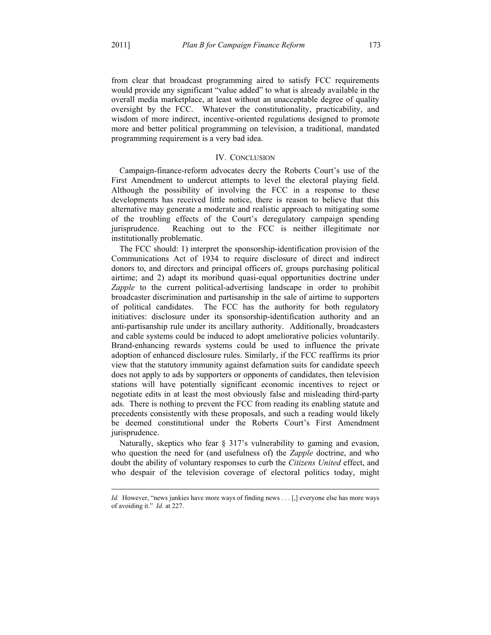$\overline{a}$ 

from clear that broadcast programming aired to satisfy FCC requirements would provide any significant "value added" to what is already available in the overall media marketplace, at least without an unacceptable degree of quality oversight by the FCC. Whatever the constitutionality, practicability, and wisdom of more indirect, incentive-oriented regulations designed to promote more and better political programming on television, a traditional, mandated programming requirement is a very bad idea.

## IV. CONCLUSION

Campaign-finance-reform advocates decry the Roberts Court's use of the First Amendment to undercut attempts to level the electoral playing field. Although the possibility of involving the FCC in a response to these developments has received little notice, there is reason to believe that this alternative may generate a moderate and realistic approach to mitigating some of the troubling effects of the Court's deregulatory campaign spending jurisprudence. Reaching out to the FCC is neither illegitimate nor institutionally problematic.

The FCC should: 1) interpret the sponsorship-identification provision of the Communications Act of 1934 to require disclosure of direct and indirect donors to, and directors and principal officers of, groups purchasing political airtime; and 2) adapt its moribund quasi-equal opportunities doctrine under *Zapple* to the current political-advertising landscape in order to prohibit broadcaster discrimination and partisanship in the sale of airtime to supporters of political candidates. The FCC has the authority for both regulatory initiatives: disclosure under its sponsorship-identification authority and an anti-partisanship rule under its ancillary authority. Additionally, broadcasters and cable systems could be induced to adopt ameliorative policies voluntarily. Brand-enhancing rewards systems could be used to influence the private adoption of enhanced disclosure rules. Similarly, if the FCC reaffirms its prior view that the statutory immunity against defamation suits for candidate speech does not apply to ads by supporters or opponents of candidates, then television stations will have potentially significant economic incentives to reject or negotiate edits in at least the most obviously false and misleading third-party ads. There is nothing to prevent the FCC from reading its enabling statute and precedents consistently with these proposals, and such a reading would likely be deemed constitutional under the Roberts Court's First Amendment jurisprudence.

Naturally, skeptics who fear § 317's vulnerability to gaming and evasion, who question the need for (and usefulness of) the *Zapple* doctrine, and who doubt the ability of voluntary responses to curb the *Citizens United* effect, and who despair of the television coverage of electoral politics today, might

Id. However, "news junkies have more ways of finding news . . . [,] everyone else has more ways of avoiding it." *Id.* at 227.